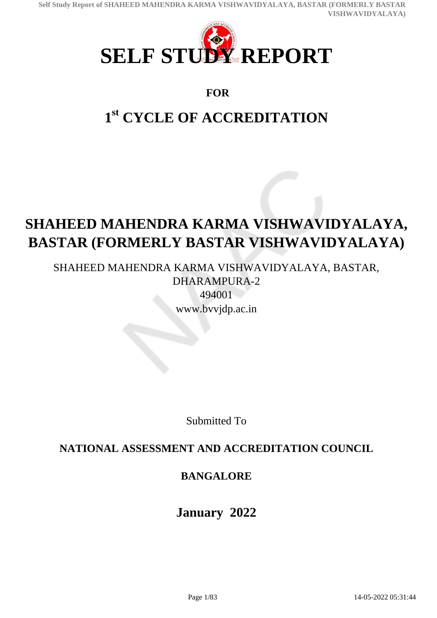

## **FOR**

# **1 st CYCLE OF ACCREDITATION**

# **SHAHEED MAHENDRA KARMA VISHWAVIDYALAYA, BASTAR (FORMERLY BASTAR VISHWAVIDYALAYA)**

SHAHEED MAHENDRA KARMA VISHWAVIDYALAYA, BASTAR, DHARAMPURA-2 494001 www.bvvjdp.ac.in

Submitted To

# **NATIONAL ASSESSMENT AND ACCREDITATION COUNCIL**

# **BANGALORE**

**January 2022**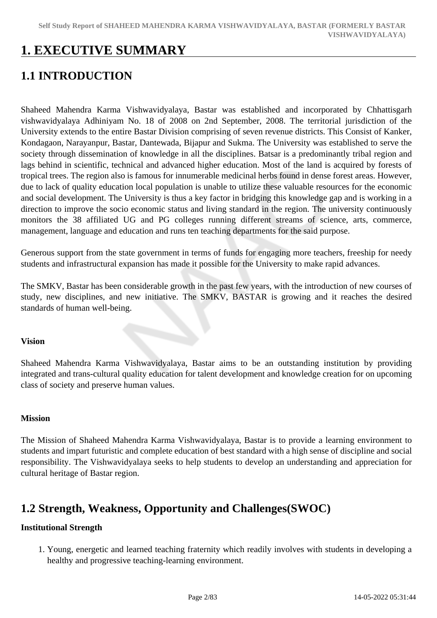# **1. EXECUTIVE SUMMARY**

# **1.1 INTRODUCTION**

Shaheed Mahendra Karma Vishwavidyalaya, Bastar was established and incorporated by Chhattisgarh vishwavidyalaya Adhiniyam No. 18 of 2008 on 2nd September, 2008. The territorial jurisdiction of the University extends to the entire Bastar Division comprising of seven revenue districts. This Consist of Kanker, Kondagaon, Narayanpur, Bastar, Dantewada, Bijapur and Sukma. The University was established to serve the society through dissemination of knowledge in all the disciplines. Batsar is a predominantly tribal region and lags behind in scientific, technical and advanced higher education. Most of the land is acquired by forests of tropical trees. The region also is famous for innumerable medicinal herbs found in dense forest areas. However, due to lack of quality education local population is unable to utilize these valuable resources for the economic and social development. The University is thus a key factor in bridging this knowledge gap and is working in a direction to improve the socio economic status and living standard in the region. The university continuously monitors the 38 affiliated UG and PG colleges running different streams of science, arts, commerce, management, language and education and runs ten teaching departments for the said purpose.

Generous support from the state government in terms of funds for engaging more teachers, freeship for needy students and infrastructural expansion has made it possible for the University to make rapid advances.

The SMKV, Bastar has been considerable growth in the past few years, with the introduction of new courses of study, new disciplines, and new initiative. The SMKV, BASTAR is growing and it reaches the desired standards of human well-being.

### **Vision**

Shaheed Mahendra Karma Vishwavidyalaya, Bastar aims to be an outstanding institution by providing integrated and trans-cultural quality education for talent development and knowledge creation for on upcoming class of society and preserve human values.

### **Mission**

The Mission of Shaheed Mahendra Karma Vishwavidyalaya, Bastar is to provide a learning environment to students and impart futuristic and complete education of best standard with a high sense of discipline and social responsibility. The Vishwavidyalaya seeks to help students to develop an understanding and appreciation for cultural heritage of Bastar region.

# **1.2 Strength, Weakness, Opportunity and Challenges(SWOC)**

### **Institutional Strength**

1. Young, energetic and learned teaching fraternity which readily involves with students in developing a healthy and progressive teaching-learning environment.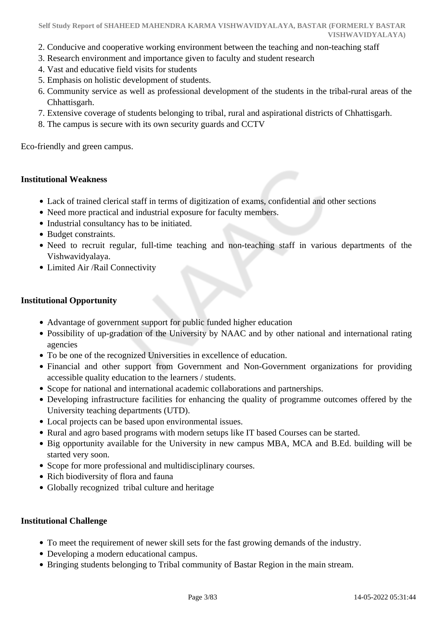- 2. Conducive and cooperative working environment between the teaching and non-teaching staff
- 3. Research environment and importance given to faculty and student research
- 4. Vast and educative field visits for students
- 5. Emphasis on holistic development of students.
- 6. Community service as well as professional development of the students in the tribal-rural areas of the Chhattisgarh.
- 7. Extensive coverage of students belonging to tribal, rural and aspirational districts of Chhattisgarh.
- 8. The campus is secure with its own security guards and CCTV

Eco-friendly and green campus.

#### **Institutional Weakness**

- Lack of trained clerical staff in terms of digitization of exams, confidential and other sections
- Need more practical and industrial exposure for faculty members.
- Industrial consultancy has to be initiated.
- Budget constraints.
- Need to recruit regular, full-time teaching and non-teaching staff in various departments of the Vishwavidyalaya.
- Limited Air /Rail Connectivity

#### **Institutional Opportunity**

- Advantage of government support for public funded higher education
- Possibility of up-gradation of the University by NAAC and by other national and international rating agencies
- To be one of the recognized Universities in excellence of education.
- Financial and other support from Government and Non-Government organizations for providing accessible quality education to the learners / students.
- Scope for national and international academic collaborations and partnerships.
- Developing infrastructure facilities for enhancing the quality of programme outcomes offered by the University teaching departments (UTD).
- Local projects can be based upon environmental issues.
- Rural and agro based programs with modern setups like IT based Courses can be started.
- Big opportunity available for the University in new campus MBA, MCA and B.Ed. building will be started very soon.
- Scope for more professional and multidisciplinary courses.
- Rich biodiversity of flora and fauna
- Globally recognized tribal culture and heritage

#### **Institutional Challenge**

- To meet the requirement of newer skill sets for the fast growing demands of the industry.
- Developing a modern educational campus.
- Bringing students belonging to Tribal community of Bastar Region in the main stream.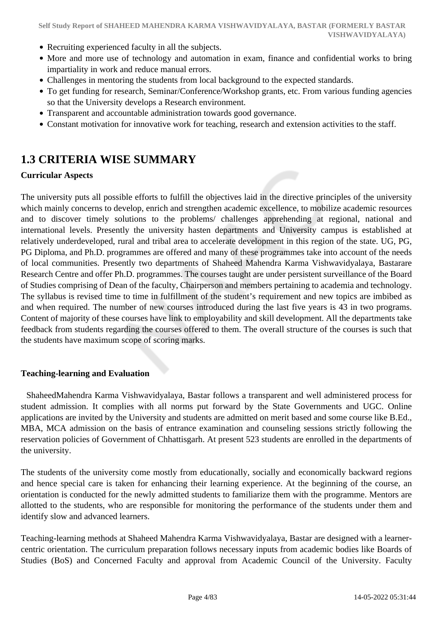- Recruiting experienced faculty in all the subjects.
- More and more use of technology and automation in exam, finance and confidential works to bring impartiality in work and reduce manual errors.
- Challenges in mentoring the students from local background to the expected standards.
- To get funding for research, Seminar/Conference/Workshop grants, etc. From various funding agencies so that the University develops a Research environment.
- Transparent and accountable administration towards good governance.
- Constant motivation for innovative work for teaching, research and extension activities to the staff.

## **1.3 CRITERIA WISE SUMMARY**

#### **Curricular Aspects**

The university puts all possible efforts to fulfill the objectives laid in the directive principles of the university which mainly concerns to develop, enrich and strengthen academic excellence, to mobilize academic resources and to discover timely solutions to the problems/ challenges apprehending at regional, national and international levels. Presently the university hasten departments and University campus is established at relatively underdeveloped, rural and tribal area to accelerate development in this region of the state. UG, PG, PG Diploma, and Ph.D. programmes are offered and many of these programmes take into account of the needs of local communities. Presently two departments of Shaheed Mahendra Karma Vishwavidyalaya, Bastarare Research Centre and offer Ph.D. programmes. The courses taught are under persistent surveillance of the Board of Studies comprising of Dean of the faculty, Chairperson and members pertaining to academia and technology. The syllabus is revised time to time in fulfillment of the student's requirement and new topics are imbibed as and when required. The number of new courses introduced during the last five years is 43 in two programs. Content of majority of these courses have link to employability and skill development. All the departments take feedback from students regarding the courses offered to them. The overall structure of the courses is such that the students have maximum scope of scoring marks.

#### **Teaching-learning and Evaluation**

 ShaheedMahendra Karma Vishwavidyalaya, Bastar follows a transparent and well administered process for student admission. It complies with all norms put forward by the State Governments and UGC. Online applications are invited by the University and students are admitted on merit based and some course like B.Ed., MBA, MCA admission on the basis of entrance examination and counseling sessions strictly following the reservation policies of Government of Chhattisgarh. At present 523 students are enrolled in the departments of the university.

The students of the university come mostly from educationally, socially and economically backward regions and hence special care is taken for enhancing their learning experience. At the beginning of the course, an orientation is conducted for the newly admitted students to familiarize them with the programme. Mentors are allotted to the students, who are responsible for monitoring the performance of the students under them and identify slow and advanced learners.

Teaching-learning methods at Shaheed Mahendra Karma Vishwavidyalaya, Bastar are designed with a learnercentric orientation. The curriculum preparation follows necessary inputs from academic bodies like Boards of Studies (BoS) and Concerned Faculty and approval from Academic Council of the University. Faculty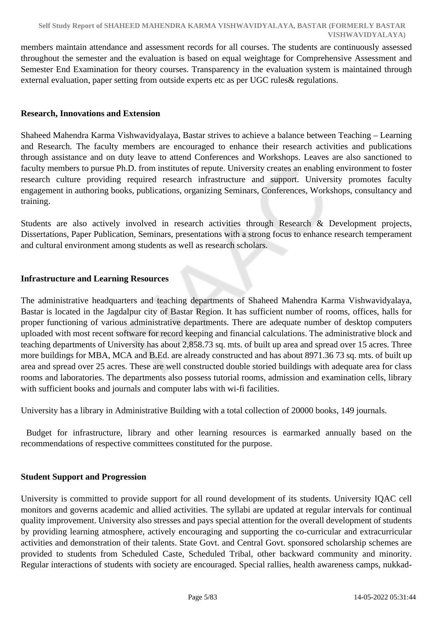members maintain attendance and assessment records for all courses. The students are continuously assessed throughout the semester and the evaluation is based on equal weightage for Comprehensive Assessment and Semester End Examination for theory courses. Transparency in the evaluation system is maintained through external evaluation, paper setting from outside experts etc as per UGC rules& regulations.

#### **Research, Innovations and Extension**

Shaheed Mahendra Karma Vishwavidyalaya, Bastar strives to achieve a balance between Teaching – Learning and Research. The faculty members are encouraged to enhance their research activities and publications through assistance and on duty leave to attend Conferences and Workshops. Leaves are also sanctioned to faculty members to pursue Ph.D. from institutes of repute. University creates an enabling environment to foster research culture providing required research infrastructure and support. University promotes faculty engagement in authoring books, publications, organizing Seminars, Conferences, Workshops, consultancy and training.

Students are also actively involved in research activities through Research & Development projects, Dissertations, Paper Publication, Seminars, presentations with a strong focus to enhance research temperament and cultural environment among students as well as research scholars.

#### **Infrastructure and Learning Resources**

The administrative headquarters and teaching departments of Shaheed Mahendra Karma Vishwavidyalaya, Bastar is located in the Jagdalpur city of Bastar Region. It has sufficient number of rooms, offices, halls for proper functioning of various administrative departments. There are adequate number of desktop computers uploaded with most recent software for record keeping and financial calculations. The administrative block and teaching departments of University has about 2,858.73 sq. mts. of built up area and spread over 15 acres. Three more buildings for MBA, MCA and B.Ed. are already constructed and has about 8971.36 73 sq. mts. of built up area and spread over 25 acres. These are well constructed double storied buildings with adequate area for class rooms and laboratories. The departments also possess tutorial rooms, admission and examination cells, library with sufficient books and journals and computer labs with wi-fi facilities.

University has a library in Administrative Building with a total collection of 20000 books, 149 journals.

 Budget for infrastructure, library and other learning resources is earmarked annually based on the recommendations of respective committees constituted for the purpose.

#### **Student Support and Progression**

University is committed to provide support for all round development of its students. University IQAC cell monitors and governs academic and allied activities. The syllabi are updated at regular intervals for continual quality improvement. University also stresses and pays special attention for the overall development of students by providing learning atmosphere, actively encouraging and supporting the co-curricular and extracurricular activities and demonstration of their talents. State Govt. and Central Govt. sponsored scholarship schemes are provided to students from Scheduled Caste, Scheduled Tribal, other backward community and minority. Regular interactions of students with society are encouraged. Special rallies, health awareness camps, nukkad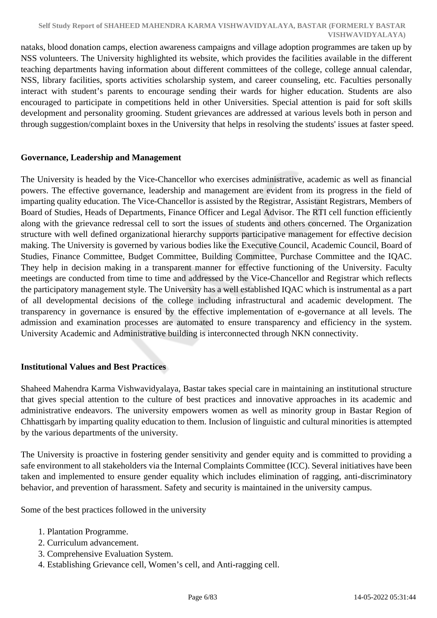nataks, blood donation camps, election awareness campaigns and village adoption programmes are taken up by NSS volunteers. The University highlighted its website, which provides the facilities available in the different teaching departments having information about different committees of the college, college annual calendar, NSS, library facilities, sports activities scholarship system, and career counseling, etc. Faculties personally interact with student's parents to encourage sending their wards for higher education. Students are also encouraged to participate in competitions held in other Universities. Special attention is paid for soft skills development and personality grooming. Student grievances are addressed at various levels both in person and through suggestion/complaint boxes in the University that helps in resolving the students' issues at faster speed.

### **Governance, Leadership and Management**

The University is headed by the Vice-Chancellor who exercises administrative, academic as well as financial powers. The effective governance, leadership and management are evident from its progress in the field of imparting quality education. The Vice-Chancellor is assisted by the Registrar, Assistant Registrars, Members of Board of Studies, Heads of Departments, Finance Officer and Legal Advisor. The RTI cell function efficiently along with the grievance redressal cell to sort the issues of students and others concerned. The Organization structure with well defined organizational hierarchy supports participative management for effective decision making. The University is governed by various bodies like the Executive Council, Academic Council, Board of Studies, Finance Committee, Budget Committee, Building Committee, Purchase Committee and the IQAC. They help in decision making in a transparent manner for effective functioning of the University. Faculty meetings are conducted from time to time and addressed by the Vice-Chancellor and Registrar which reflects the participatory management style. The University has a well established IQAC which is instrumental as a part of all developmental decisions of the college including infrastructural and academic development. The transparency in governance is ensured by the effective implementation of e-governance at all levels. The admission and examination processes are automated to ensure transparency and efficiency in the system. University Academic and Administrative building is interconnected through NKN connectivity.

### **Institutional Values and Best Practices**

Shaheed Mahendra Karma Vishwavidyalaya, Bastar takes special care in maintaining an institutional structure that gives special attention to the culture of best practices and innovative approaches in its academic and administrative endeavors. The university empowers women as well as minority group in Bastar Region of Chhattisgarh by imparting quality education to them. Inclusion of linguistic and cultural minorities is attempted by the various departments of the university.

The University is proactive in fostering gender sensitivity and gender equity and is committed to providing a safe environment to all stakeholders via the Internal Complaints Committee (ICC). Several initiatives have been taken and implemented to ensure gender equality which includes elimination of ragging, anti-discriminatory behavior, and prevention of harassment. Safety and security is maintained in the university campus.

Some of the best practices followed in the university

- 1. Plantation Programme.
- 2. Curriculum advancement.
- 3. Comprehensive Evaluation System.
- 4. Establishing Grievance cell, Women's cell, and Anti-ragging cell.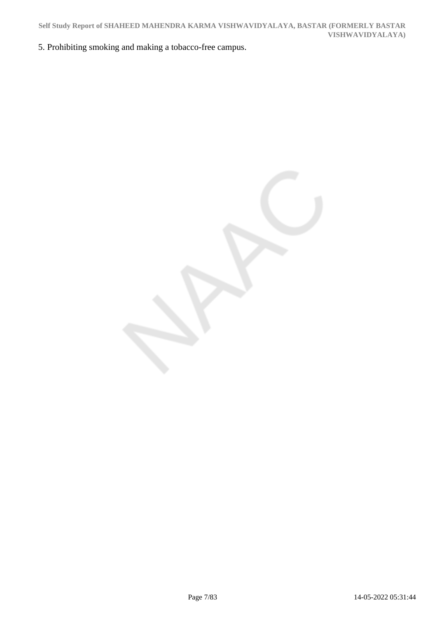5. Prohibiting smoking and making a tobacco-free campus.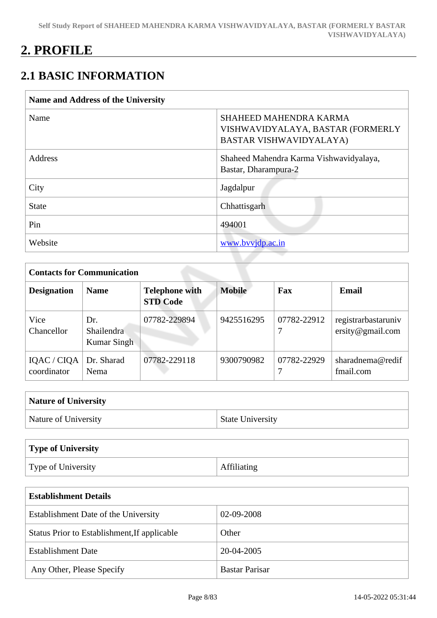# **2. PROFILE**

# **2.1 BASIC INFORMATION**

| <b>Name and Address of the University</b> |                                                                                               |
|-------------------------------------------|-----------------------------------------------------------------------------------------------|
| Name                                      | <b>SHAHEED MAHENDRA KARMA</b><br>VISHWAVIDYALAYA, BASTAR (FORMERLY<br>BASTAR VISHWAVIDYALAYA) |
| Address                                   | Shaheed Mahendra Karma Vishwavidyalaya,<br>Bastar, Dharampura-2                               |
| City                                      | Jagdalpur                                                                                     |
| <b>State</b>                              | Chhattisgarh                                                                                  |
| Pin                                       | 494001                                                                                        |
| Website                                   | www.bvvjdp.ac.in                                                                              |

|                            | <b>Contacts for Communication</b> |                                          |               |             |                                         |  |  |  |  |
|----------------------------|-----------------------------------|------------------------------------------|---------------|-------------|-----------------------------------------|--|--|--|--|
| <b>Designation</b>         | <b>Name</b>                       | <b>Telephone with</b><br><b>STD Code</b> | <b>Mobile</b> | Fax         | <b>Email</b>                            |  |  |  |  |
| Vice<br>Chancellor         | Dr.<br>Shailendra<br>Kumar Singh  | 07782-229894                             | 9425516295    | 07782-22912 | registrarbastaruniv<br>ersity@gmail.com |  |  |  |  |
| IQAC / CIQA<br>coordinator | Dr. Sharad<br>Nema                | 07782-229118                             | 9300790982    | 07782-22929 | sharadnema@redif<br>fmail.com           |  |  |  |  |

| <b>Nature of University</b> |                         |  |  |  |  |
|-----------------------------|-------------------------|--|--|--|--|
| Nature of University        | <b>State University</b> |  |  |  |  |

| Type of University |                    |
|--------------------|--------------------|
| Type of University | <b>Affiliating</b> |

| <b>Establishment Details</b>                 |                       |  |  |  |  |  |
|----------------------------------------------|-----------------------|--|--|--|--|--|
| Establishment Date of the University         | 02-09-2008            |  |  |  |  |  |
| Status Prior to Establishment, If applicable | Other                 |  |  |  |  |  |
| <b>Establishment Date</b>                    | 20-04-2005            |  |  |  |  |  |
| Any Other, Please Specify                    | <b>Bastar Parisar</b> |  |  |  |  |  |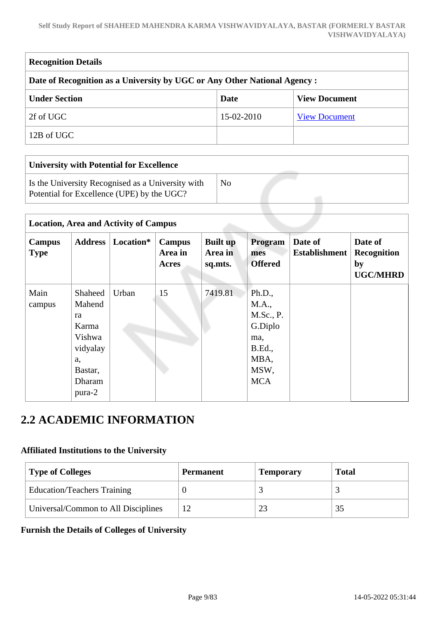#### **Self Study Report of SHAHEED MAHENDRA KARMA VISHWAVIDYALAYA, BASTAR (FORMERLY BASTAR VISHWAVIDYALAYA)**

| <b>Recognition Details</b>                                                |            |                      |  |  |  |  |
|---------------------------------------------------------------------------|------------|----------------------|--|--|--|--|
| Date of Recognition as a University by UGC or Any Other National Agency : |            |                      |  |  |  |  |
| <b>Under Section</b><br><b>View Document</b><br>Date                      |            |                      |  |  |  |  |
| 2f of UGC                                                                 | 15-02-2010 | <b>View Document</b> |  |  |  |  |
| 12B of UGC                                                                |            |                      |  |  |  |  |

| <b>University with Potential for Excellence</b> |  |  |  |  |  |  |  |  |
|-------------------------------------------------|--|--|--|--|--|--|--|--|
| No                                              |  |  |  |  |  |  |  |  |
|                                                 |  |  |  |  |  |  |  |  |

|                       | <b>Location, Area and Activity of Campus</b>                                                |           |                                   |                                       |                                                                                                |                                 |                                                        |  |
|-----------------------|---------------------------------------------------------------------------------------------|-----------|-----------------------------------|---------------------------------------|------------------------------------------------------------------------------------------------|---------------------------------|--------------------------------------------------------|--|
| Campus<br><b>Type</b> | Address                                                                                     | Location* | <b>Campus</b><br>Area in<br>Acres | <b>Built up</b><br>Area in<br>sq.mts. | Program<br>mes<br><b>Offered</b>                                                               | Date of<br><b>Establishment</b> | Date of<br><b>Recognition</b><br>by<br><b>UGC/MHRD</b> |  |
| Main<br>campus        | Shaheed<br>Mahend<br>ra<br>Karma<br>Vishwa<br>vidyalay<br>a,<br>Bastar,<br>Dharam<br>pura-2 | Urban     | 15                                | 7419.81                               | Ph.D.,<br>M.A.,<br>M.Sc., P.<br>G.Diplo<br>ma,<br><b>B.Ed.</b> ,<br>MBA,<br>MSW,<br><b>MCA</b> |                                 |                                                        |  |

# **2.2 ACADEMIC INFORMATION**

### **Affiliated Institutions to the University**

| <b>Type of Colleges</b>             | <b>Permanent</b> | <b>Temporary</b> | <b>Total</b> |  |
|-------------------------------------|------------------|------------------|--------------|--|
| <b>Education/Teachers Training</b>  |                  |                  |              |  |
| Universal/Common to All Disciplines | 12               | 2 <sup>3</sup>   |              |  |

### **Furnish the Details of Colleges of University**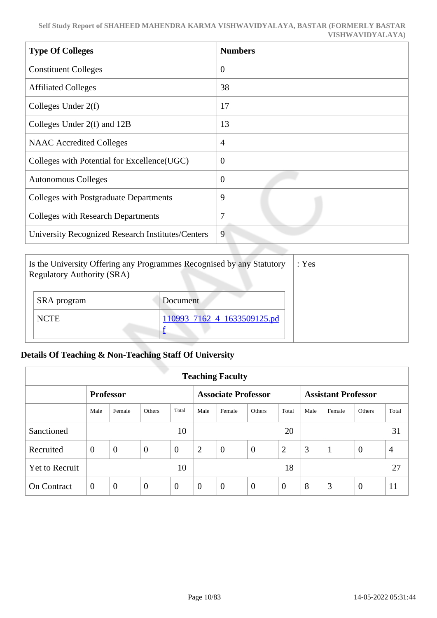| <b>Type Of Colleges</b>                           | <b>Numbers</b> |
|---------------------------------------------------|----------------|
| <b>Constituent Colleges</b>                       | $\overline{0}$ |
| <b>Affiliated Colleges</b>                        | 38             |
| Colleges Under $2(f)$                             | 17             |
| Colleges Under 2(f) and 12B                       | 13             |
| <b>NAAC</b> Accredited Colleges                   | $\overline{4}$ |
| Colleges with Potential for Excellence(UGC)       | $\overline{0}$ |
| <b>Autonomous Colleges</b>                        | $\overline{0}$ |
| Colleges with Postgraduate Departments            | 9              |
| <b>Colleges with Research Departments</b>         | 7              |
| University Recognized Research Institutes/Centers | 9              |

| Is the University Offering any Programmes Recognised by any Statutory<br><b>Regulatory Authority (SRA)</b> | : Yes                       |  |
|------------------------------------------------------------------------------------------------------------|-----------------------------|--|
| SRA program                                                                                                | Document                    |  |
| <b>NCTE</b>                                                                                                | 110993 7162 4 1633509125.pd |  |

### **Details Of Teaching & Non-Teaching Staff Of University**

| <b>Teaching Faculty</b> |                  |                |                |                |                            |                |          |                            |      |              |                |                |
|-------------------------|------------------|----------------|----------------|----------------|----------------------------|----------------|----------|----------------------------|------|--------------|----------------|----------------|
|                         | <b>Professor</b> |                |                |                | <b>Associate Professor</b> |                |          | <b>Assistant Professor</b> |      |              |                |                |
|                         | Male             | Female         | <b>Others</b>  | Total          | Male                       | Female         | Others   | Total                      | Male | Female       | Others         | Total          |
| Sanctioned              |                  |                |                | 10             |                            |                |          | 20                         |      |              |                | 31             |
| Recruited               | $\overline{0}$   | $\overline{0}$ | $\overline{0}$ | $\overline{0}$ | $\overline{2}$             | $\theta$       | $\theta$ | $\overline{2}$             | 3    | $\mathbf{1}$ | $\overline{0}$ | $\overline{4}$ |
| <b>Yet to Recruit</b>   |                  |                |                | 10             |                            |                |          | 18                         |      |              |                | 27             |
| <b>On Contract</b>      | $\overline{0}$   | $\overline{0}$ | $\overline{0}$ | $\overline{0}$ | $\overline{0}$             | $\overline{0}$ | $\theta$ | $\overline{0}$             | 8    | 3            | $\overline{0}$ | 11             |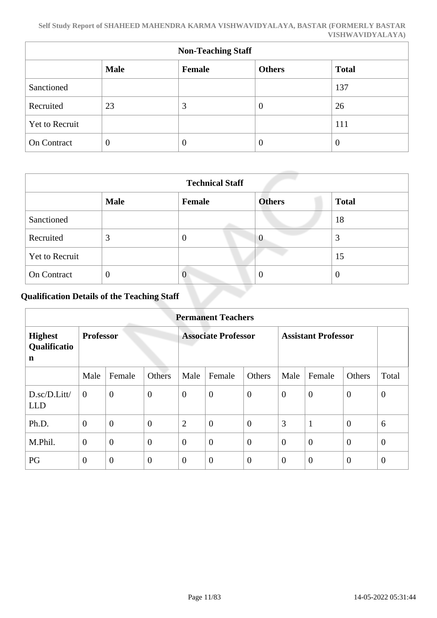| <b>Non-Teaching Staff</b> |                |        |                |              |  |  |  |  |
|---------------------------|----------------|--------|----------------|--------------|--|--|--|--|
|                           | <b>Male</b>    | Female | <b>Others</b>  | <b>Total</b> |  |  |  |  |
| Sanctioned                |                |        |                | 137          |  |  |  |  |
| Recruited                 | 23             | 3      | $\theta$       | 26           |  |  |  |  |
| Yet to Recruit            |                |        |                | 111          |  |  |  |  |
| On Contract               | $\overline{0}$ | 0      | $\overline{0}$ | 0            |  |  |  |  |

| <b>Technical Staff</b> |                |               |                |              |  |  |  |  |
|------------------------|----------------|---------------|----------------|--------------|--|--|--|--|
|                        | <b>Male</b>    | <b>Female</b> | <b>Others</b>  | <b>Total</b> |  |  |  |  |
| Sanctioned             |                |               |                | 18           |  |  |  |  |
| Recruited              | 3              | O             | $\theta$       | 3            |  |  |  |  |
| <b>Yet to Recruit</b>  |                |               |                | 15           |  |  |  |  |
| <b>On Contract</b>     | $\overline{0}$ | $\theta$      | $\overline{0}$ | O            |  |  |  |  |

# **Qualification Details of the Teaching Staff**

| <b>Permanent Teachers</b>           |                  |                |                            |                |                            |                  |                |                  |                  |          |
|-------------------------------------|------------------|----------------|----------------------------|----------------|----------------------------|------------------|----------------|------------------|------------------|----------|
| <b>Highest</b><br>Qualificatio<br>n | <b>Professor</b> |                | <b>Associate Professor</b> |                | <b>Assistant Professor</b> |                  |                |                  |                  |          |
|                                     | Male             | Female         | Others                     | Male           | Female                     | Others           | Male           | Female           | Others           | Total    |
| D.sc/D.Litt/<br><b>LLD</b>          | $\theta$         | $\overline{0}$ | $\overline{0}$             | $\overline{0}$ | $\overline{0}$             | $\overline{0}$   | $\overline{0}$ | $\overline{0}$   | $\theta$         | $\theta$ |
| Ph.D.                               | $\theta$         | $\overline{0}$ | $\overline{0}$             | $\overline{2}$ | $\overline{0}$             | $\overline{0}$   | 3              | $\mathbf{1}$     | $\overline{0}$   | 6        |
| M.Phil.                             | $\mathbf{0}$     | $\overline{0}$ | $\overline{0}$             | $\overline{0}$ | $\overline{0}$             | $\overline{0}$   | $\overline{0}$ | $\overline{0}$   | $\overline{0}$   | $\theta$ |
| PG                                  | $\mathbf{0}$     | $\mathbf{0}$   | $\overline{0}$             | $\overline{0}$ | $\boldsymbol{0}$           | $\boldsymbol{0}$ | $\overline{0}$ | $\boldsymbol{0}$ | $\boldsymbol{0}$ | $\theta$ |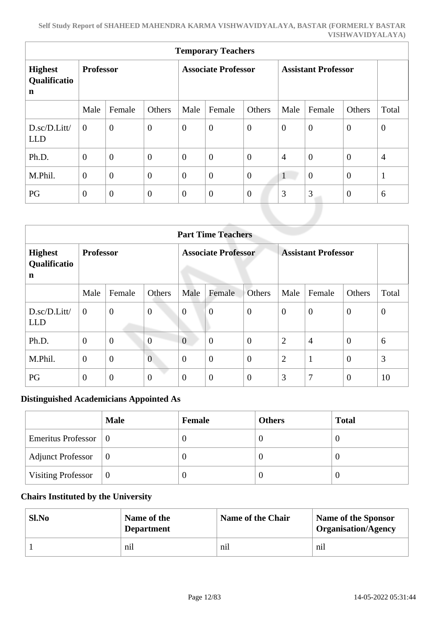| <b>Temporary Teachers</b>                     |                  |                |                |                            |                  |                  |                            |                |                |                |
|-----------------------------------------------|------------------|----------------|----------------|----------------------------|------------------|------------------|----------------------------|----------------|----------------|----------------|
| <b>Highest</b><br>Qualificatio<br>$\mathbf n$ | <b>Professor</b> |                |                | <b>Associate Professor</b> |                  |                  | <b>Assistant Professor</b> |                |                |                |
|                                               | Male             | Female         | Others         | Male                       | Female           | Others           | Male                       | Female         | Others         | Total          |
| D.sc/D.Litt/<br><b>LLD</b>                    | $\theta$         | $\overline{0}$ | $\overline{0}$ | $\boldsymbol{0}$           | $\overline{0}$   | $\overline{0}$   | $\overline{0}$             | $\overline{0}$ | $\mathbf{0}$   | $\overline{0}$ |
| Ph.D.                                         | $\overline{0}$   | $\overline{0}$ | $\overline{0}$ | $\theta$                   | $\overline{0}$   | $\boldsymbol{0}$ | $\overline{4}$             | $\theta$       | $\mathbf{0}$   | $\overline{4}$ |
| M.Phil.                                       | $\mathbf{0}$     | $\overline{0}$ | $\overline{0}$ | $\overline{0}$             | $\overline{0}$   | $\boldsymbol{0}$ | $\mathbf{1}$               | $\overline{0}$ | $\mathbf{0}$   | $\mathbf{1}$   |
| PG                                            | $\boldsymbol{0}$ | $\theta$       | $\overline{0}$ | $\boldsymbol{0}$           | $\boldsymbol{0}$ | $\boldsymbol{0}$ | 3                          | 3              | $\overline{0}$ | 6              |
|                                               |                  |                |                |                            |                  |                  |                            |                |                |                |

| <b>Part Time Teachers</b>                 |                  |                  |                  |                            |                  |                            |                |                |                  |                  |
|-------------------------------------------|------------------|------------------|------------------|----------------------------|------------------|----------------------------|----------------|----------------|------------------|------------------|
| <b>Highest</b><br>Qualificatio<br>n       | <b>Professor</b> |                  |                  | <b>Associate Professor</b> |                  | <b>Assistant Professor</b> |                |                |                  |                  |
|                                           | Male             | Female           | Others           | Male                       | Female           | Others                     | Male           | Female         | Others           | Total            |
| $D.\text{sc}/D.\text{Litt}$<br><b>LLD</b> | $\mathbf{0}$     | $\overline{0}$   | $\boldsymbol{0}$ | $\boldsymbol{0}$           | $\overline{0}$   | $\boldsymbol{0}$           | $\overline{0}$ | $\theta$       | $\overline{0}$   | $\boldsymbol{0}$ |
| Ph.D.                                     | $\theta$         | $\boldsymbol{0}$ | $\overline{0}$   | $\overline{0}$             | $\overline{0}$   | $\overline{0}$             | $\overline{2}$ | $\overline{4}$ | $\mathbf{0}$     | 6                |
| M.Phil.                                   | $\mathbf{0}$     | $\overline{0}$   | $\overline{0}$   | $\overline{0}$             | $\overline{0}$   | $\overline{0}$             | $\overline{2}$ | $\mathbf{1}$   | $\overline{0}$   | 3                |
| PG                                        | $\mathbf{0}$     | $\mathbf{0}$     | $\boldsymbol{0}$ | $\overline{0}$             | $\boldsymbol{0}$ | $\overline{0}$             | 3              | 7              | $\boldsymbol{0}$ | 10               |

### **Distinguished Academicians Appointed As**

|                                    | <b>Male</b> | Female | <b>Others</b> | <b>Total</b> |
|------------------------------------|-------------|--------|---------------|--------------|
| Emeritus Professor $\vert 0 \vert$ |             |        | U             |              |
| <b>Adjunct Professor</b>           | $\vert 0$   |        | U             |              |
| <b>Visiting Professor</b>          | $\vert 0$   |        | U             |              |

### **Chairs Instituted by the University**

| Sl.No | Name of the<br><b>Department</b> | Name of the Chair | <b>Name of the Sponsor</b><br><b>Organisation/Agency</b> |
|-------|----------------------------------|-------------------|----------------------------------------------------------|
|       | nil                              | nil               | nil                                                      |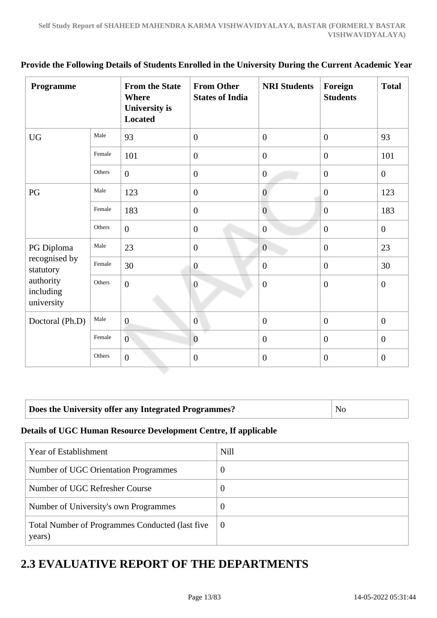| Programme                            |        | <b>From the State</b><br><b>Where</b><br><b>University is</b><br><b>Located</b> | <b>From Other</b><br><b>States of India</b> | <b>NRI Students</b> | Foreign<br><b>Students</b> | <b>Total</b>     |
|--------------------------------------|--------|---------------------------------------------------------------------------------|---------------------------------------------|---------------------|----------------------------|------------------|
| <b>UG</b>                            | Male   | 93                                                                              | $\overline{0}$                              | $\mathbf{0}$        | $\overline{0}$             | 93               |
|                                      | Female | 101                                                                             | $\mathbf{0}$                                | $\overline{0}$      | $\overline{0}$             | 101              |
|                                      | Others | $\overline{0}$                                                                  | $\overline{0}$                              | $\overline{0}$      | $\mathbf{0}$               | $\overline{0}$   |
| PG                                   | Male   | 123                                                                             | $\mathbf{0}$                                | $\overline{0}$      | $\boldsymbol{0}$           | 123              |
|                                      | Female | 183                                                                             | $\overline{0}$                              | $\overline{0}$      | $\overline{0}$             | 183              |
|                                      | Others | $\boldsymbol{0}$                                                                | $\boldsymbol{0}$                            | $\overline{0}$      | $\overline{0}$             | $\overline{0}$   |
| PG Diploma                           | Male   | 23                                                                              | $\mathbf{0}$                                | $\overline{0}$      | $\mathbf{0}$               | 23               |
| recognised by<br>statutory           | Female | 30                                                                              | $\boldsymbol{0}$                            | $\overline{0}$      | $\overline{0}$             | 30               |
| authority<br>including<br>university | Others | $\boldsymbol{0}$                                                                | $\overline{0}$                              | $\boldsymbol{0}$    | $\boldsymbol{0}$           | $\boldsymbol{0}$ |
| Doctoral (Ph.D)                      | Male   | $\overline{0}$                                                                  | $\mathbf{0}$                                | $\overline{0}$      | $\overline{0}$             | $\mathbf{0}$     |
|                                      | Female | $\overline{0}$                                                                  | $\overline{0}$                              | $\boldsymbol{0}$    | $\overline{0}$             | $\overline{0}$   |
|                                      | Others | $\overline{0}$                                                                  | $\boldsymbol{0}$                            | $\overline{0}$      | $\overline{0}$             | $\theta$         |

### **Provide the Following Details of Students Enrolled in the University During the Current Academic Year**

### **Does the University offer any Integrated Programmes?** No

### **Details of UGC Human Resource Development Centre, If applicable**

| Year of Establishment                                      | <b>Nill</b>      |
|------------------------------------------------------------|------------------|
| Number of UGC Orientation Programmes                       | $\boldsymbol{0}$ |
| Number of UGC Refresher Course                             | $\overline{0}$   |
| Number of University's own Programmes                      | $\boldsymbol{0}$ |
| Total Number of Programmes Conducted (last five)<br>years) | $\theta$         |

# **2.3 EVALUATIVE REPORT OF THE DEPARTMENTS**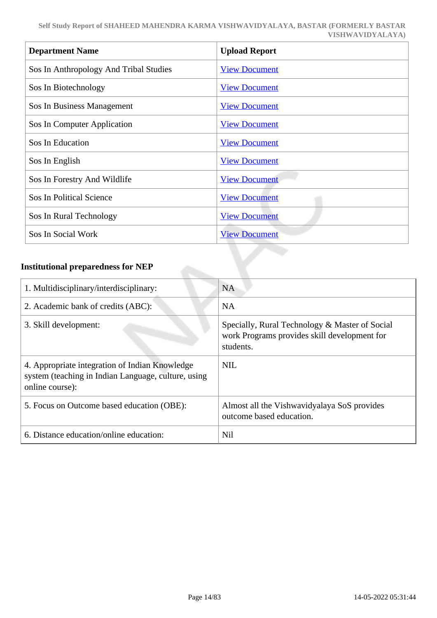| <b>Department Name</b>                 | <b>Upload Report</b> |
|----------------------------------------|----------------------|
| Sos In Anthropology And Tribal Studies | <b>View Document</b> |
| Sos In Biotechnology                   | <b>View Document</b> |
| Sos In Business Management             | <b>View Document</b> |
| Sos In Computer Application            | <b>View Document</b> |
| Sos In Education                       | <b>View Document</b> |
| Sos In English                         | <b>View Document</b> |
| Sos In Forestry And Wildlife           | <b>View Document</b> |
| <b>Sos In Political Science</b>        | <b>View Document</b> |
| Sos In Rural Technology                | <b>View Document</b> |
| Sos In Social Work                     | <b>View Document</b> |
|                                        |                      |

### **Institutional preparedness for NEP**

| 1. Multidisciplinary/interdisciplinary:                                                                                  | <b>NA</b>                                                                                                   |
|--------------------------------------------------------------------------------------------------------------------------|-------------------------------------------------------------------------------------------------------------|
| 2. Academic bank of credits (ABC):                                                                                       | <b>NA</b>                                                                                                   |
| 3. Skill development:                                                                                                    | Specially, Rural Technology & Master of Social<br>work Programs provides skill development for<br>students. |
| 4. Appropriate integration of Indian Knowledge<br>system (teaching in Indian Language, culture, using<br>online course): | <b>NIL</b>                                                                                                  |
| 5. Focus on Outcome based education (OBE):                                                                               | Almost all the Vishwavidyalaya SoS provides<br>outcome based education.                                     |
| 6. Distance education/online education:                                                                                  | <b>Nil</b>                                                                                                  |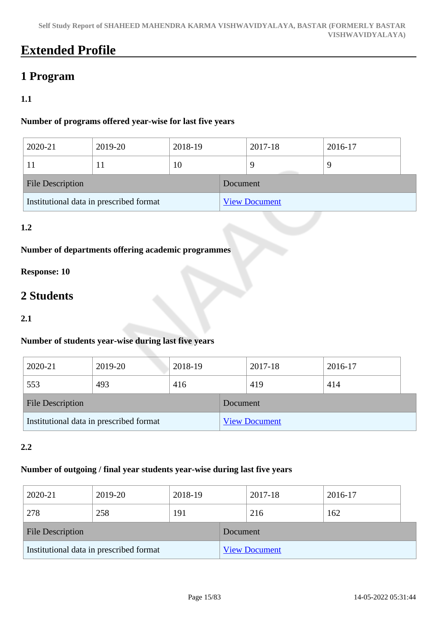# **Extended Profile**

# **1 Program**

### **1.1**

### **Number of programs offered year-wise for last five years**

| 2020-21                 | 2019-20                                 | 2018-19 |          | 2017-18              | 2016-17 |  |
|-------------------------|-----------------------------------------|---------|----------|----------------------|---------|--|
|                         |                                         | 10      |          |                      | -9      |  |
| <b>File Description</b> |                                         |         | Document |                      |         |  |
|                         | Institutional data in prescribed format |         |          | <b>View Document</b> |         |  |

### **1.2**

### **Number of departments offering academic programmes**

### **Response: 10**

# **2 Students**

### **2.1**

### **Number of students year-wise during last five years**

| 2020-21                                 | 2019-20 | 2018-19 |          | 2017-18              | 2016-17 |  |
|-----------------------------------------|---------|---------|----------|----------------------|---------|--|
| 553                                     | 493     | 416     |          | 419                  | 414     |  |
| <b>File Description</b>                 |         |         | Document |                      |         |  |
| Institutional data in prescribed format |         |         |          | <b>View Document</b> |         |  |

### **2.2**

### **Number of outgoing / final year students year-wise during last five years**

| 2020-21                                 | 2019-20 | 2018-19 |          | 2017-18              | 2016-17 |  |
|-----------------------------------------|---------|---------|----------|----------------------|---------|--|
| 278                                     | 258     | 191     |          | 216                  | 162     |  |
| <b>File Description</b>                 |         |         | Document |                      |         |  |
| Institutional data in prescribed format |         |         |          | <b>View Document</b> |         |  |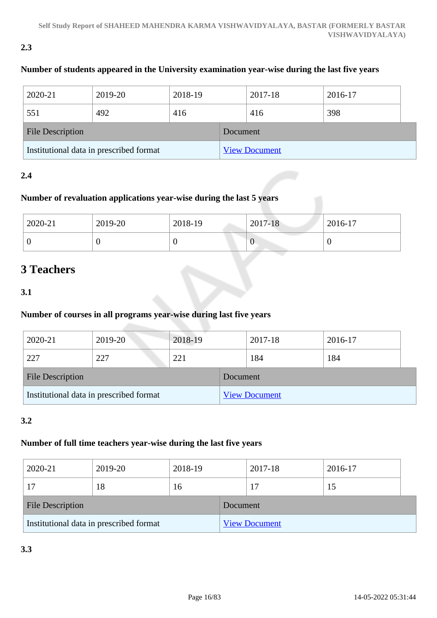### **2.3**

### **Number of students appeared in the University examination year-wise during the last five years**

| 2020-21                                 | 2019-20 | 2018-19 |          | 2017-18              | 2016-17 |  |
|-----------------------------------------|---------|---------|----------|----------------------|---------|--|
| 551                                     | 492     | 416     |          | 416                  | 398     |  |
| <b>File Description</b>                 |         |         | Document |                      |         |  |
| Institutional data in prescribed format |         |         |          | <b>View Document</b> |         |  |

### **2.4**

### **Number of revaluation applications year-wise during the last 5 years**

| 2020-21 | 2019-20 | 2018-19 | 2017-18 | 2016-17 |
|---------|---------|---------|---------|---------|
| ◡       |         |         | v       |         |

# **3 Teachers**

### **3.1**

### **Number of courses in all programs year-wise during last five years**

| 2020-21                                 | 2019-20 | 2018-19 |          | 2017-18              | 2016-17 |
|-----------------------------------------|---------|---------|----------|----------------------|---------|
| 227                                     | 227     | 221     |          | 184                  | 184     |
| <b>File Description</b>                 |         |         | Document |                      |         |
| Institutional data in prescribed format |         |         |          | <b>View Document</b> |         |

### **3.2**

### **Number of full time teachers year-wise during the last five years**

| 2020-21                                 | 2019-20 | 2018-19 |          | 2017-18              | 2016-17 |  |
|-----------------------------------------|---------|---------|----------|----------------------|---------|--|
|                                         | 18      | 16      |          |                      | 15      |  |
| <b>File Description</b>                 |         |         | Document |                      |         |  |
| Institutional data in prescribed format |         |         |          | <b>View Document</b> |         |  |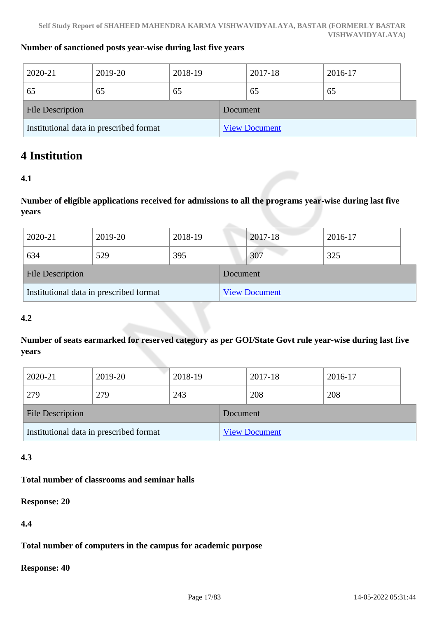#### **Number of sanctioned posts year-wise during last five years**

| 2020-21                                 | 2019-20 | 2018-19 |          | 2017-18              | 2016-17 |
|-----------------------------------------|---------|---------|----------|----------------------|---------|
| 65                                      | 65      | 65      |          | 65                   | 65      |
| <b>File Description</b>                 |         |         | Document |                      |         |
| Institutional data in prescribed format |         |         |          | <b>View Document</b> |         |

## **4 Institution**

### **4.1**

**Number of eligible applications received for admissions to all the programs year-wise during last five years**

| 2020-21                                 | 2019-20 | 2018-19 |          | 2017-18              | 2016-17 |
|-----------------------------------------|---------|---------|----------|----------------------|---------|
| 634                                     | 529     | 395     |          | 307                  | 325     |
| <b>File Description</b>                 |         |         | Document |                      |         |
| Institutional data in prescribed format |         |         |          | <b>View Document</b> |         |

### **4.2**

**Number of seats earmarked for reserved category as per GOI/State Govt rule year-wise during last five years**

| 2020-21                                 | 2019-20 | 2018-19 |          | 2017-18              | 2016-17 |  |
|-----------------------------------------|---------|---------|----------|----------------------|---------|--|
| 279                                     | 279     | 243     |          | 208                  | 208     |  |
| <b>File Description</b>                 |         |         | Document |                      |         |  |
| Institutional data in prescribed format |         |         |          | <b>View Document</b> |         |  |

### **4.3**

### **Total number of classrooms and seminar halls**

**Response: 20**

**4.4**

**Total number of computers in the campus for academic purpose**

**Response: 40**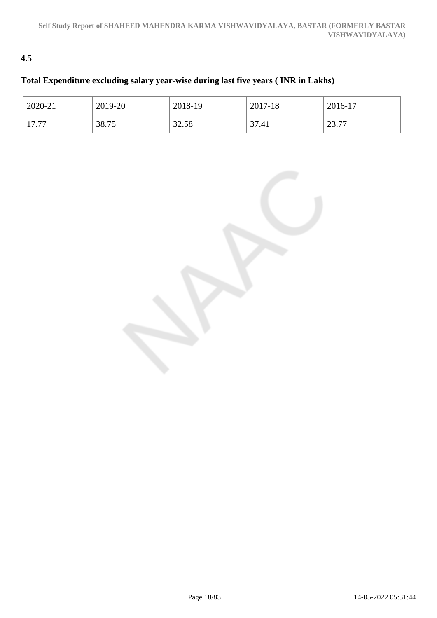### **4.5**

### **Total Expenditure excluding salary year-wise during last five years ( INR in Lakhs)**

| 2020-21 | 2019-20 | 2018-19 | 2017-18 | 2016-17          |
|---------|---------|---------|---------|------------------|
| 17.77   | 38.75   | 32.58   | 37.41   | 77<br>ົ<br>23.11 |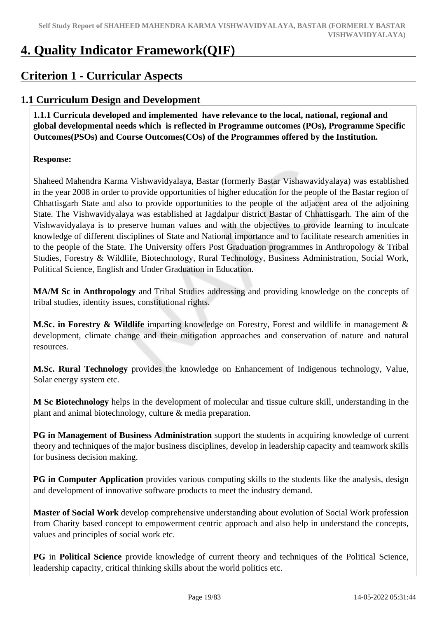# **4. Quality Indicator Framework(QIF)**

# **Criterion 1 - Curricular Aspects**

### **1.1 Curriculum Design and Development**

 **1.1.1 Curricula developed and implemented have relevance to the local, national, regional and global developmental needs which is reflected in Programme outcomes (POs), Programme Specific Outcomes(PSOs) and Course Outcomes(COs) of the Programmes offered by the Institution.**

### **Response:**

Shaheed Mahendra Karma Vishwavidyalaya, Bastar (formerly Bastar Vishawavidyalaya) was established in the year 2008 in order to provide opportunities of higher education for the people of the Bastar region of Chhattisgarh State and also to provide opportunities to the people of the adjacent area of the adjoining State. The Vishwavidyalaya was established at Jagdalpur district Bastar of Chhattisgarh. The aim of the Vishwavidyalaya is to preserve human values and with the objectives to provide learning to inculcate knowledge of different disciplines of State and National importance and to facilitate research amenities in to the people of the State. The University offers Post Graduation programmes in Anthropology & Tribal Studies, Forestry & Wildlife, Biotechnology, Rural Technology, Business Administration, Social Work, Political Science, English and Under Graduation in Education.

**MA/M Sc in Anthropology** and Tribal Studies addressing and providing knowledge on the concepts of tribal studies, identity issues, constitutional rights.

**M.Sc. in Forestry & Wildlife** imparting knowledge on Forestry, Forest and wildlife in management & development, climate change and their mitigation approaches and conservation of nature and natural resources.

**M.Sc. Rural Technology** provides the knowledge on Enhancement of Indigenous technology, Value, Solar energy system etc.

**M Sc Biotechnology** helps in the development of molecular and tissue culture skill, understanding in the plant and animal biotechnology, culture & media preparation.

**PG in Management of Business Administration** support the **s**tudents in acquiring knowledge of current theory and techniques of the major business disciplines, develop in leadership capacity and teamwork skills for business decision making.

**PG in Computer Application** provides various computing skills to the students like the analysis, design and development of innovative software products to meet the industry demand.

**Master of Social Work** develop comprehensive understanding about evolution of Social Work profession from Charity based concept to empowerment centric approach and also help in understand the concepts, values and principles of social work etc.

**PG** in **Political Science** provide knowledge of current theory and techniques of the Political Science, leadership capacity, critical thinking skills about the world politics etc.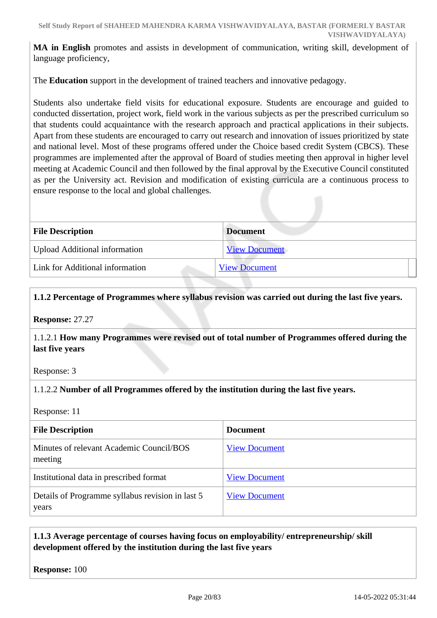**MA in English** promotes and assists in development of communication, writing skill, development of language proficiency,

The **Education** support in the development of trained teachers and innovative pedagogy.

Students also undertake field visits for educational exposure. Students are encourage and guided to conducted dissertation, project work, field work in the various subjects as per the prescribed curriculum so that students could acquaintance with the research approach and practical applications in their subjects. Apart from these students are encouraged to carry out research and innovation of issues prioritized by state and national level. Most of these programs offered under the Choice based credit System (CBCS). These programmes are implemented after the approval of Board of studies meeting then approval in higher level meeting at Academic Council and then followed by the final approval by the Executive Council constituted as per the University act. Revision and modification of existing curricula are a continuous process to ensure response to the local and global challenges.

| <b>File Description</b>              | <b>Document</b>      |
|--------------------------------------|----------------------|
| <b>Upload Additional information</b> | <b>View Document</b> |
| Link for Additional information      | <b>View Document</b> |

### **1.1.2 Percentage of Programmes where syllabus revision was carried out during the last five years.**

**Response:** 27.27

1.1.2.1 **How many Programmes were revised out of total number of Programmes offered during the last five years**

Response: 3

### 1.1.2.2 **Number of all Programmes offered by the institution during the last five years.**

Response: 11

| <b>File Description</b>                                   | <b>Document</b>      |
|-----------------------------------------------------------|----------------------|
| Minutes of relevant Academic Council/BOS<br>meeting       | <b>View Document</b> |
| Institutional data in prescribed format                   | <b>View Document</b> |
| Details of Programme syllabus revision in last 5<br>years | <b>View Document</b> |

### **1.1.3 Average percentage of courses having focus on employability/ entrepreneurship/ skill development offered by the institution during the last five years**

**Response:** 100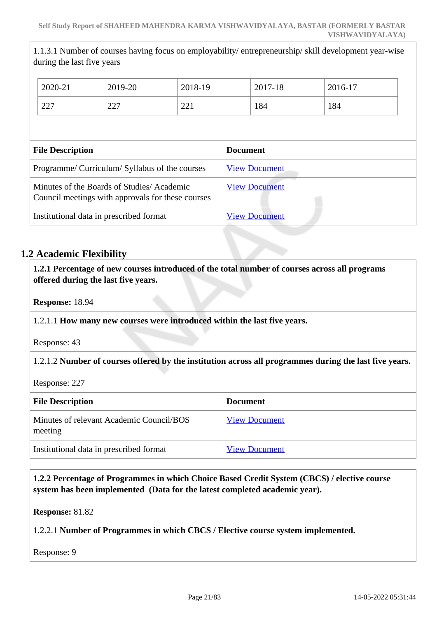1.1.3.1 Number of courses having focus on employability/ entrepreneurship/ skill development year-wise during the last five years

|                                                                                                | 2020-21 | 2019-20 | 2018-19         |                      | 2017-18 | 2016-17 |
|------------------------------------------------------------------------------------------------|---------|---------|-----------------|----------------------|---------|---------|
|                                                                                                | 227     | 227     | 221             |                      | 184     | 184     |
|                                                                                                |         |         |                 |                      |         |         |
| <b>File Description</b>                                                                        |         |         | <b>Document</b> |                      |         |         |
| Programme/ Curriculum/ Syllabus of the courses                                                 |         |         |                 | <b>View Document</b> |         |         |
| Minutes of the Boards of Studies/Academic<br>Council meetings with approvals for these courses |         |         |                 | <b>View Document</b> |         |         |
| Institutional data in prescribed format                                                        |         |         |                 | <b>View Document</b> |         |         |

### **1.2 Academic Flexibility**

 **1.2.1 Percentage of new courses introduced of the total number of courses across all programs offered during the last five years.**

**Response:** 18.94

### 1.2.1.1 **How many new courses were introduced within the last five years.**

Response: 43

### 1.2.1.2 **Number of courses offered by the institution across all programmes during the last five years.**

Response: 227

| <b>File Description</b>                             | <b>Document</b>      |
|-----------------------------------------------------|----------------------|
| Minutes of relevant Academic Council/BOS<br>meeting | <b>View Document</b> |
| Institutional data in prescribed format             | <b>View Document</b> |

 **1.2.2 Percentage of Programmes in which Choice Based Credit System (CBCS) / elective course system has been implemented (Data for the latest completed academic year).**

**Response:** 81.82

### 1.2.2.1 **Number of Programmes in which CBCS / Elective course system implemented.**

Response: 9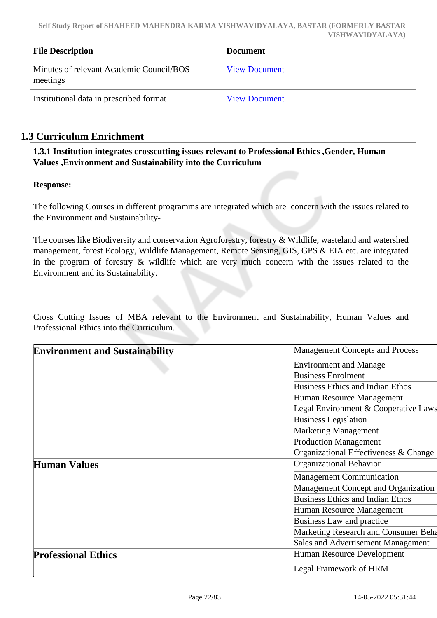| <b>File Description</b>                              | <b>Document</b>      |
|------------------------------------------------------|----------------------|
| Minutes of relevant Academic Council/BOS<br>meetings | <b>View Document</b> |
| Institutional data in prescribed format              | <b>View Document</b> |

### **1.3 Curriculum Enrichment**

 **1.3.1 Institution integrates crosscutting issues relevant to Professional Ethics ,Gender, Human Values ,Environment and Sustainability into the Curriculum**

### **Response:**

The following Courses in different programms are integrated which are concern with the issues related to the Environment and Sustainability**-**

The courses like Biodiversity and conservation Agroforestry, forestry & Wildlife, wasteland and watershed management, forest Ecology, Wildlife Management, Remote Sensing, GIS, GPS & EIA etc. are integrated in the program of forestry & wildlife which are very much concern with the issues related to the Environment and its Sustainability.

Cross Cutting Issues of MBA relevant to the Environment and Sustainability, Human Values and Professional Ethics into the Curriculum.

| <b>Environment and Sustainability</b> | <b>Management Concepts and Process</b>     |
|---------------------------------------|--------------------------------------------|
|                                       | <b>Environment and Manage</b>              |
|                                       | <b>Business Enrolment</b>                  |
|                                       | <b>Business Ethics and Indian Ethos</b>    |
|                                       | Human Resource Management                  |
|                                       | Legal Environment & Cooperative Laws       |
|                                       | <b>Business Legislation</b>                |
|                                       | <b>Marketing Management</b>                |
|                                       | <b>Production Management</b>               |
|                                       | Organizational Effectiveness & Change      |
| <b>Human Values</b>                   | Organizational Behavior                    |
|                                       | <b>Management Communication</b>            |
|                                       | <b>Management Concept and Organization</b> |
|                                       | <b>Business Ethics and Indian Ethos</b>    |
|                                       | Human Resource Management                  |
|                                       | Business Law and practice                  |
|                                       | Marketing Research and Consumer Beha       |
|                                       | Sales and Advertisement Management         |
| <b>Professional Ethics</b>            | Human Resource Development                 |
|                                       | Legal Framework of HRM                     |
|                                       |                                            |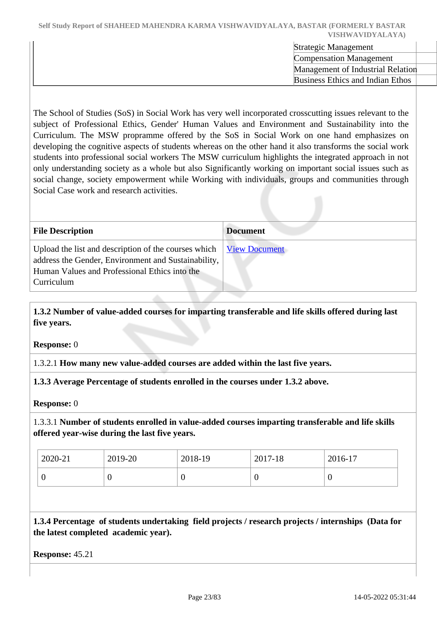Strategic Management Compensation Management Management of Industrial Relation Business Ethics and Indian Ethos

The School of Studies (SoS) in Social Work has very well incorporated crosscutting issues relevant to the subject of Professional Ethics, Gender' Human Values and Environment and Sustainability into the Curriculum. The MSW propramme offered by the SoS in Social Work on one hand emphasizes on developing the cognitive aspects of students whereas on the other hand it also transforms the social work students into professional social workers The MSW curriculum highlights the integrated approach in not only understanding society as a whole but also Significantly working on important social issues such as social change, society empowerment while Working with individuals, groups and communities through Social Case work and research activities.

| <b>File Description</b>                                                                                                                                                    | <b>Document</b>      |
|----------------------------------------------------------------------------------------------------------------------------------------------------------------------------|----------------------|
| Upload the list and description of the courses which<br>address the Gender, Environment and Sustainability,<br>Human Values and Professional Ethics into the<br>Curriculum | <b>View Document</b> |

 **1.3.2 Number of value-added courses for imparting transferable and life skills offered during last five years.**

**Response:** 0

1.3.2.1 **How many new value-added courses are added within the last five years.**

**1.3.3 Average Percentage of students enrolled in the courses under 1.3.2 above.**

**Response:** 0

1.3.3.1 **Number of students enrolled in value-added courses imparting transferable and life skills offered year-wise during the last five years.**

| 2020-21 | 2019-20 | 2018-19 | 2017-18 | $2016-17$ |
|---------|---------|---------|---------|-----------|
|         |         | v       |         | v         |

 **1.3.4 Percentage of students undertaking field projects / research projects / internships (Data for the latest completed academic year).**

**Response:** 45.21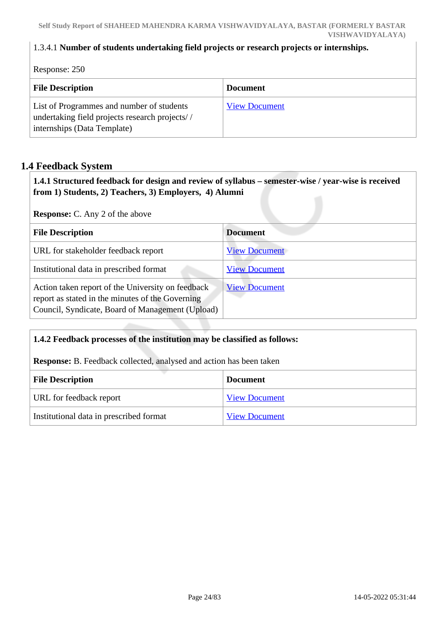### 1.3.4.1 **Number of students undertaking field projects or research projects or internships.**

Response: 250 **File Description Document** List of Programmes and number of students undertaking field projects research projects/ / internships (Data Template) [View Document](https://assessmentonline.naac.gov.in/storage/app/hei/SSR/110993/1.3.4_1641014122_7162.xlsx)

### **1.4 Feedback System**

 **1.4.1 Structured feedback for design and review of syllabus – semester-wise / year-wise is received from 1) Students, 2) Teachers, 3) Employers, 4) Alumni**

**Response:** C. Any 2 of the above

| <b>File Description</b>                                                                                                                                   | <b>Document</b>      |
|-----------------------------------------------------------------------------------------------------------------------------------------------------------|----------------------|
| URL for stakeholder feedback report                                                                                                                       | <b>View Document</b> |
| Institutional data in prescribed format                                                                                                                   | <b>View Document</b> |
| Action taken report of the University on feedback<br>report as stated in the minutes of the Governing<br>Council, Syndicate, Board of Management (Upload) | <b>View Document</b> |

### **1.4.2 Feedback processes of the institution may be classified as follows:**

**Response:** B. Feedback collected, analysed and action has been taken

| <b>File Description</b>                 | <b>Document</b>      |  |
|-----------------------------------------|----------------------|--|
| URL for feedback report                 | <b>View Document</b> |  |
| Institutional data in prescribed format | <b>View Document</b> |  |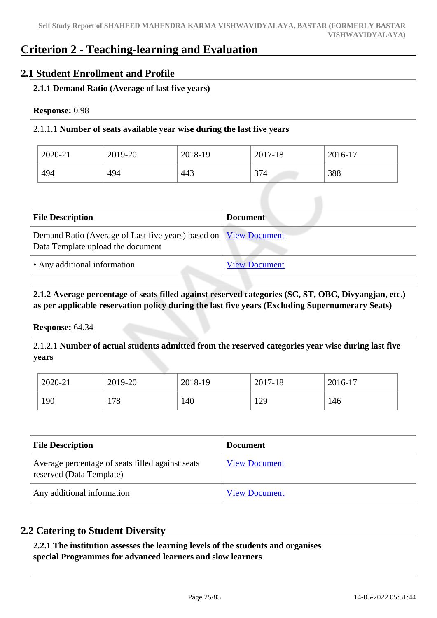## **Criterion 2 - Teaching-learning and Evaluation**

### **2.1 Student Enrollment and Profile**

### **2.1.1 Demand Ratio (Average of last five years)**

### **Response:** 0.98

### 2.1.1.1 **Number of seats available year wise during the last five years**

| 2020-21 | 2019-20 | 2018-19 | 2017-18 | 2016-17 |
|---------|---------|---------|---------|---------|
| 494     | 494     | 443     | 374     | 388     |

| <b>File Description</b>                                                                                 | <b>Document</b>      |
|---------------------------------------------------------------------------------------------------------|----------------------|
| Demand Ratio (Average of Last five years) based on   View Document<br>Data Template upload the document |                      |
| • Any additional information                                                                            | <b>View Document</b> |

### **2.1.2 Average percentage of seats filled against reserved categories (SC, ST, OBC, Divyangjan, etc.) as per applicable reservation policy during the last five years (Excluding Supernumerary Seats)**

**Response:** 64.34

2.1.2.1 **Number of actual students admitted from the reserved categories year wise during last five years**

| 2020-21 | 2019-20 | 2018-19 | 2017-18 | 2016-17 |
|---------|---------|---------|---------|---------|
| 190     | 178     | 140     | 129     | 146     |

| <b>File Description</b>                                                      | <b>Document</b>      |
|------------------------------------------------------------------------------|----------------------|
| Average percentage of seats filled against seats<br>reserved (Data Template) | <b>View Document</b> |
| Any additional information                                                   | <b>View Document</b> |

### **2.2 Catering to Student Diversity**

 **2.2.1 The institution assesses the learning levels of the students and organises special Programmes for advanced learners and slow learners**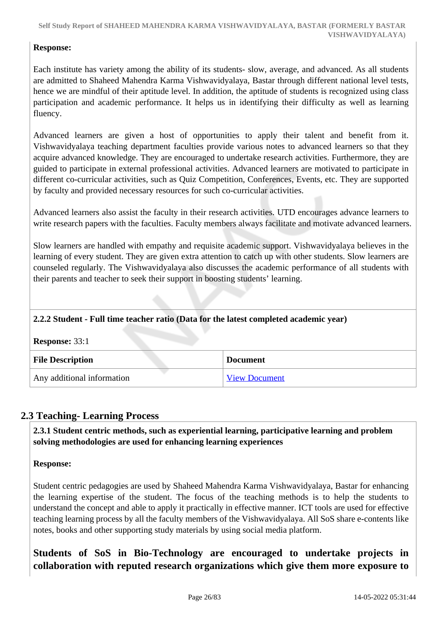### **Response:**

Each institute has variety among the ability of its students- slow, average, and advanced. As all students are admitted to Shaheed Mahendra Karma Vishwavidyalaya, Bastar through different national level tests, hence we are mindful of their aptitude level. In addition, the aptitude of students is recognized using class participation and academic performance. It helps us in identifying their difficulty as well as learning fluency.

Advanced learners are given a host of opportunities to apply their talent and benefit from it. Vishwavidyalaya teaching department faculties provide various notes to advanced learners so that they acquire advanced knowledge. They are encouraged to undertake research activities. Furthermore, they are guided to participate in external professional activities. Advanced learners are motivated to participate in different co-curricular activities, such as Quiz Competition, Conferences, Events, etc. They are supported by faculty and provided necessary resources for such co-curricular activities.

Advanced learners also assist the faculty in their research activities. UTD encourages advance learners to write research papers with the faculties. Faculty members always facilitate and motivate advanced learners.

Slow learners are handled with empathy and requisite academic support. Vishwavidyalaya believes in the learning of every student. They are given extra attention to catch up with other students. Slow learners are counseled regularly. The Vishwavidyalaya also discusses the academic performance of all students with their parents and teacher to seek their support in boosting students' learning.

### **2.2.2 Student - Full time teacher ratio (Data for the latest completed academic year)**

**Response:** 33:1

| <b>File Description</b>    | <b>Document</b>      |
|----------------------------|----------------------|
| Any additional information | <b>View Document</b> |

### **2.3 Teaching- Learning Process**

 **2.3.1 Student centric methods, such as experiential learning, participative learning and problem solving methodologies are used for enhancing learning experiences**

### **Response:**

Student centric pedagogies are used by Shaheed Mahendra Karma Vishwavidyalaya, Bastar for enhancing the learning expertise of the student. The focus of the teaching methods is to help the students to understand the concept and able to apply it practically in effective manner. ICT tools are used for effective teaching learning process by all the faculty members of the Vishwavidyalaya. All SoS share e-contents like notes, books and other supporting study materials by using social media platform.

**Students of SoS in Bio-Technology are encouraged to undertake projects in collaboration with reputed research organizations which give them more exposure to**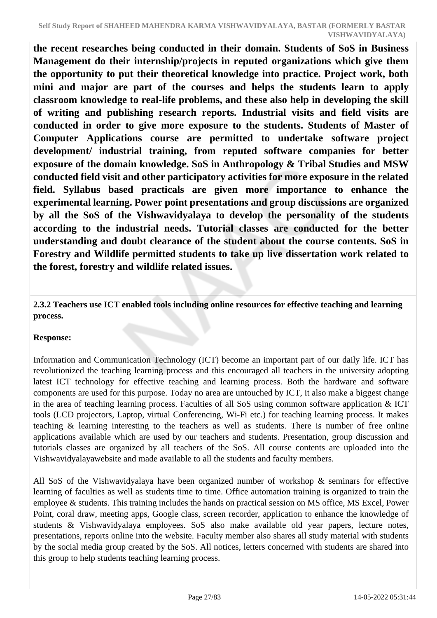**the recent researches being conducted in their domain. Students of SoS in Business Management do their internship/projects in reputed organizations which give them the opportunity to put their theoretical knowledge into practice. Project work, both mini and major are part of the courses and helps the students learn to apply classroom knowledge to real-life problems, and these also help in developing the skill of writing and publishing research reports. Industrial visits and field visits are conducted in order to give more exposure to the students. Students of Master of Computer Applications course are permitted to undertake software project development/ industrial training, from reputed software companies for better exposure of the domain knowledge. SoS in Anthropology & Tribal Studies and MSW conducted field visit and other participatory activities for more exposure in the related field. Syllabus based practicals are given more importance to enhance the experimental learning. Power point presentations and group discussions are organized by all the SoS of the Vishwavidyalaya to develop the personality of the students according to the industrial needs. Tutorial classes are conducted for the better understanding and doubt clearance of the student about the course contents. SoS in Forestry and Wildlife permitted students to take up live dissertation work related to the forest, forestry and wildlife related issues.**

 **2.3.2 Teachers use ICT enabled tools including online resources for effective teaching and learning process.** 

### **Response:**

Information and Communication Technology (ICT) become an important part of our daily life. ICT has revolutionized the teaching learning process and this encouraged all teachers in the university adopting latest ICT technology for effective teaching and learning process. Both the hardware and software components are used for this purpose. Today no area are untouched by ICT, it also make a biggest change in the area of teaching learning process. Faculties of all SoS using common software application & ICT tools (LCD projectors, Laptop, virtual Conferencing, Wi-Fi etc.) for teaching learning process. It makes teaching & learning interesting to the teachers as well as students. There is number of free online applications available which are used by our teachers and students. Presentation, group discussion and tutorials classes are organized by all teachers of the SoS. All course contents are uploaded into the Vishwavidyalayawebsite and made available to all the students and faculty members.

All SoS of the Vishwavidyalaya have been organized number of workshop & seminars for effective learning of faculties as well as students time to time. Office automation training is organized to train the employee & students. This training includes the hands on practical session on MS office, MS Excel, Power Point, coral draw, meeting apps, Google class, screen recorder, application to enhance the knowledge of students & Vishwavidyalaya employees. SoS also make available old year papers, lecture notes, presentations, reports online into the website. Faculty member also shares all study material with students by the social media group created by the SoS. All notices, letters concerned with students are shared into this group to help students teaching learning process.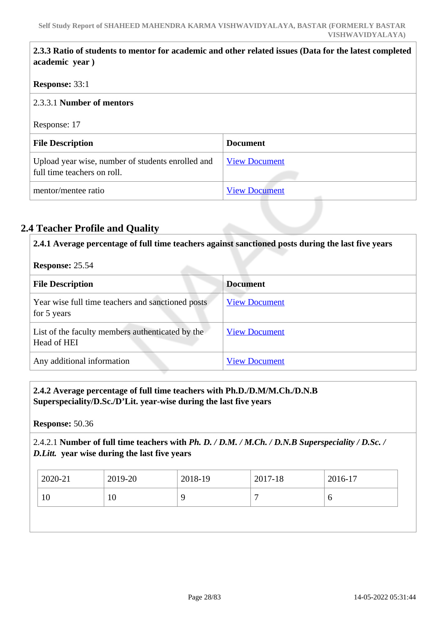|  | 2.3.3 Ratio of students to mentor for academic and other related issues (Data for the latest completed<br>academic year) |                      |  |
|--|--------------------------------------------------------------------------------------------------------------------------|----------------------|--|
|  | <b>Response: 33:1</b><br>2.3.3.1 Number of mentors                                                                       |                      |  |
|  |                                                                                                                          |                      |  |
|  | Response: 17                                                                                                             |                      |  |
|  | <b>File Description</b>                                                                                                  | <b>Document</b>      |  |
|  | Upload year wise, number of students enrolled and<br>full time teachers on roll.                                         | <b>View Document</b> |  |
|  | mentor/mentee ratio                                                                                                      | <b>View Document</b> |  |

### **2.4 Teacher Profile and Quality**

 **2.4.1 Average percentage of full time teachers against sanctioned posts during the last five years Response:** 25.54 **File Description Document** Year wise full time teachers and sanctioned posts for 5 years [View Document](https://assessmentonline.naac.gov.in/storage/app/hei/SSR/110993/2.4.1_1641024327_7162.xlsx) List of the faculty members authenticated by the Head of HEI [View Document](https://assessmentonline.naac.gov.in/storage/app/hei/SSR/110993/2.4.1_1640886853_7162.PDF) Any additional information [View Document](https://assessmentonline.naac.gov.in/storage/app/hei/SSR/110993/2.4.1_1640887409_7162.pdf)

### **2.4.2 Average percentage of full time teachers with Ph.D./D.M/M.Ch./D.N.B Superspeciality/D.Sc./D'Lit. year-wise during the last five years**

**Response:** 50.36

### 2.4.2.1 **Number of full time teachers with** *Ph. D. / D.M. / M.Ch. / D.N.B Superspeciality / D.Sc. / D.Litt.* **year wise during the last five years**

| $12020 - 21$ | 2019-20 | 2018-19 | $\frac{1}{2017}$ -18 | 2016-17 |
|--------------|---------|---------|----------------------|---------|
|              | 1∪      |         | ┍                    | υ       |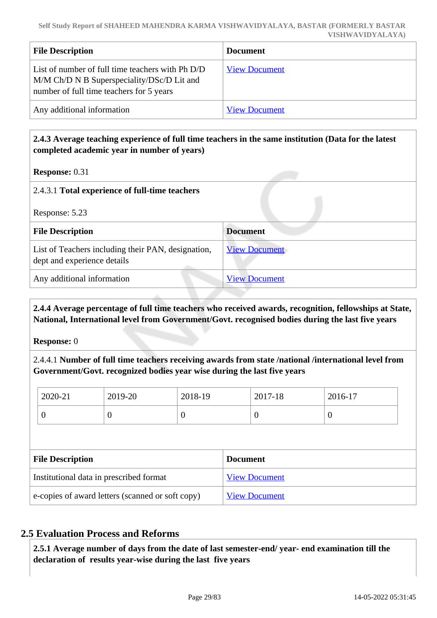| <b>File Description</b>                                                                                                                    | <b>Document</b>      |
|--------------------------------------------------------------------------------------------------------------------------------------------|----------------------|
| List of number of full time teachers with Ph D/D<br>M/M Ch/D N B Superspeciality/DSc/D Lit and<br>number of full time teachers for 5 years | <b>View Document</b> |
| Any additional information                                                                                                                 | <b>View Document</b> |

### **2.4.3 Average teaching experience of full time teachers in the same institution (Data for the latest completed academic year in number of years)**

**Response:** 0.31

| 2.4.3.1 Total experience of full-time teachers                                    |                      |  |  |
|-----------------------------------------------------------------------------------|----------------------|--|--|
| Response: 5.23                                                                    |                      |  |  |
| <b>File Description</b>                                                           | <b>Document</b>      |  |  |
| List of Teachers including their PAN, designation,<br>dept and experience details | <b>View Document</b> |  |  |
| Any additional information                                                        | <b>View Document</b> |  |  |

 **2.4.4 Average percentage of full time teachers who received awards, recognition, fellowships at State, National, International level from Government/Govt. recognised bodies during the last five years**

**Response:** 0

2.4.4.1 **Number of full time teachers receiving awards from state /national /international level from Government/Govt. recognized bodies year wise during the last five years** 

| 2020-21 | 2019-20 | 2018-19 | 2017-18 | 2016-17 |
|---------|---------|---------|---------|---------|
| ν       |         |         | O       | U       |

| <b>File Description</b>                          | <b>Document</b>      |
|--------------------------------------------------|----------------------|
| Institutional data in prescribed format          | <b>View Document</b> |
| e-copies of award letters (scanned or soft copy) | <b>View Document</b> |

### **2.5 Evaluation Process and Reforms**

 **2.5.1 Average number of days from the date of last semester-end/ year- end examination till the declaration of results year-wise during the last five years**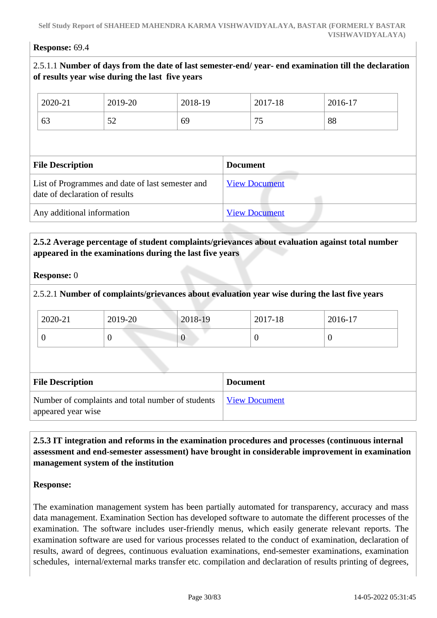#### **Response:** 69.4

### 2.5.1.1 **Number of days from the date of last semester-end/ year- end examination till the declaration of results year wise during the last five years**

| 2020-21                        | 2019-20                                          | 2018-19 |                 | 2017-18              | 2016-17 |  |
|--------------------------------|--------------------------------------------------|---------|-----------------|----------------------|---------|--|
| 63                             | 52                                               | 69      |                 | 75                   | 88      |  |
|                                |                                                  |         |                 |                      |         |  |
|                                |                                                  |         |                 |                      |         |  |
| <b>File Description</b>        |                                                  |         | <b>Document</b> |                      |         |  |
| date of declaration of results | List of Programmes and date of last semester and |         |                 | <b>View Document</b> |         |  |

### **2.5.2 Average percentage of student complaints/grievances about evaluation against total number appeared in the examinations during the last five years**

#### **Response:** 0

### 2.5.2.1 **Number of complaints/grievances about evaluation year wise during the last five years**

| 2020-21 | 2019-20 | 2018-19     | 2017-18 | 2016-17 |
|---------|---------|-------------|---------|---------|
|         | ◡       | $\mathbf v$ |         |         |

| <b>File Description</b>                                                 | <b>Document</b>      |
|-------------------------------------------------------------------------|----------------------|
| Number of complaints and total number of students<br>appeared year wise | <i>View Document</i> |

### **2.5.3 IT integration and reforms in the examination procedures and processes (continuous internal assessment and end-semester assessment) have brought in considerable improvement in examination management system of the institution**

#### **Response:**

The examination management system has been partially automated for transparency, accuracy and mass data management. Examination Section has developed software to automate the different processes of the examination. The software includes user-friendly menus, which easily generate relevant reports. The examination software are used for various processes related to the conduct of examination, declaration of results, award of degrees, continuous evaluation examinations, end-semester examinations, examination schedules, internal/external marks transfer etc. compilation and declaration of results printing of degrees,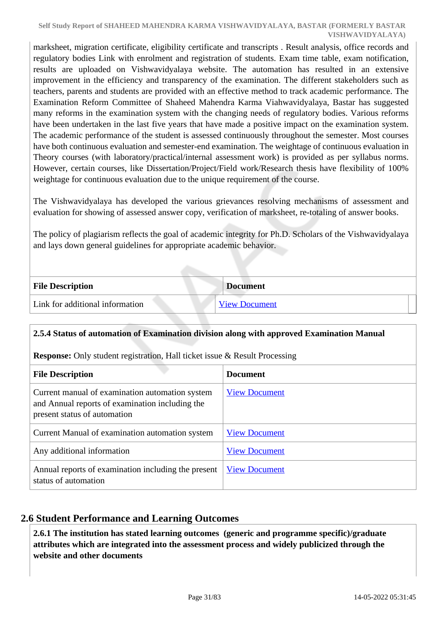marksheet, migration certificate, eligibility certificate and transcripts . Result analysis, office records and regulatory bodies Link with enrolment and registration of students. Exam time table, exam notification, results are uploaded on Vishwavidyalaya website. The automation has resulted in an extensive improvement in the efficiency and transparency of the examination. The different stakeholders such as teachers, parents and students are provided with an effective method to track academic performance. The Examination Reform Committee of Shaheed Mahendra Karma Viahwavidyalaya, Bastar has suggested many reforms in the examination system with the changing needs of regulatory bodies. Various reforms have been undertaken in the last five years that have made a positive impact on the examination system. The academic performance of the student is assessed continuously throughout the semester. Most courses have both continuous evaluation and semester-end examination. The weightage of continuous evaluation in Theory courses (with laboratory/practical/internal assessment work) is provided as per syllabus norms. However, certain courses, like Dissertation/Project/Field work/Research thesis have flexibility of 100% weightage for continuous evaluation due to the unique requirement of the course.

The Vishwavidyalaya has developed the various grievances resolving mechanisms of assessment and evaluation for showing of assessed answer copy, verification of marksheet, re-totaling of answer books.

The policy of plagiarism reflects the goal of academic integrity for Ph.D. Scholars of the Vishwavidyalaya and lays down general guidelines for appropriate academic behavior.

| <b>File Description</b>         | <b>Document</b>      |
|---------------------------------|----------------------|
| Link for additional information | <b>View Document</b> |

### **2.5.4 Status of automation of Examination division along with approved Examination Manual**

**Response:** Only student registration, Hall ticket issue & Result Processing

| <b>File Description</b>                                                                                                            | <b>Document</b>      |
|------------------------------------------------------------------------------------------------------------------------------------|----------------------|
| Current manual of examination automation system<br>and Annual reports of examination including the<br>present status of automation | <b>View Document</b> |
| Current Manual of examination automation system                                                                                    | <b>View Document</b> |
| Any additional information                                                                                                         | <b>View Document</b> |
| Annual reports of examination including the present<br>status of automation                                                        | <b>View Document</b> |

### **2.6 Student Performance and Learning Outcomes**

 **2.6.1 The institution has stated learning outcomes (generic and programme specific)/graduate attributes which are integrated into the assessment process and widely publicized through the website and other documents**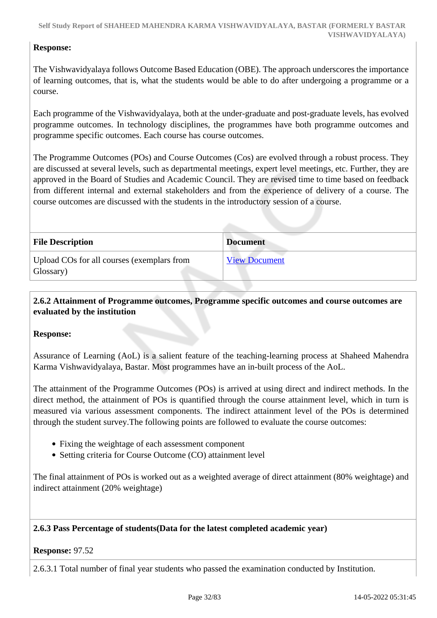### **Response:**

The Vishwavidyalaya follows Outcome Based Education (OBE). The approach underscores the importance of learning outcomes, that is, what the students would be able to do after undergoing a programme or a course.

Each programme of the Vishwavidyalaya, both at the under-graduate and post-graduate levels, has evolved programme outcomes. In technology disciplines, the programmes have both programme outcomes and programme specific outcomes. Each course has course outcomes.

The Programme Outcomes (POs) and Course Outcomes (Cos) are evolved through a robust process. They are discussed at several levels, such as departmental meetings, expert level meetings, etc. Further, they are approved in the Board of Studies and Academic Council. They are revised time to time based on feedback from different internal and external stakeholders and from the experience of delivery of a course. The course outcomes are discussed with the students in the introductory session of a course.

| <b>File Description</b>                                 | <b>Document</b>      |
|---------------------------------------------------------|----------------------|
| Upload COs for all courses (exemplars from<br>Glossary) | <b>View Document</b> |

### **2.6.2 Attainment of Programme outcomes, Programme specific outcomes and course outcomes are evaluated by the institution**

### **Response:**

Assurance of Learning (AoL) is a salient feature of the teaching-learning process at Shaheed Mahendra Karma Vishwavidyalaya, Bastar. Most programmes have an in-built process of the AoL.

The attainment of the Programme Outcomes (POs) is arrived at using direct and indirect methods. In the direct method, the attainment of POs is quantified through the course attainment level, which in turn is measured via various assessment components. The indirect attainment level of the POs is determined through the student survey.The following points are followed to evaluate the course outcomes:

- Fixing the weightage of each assessment component
- Setting criteria for Course Outcome (CO) attainment level

The final attainment of POs is worked out as a weighted average of direct attainment (80% weightage) and indirect attainment (20% weightage)

### **2.6.3 Pass Percentage of students(Data for the latest completed academic year)**

#### **Response:** 97.52

2.6.3.1 Total number of final year students who passed the examination conducted by Institution.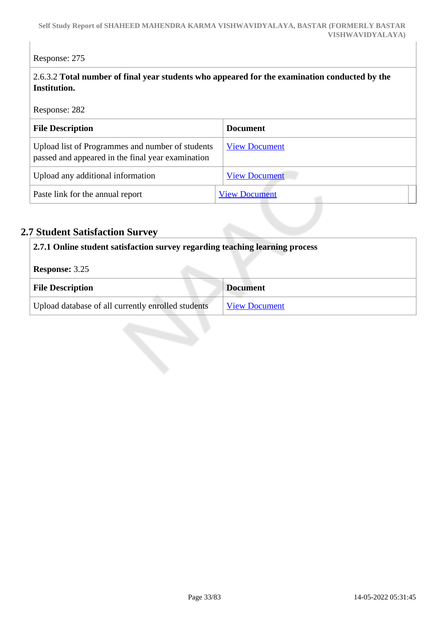### Response: 275

### 2.6.3.2 **Total number of final year students who appeared for the examination conducted by the Institution.**

Response: 282

| <b>File Description</b>                                                                               | <b>Document</b>      |
|-------------------------------------------------------------------------------------------------------|----------------------|
| Upload list of Programmes and number of students<br>passed and appeared in the final year examination | <b>View Document</b> |
| Upload any additional information                                                                     | <b>View Document</b> |
| Paste link for the annual report                                                                      | <b>View Document</b> |

# **2.7 Student Satisfaction Survey**

| 2.7.1 Online student satisfaction survey regarding teaching learning process |                      |  |
|------------------------------------------------------------------------------|----------------------|--|
| <b>Response: 3.25</b>                                                        |                      |  |
| <b>File Description</b>                                                      | <b>Document</b>      |  |
| Upload database of all currently enrolled students                           | <b>View Document</b> |  |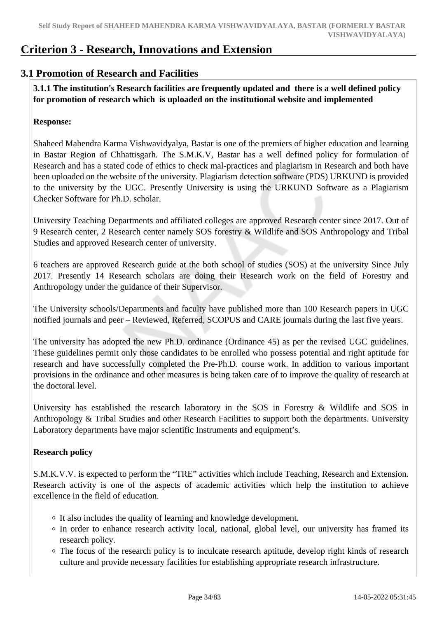## **Criterion 3 - Research, Innovations and Extension**

### **3.1 Promotion of Research and Facilities**

 **3.1.1 The institution's Research facilities are frequently updated and there is a well defined policy for promotion of research which is uploaded on the institutional website and implemented**

### **Response:**

Shaheed Mahendra Karma Vishwavidyalya, Bastar is one of the premiers of higher education and learning in Bastar Region of Chhattisgarh. The S.M.K.V, Bastar has a well defined policy for formulation of Research and has a stated code of ethics to check mal-practices and plagiarism in Research and both have been uploaded on the website of the university. Plagiarism detection software (PDS) URKUND is provided to the university by the UGC. Presently University is using the URKUND Software as a Plagiarism Checker Software for Ph.D. scholar.

University Teaching Departments and affiliated colleges are approved Research center since 2017. Out of 9 Research center, 2 Research center namely SOS forestry & Wildlife and SOS Anthropology and Tribal Studies and approved Research center of university.

6 teachers are approved Research guide at the both school of studies (SOS) at the university Since July 2017. Presently 14 Research scholars are doing their Research work on the field of Forestry and Anthropology under the guidance of their Supervisor.

The University schools/Departments and faculty have published more than 100 Research papers in UGC notified journals and peer – Reviewed, Referred, SCOPUS and CARE journals during the last five years.

The university has adopted the new Ph.D. ordinance (Ordinance 45) as per the revised UGC guidelines. These guidelines permit only those candidates to be enrolled who possess potential and right aptitude for research and have successfully completed the Pre-Ph.D. course work. In addition to various important provisions in the ordinance and other measures is being taken care of to improve the quality of research at the doctoral level.

University has established the research laboratory in the SOS in Forestry & Wildlife and SOS in Anthropology & Tribal Studies and other Research Facilities to support both the departments. University Laboratory departments have major scientific Instruments and equipment's.

### **Research policy**

S.M.K.V.V. is expected to perform the "TRE" activities which include Teaching, Research and Extension. Research activity is one of the aspects of academic activities which help the institution to achieve excellence in the field of education.

- It also includes the quality of learning and knowledge development.
- In order to enhance research activity local, national, global level, our university has framed its research policy.
- The focus of the research policy is to inculcate research aptitude, develop right kinds of research culture and provide necessary facilities for establishing appropriate research infrastructure.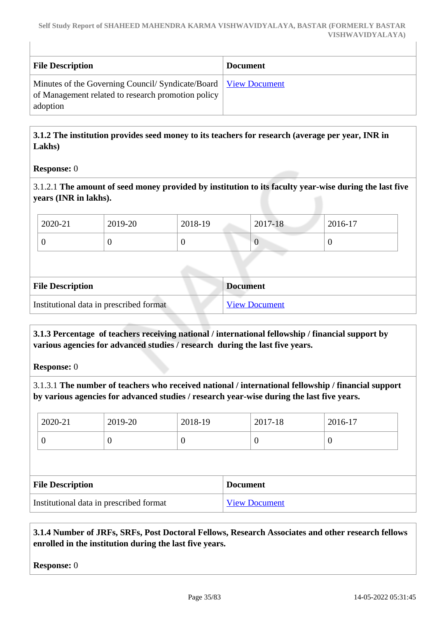| <b>File Description</b>                                                                                                             | <b>Document</b> |
|-------------------------------------------------------------------------------------------------------------------------------------|-----------------|
| Minutes of the Governing Council/ Syndicate/Board   View Document<br>of Management related to research promotion policy<br>adoption |                 |

 **3.1.2 The institution provides seed money to its teachers for research (average per year, INR in Lakhs)**

### **Response:** 0

3.1.2.1 **The amount of seed money provided by institution to its faculty year-wise during the last five years (INR in lakhs).**

| 2020-21 | 2019-20 | 2018-19 | 2017-18 | 2016-17 |
|---------|---------|---------|---------|---------|
|         |         |         |         |         |

| <b>File Description</b>                 | <b>Document</b>      |
|-----------------------------------------|----------------------|
| Institutional data in prescribed format | <b>View Document</b> |

### **3.1.3 Percentage of teachers receiving national / international fellowship / financial support by various agencies for advanced studies / research during the last five years.**

**Response:** 0

3.1.3.1 **The number of teachers who received national / international fellowship / financial support by various agencies for advanced studies / research year-wise during the last five years.**

|                                         | 2020-21 | 2019-20 | 2018-19              |                 | 2017-18  | 2016-17 |
|-----------------------------------------|---------|---------|----------------------|-----------------|----------|---------|
|                                         | 0       | U       | $\theta$             |                 | $\theta$ | O       |
|                                         |         |         |                      |                 |          |         |
| <b>File Description</b>                 |         |         |                      | <b>Document</b> |          |         |
| Institutional data in prescribed format |         |         | <b>View Document</b> |                 |          |         |

 **3.1.4 Number of JRFs, SRFs, Post Doctoral Fellows, Research Associates and other research fellows enrolled in the institution during the last five years.**

**Response:** 0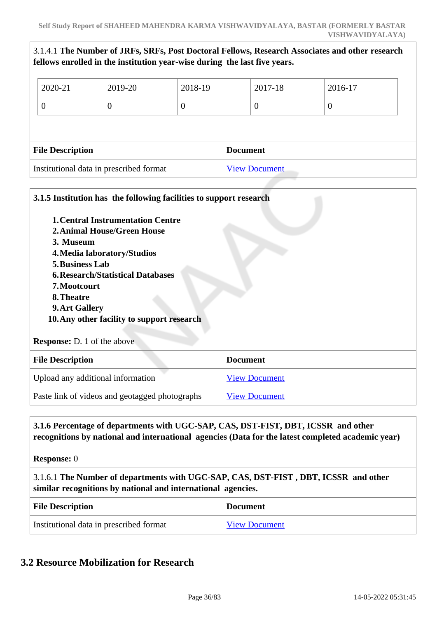|                                         |                         | fellows enrolled in the institution year-wise during the last five years. |                      |                 |          | 3.1.4.1 The Number of JRFs, SRFs, Post Doctoral Fellows, Research Associates and other research |  |
|-----------------------------------------|-------------------------|---------------------------------------------------------------------------|----------------------|-----------------|----------|-------------------------------------------------------------------------------------------------|--|
|                                         | 2020-21                 | 2019-20                                                                   | 2018-19              |                 | 2017-18  | 2016-17                                                                                         |  |
|                                         | $\overline{0}$          | $\theta$                                                                  | $\boldsymbol{0}$     |                 | $\theta$ | $\boldsymbol{0}$                                                                                |  |
|                                         |                         |                                                                           |                      |                 |          |                                                                                                 |  |
|                                         | <b>File Description</b> |                                                                           |                      | <b>Document</b> |          |                                                                                                 |  |
| Institutional data in prescribed format |                         |                                                                           | <b>View Document</b> |                 |          |                                                                                                 |  |

| <b>1. Central Instrumentation Centre</b><br><b>2. Animal House/Green House</b><br>3. Museum<br>4. Media laboratory/Studios<br><b>5. Business Lab</b><br><b>6. Research/Statistical Databases</b> |                      |  |  |
|--------------------------------------------------------------------------------------------------------------------------------------------------------------------------------------------------|----------------------|--|--|
| 7. Mootcourt                                                                                                                                                                                     |                      |  |  |
| 8. Theatre                                                                                                                                                                                       |                      |  |  |
| 9. Art Gallery                                                                                                                                                                                   |                      |  |  |
| 10. Any other facility to support research                                                                                                                                                       |                      |  |  |
| <b>Response:</b> D. 1 of the above                                                                                                                                                               |                      |  |  |
| <b>File Description</b>                                                                                                                                                                          | <b>Document</b>      |  |  |
| Upload any additional information                                                                                                                                                                | <b>View Document</b> |  |  |
| Paste link of videos and geotagged photographs                                                                                                                                                   | <b>View Document</b> |  |  |

### **3.1.6 Percentage of departments with UGC-SAP, CAS, DST-FIST, DBT, ICSSR and other recognitions by national and international agencies (Data for the latest completed academic year)**

**Response:** 0

3.1.6.1 **The Number of departments with UGC-SAP, CAS, DST-FIST , DBT, ICSSR and other similar recognitions by national and international agencies.**

| <b>File Description</b>                 | <b>Document</b>      |
|-----------------------------------------|----------------------|
| Institutional data in prescribed format | <b>View Document</b> |

### **3.2 Resource Mobilization for Research**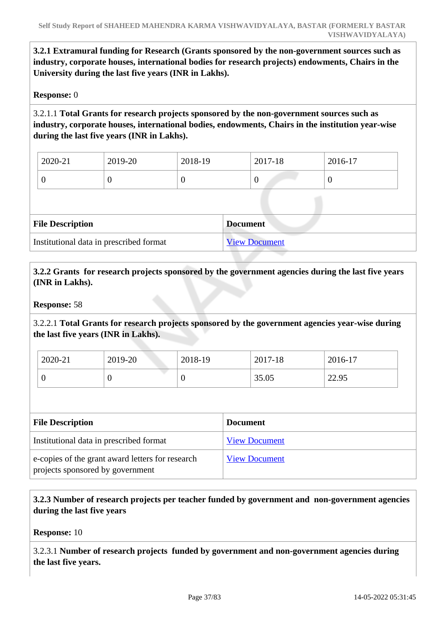**3.2.1 Extramural funding for Research (Grants sponsored by the non-government sources such as industry, corporate houses, international bodies for research projects) endowments, Chairs in the University during the last five years (INR in Lakhs).**

#### **Response:** 0

3.2.1.1 **Total Grants for research projects sponsored by the non-government sources such as industry, corporate houses, international bodies, endowments, Chairs in the institution year-wise during the last five years (INR in Lakhs).**

| 2020-21 | 2019-20 | 2018-19 | 2017-18 | 2016-17 |
|---------|---------|---------|---------|---------|
|         |         |         | v       | ິ       |

| <b>File Description</b>                 | <b>Document</b>      |
|-----------------------------------------|----------------------|
| Institutional data in prescribed format | <b>View Document</b> |

 **3.2.2 Grants for research projects sponsored by the government agencies during the last five years (INR in Lakhs).**

#### **Response:** 58

3.2.2.1 **Total Grants for research projects sponsored by the government agencies year-wise during the last five years (INR in Lakhs).**

| 2020-21 | 2019-20 | 2018-19 | 2017-18 | 2016-17 |
|---------|---------|---------|---------|---------|
|         |         | ν       | 35.05   | 22.95   |

| <b>File Description</b>                                                              | <b>Document</b>      |
|--------------------------------------------------------------------------------------|----------------------|
| Institutional data in prescribed format                                              | <b>View Document</b> |
| e-copies of the grant award letters for research<br>projects sponsored by government | <b>View Document</b> |

 **3.2.3 Number of research projects per teacher funded by government and non-government agencies during the last five years**

**Response:** 10

3.2.3.1 **Number of research projects funded by government and non-government agencies during the last five years.**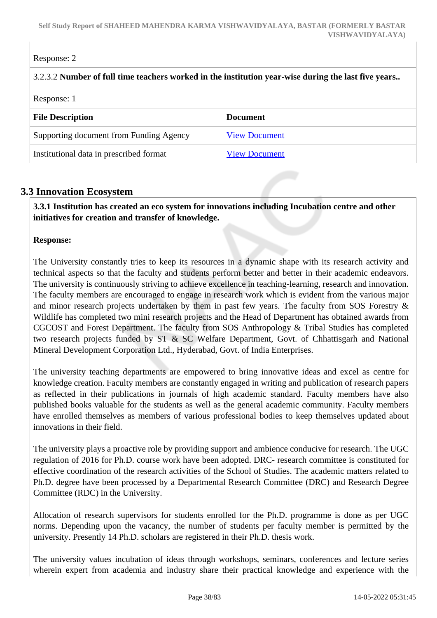# Response: 2

## 3.2.3.2 **Number of full time teachers worked in the institution year-wise during the last five years..**

#### Response: 1

| <b>File Description</b>                 | <b>Document</b>      |  |
|-----------------------------------------|----------------------|--|
| Supporting document from Funding Agency | <b>View Document</b> |  |
| Institutional data in prescribed format | <b>View Document</b> |  |

# **3.3 Innovation Ecosystem**

 **3.3.1 Institution has created an eco system for innovations including Incubation centre and other initiatives for creation and transfer of knowledge.**

#### **Response:**

The University constantly tries to keep its resources in a dynamic shape with its research activity and technical aspects so that the faculty and students perform better and better in their academic endeavors. The university is continuously striving to achieve excellence in teaching-learning, research and innovation. The faculty members are encouraged to engage in research work which is evident from the various major and minor research projects undertaken by them in past few years. The faculty from SOS Forestry & Wildlife has completed two mini research projects and the Head of Department has obtained awards from CGCOST and Forest Department. The faculty from SOS Anthropology & Tribal Studies has completed two research projects funded by ST & SC Welfare Department, Govt. of Chhattisgarh and National Mineral Development Corporation Ltd., Hyderabad, Govt. of India Enterprises.

The university teaching departments are empowered to bring innovative ideas and excel as centre for knowledge creation. Faculty members are constantly engaged in writing and publication of research papers as reflected in their publications in journals of high academic standard. Faculty members have also published books valuable for the students as well as the general academic community. Faculty members have enrolled themselves as members of various professional bodies to keep themselves updated about innovations in their field.

The university plays a proactive role by providing support and ambience conducive for research. The UGC regulation of 2016 for Ph.D. course work have been adopted. DRC- research committee is constituted for effective coordination of the research activities of the School of Studies. The academic matters related to Ph.D. degree have been processed by a Departmental Research Committee (DRC) and Research Degree Committee (RDC) in the University.

Allocation of research supervisors for students enrolled for the Ph.D. programme is done as per UGC norms. Depending upon the vacancy, the number of students per faculty member is permitted by the university. Presently 14 Ph.D. scholars are registered in their Ph.D. thesis work.

The university values incubation of ideas through workshops, seminars, conferences and lecture series wherein expert from academia and industry share their practical knowledge and experience with the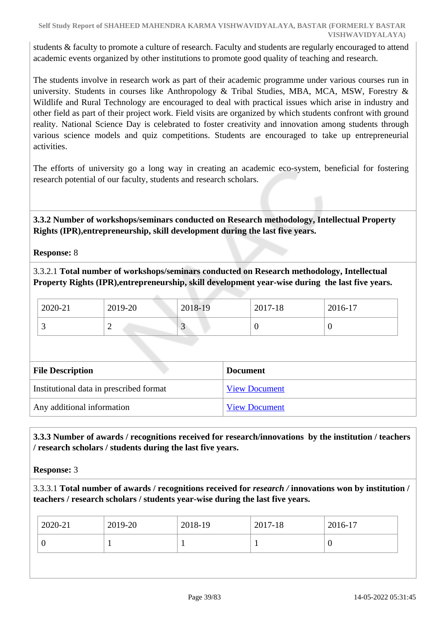students & faculty to promote a culture of research. Faculty and students are regularly encouraged to attend academic events organized by other institutions to promote good quality of teaching and research.

The students involve in research work as part of their academic programme under various courses run in university. Students in courses like Anthropology & Tribal Studies, MBA, MCA, MSW, Forestry & Wildlife and Rural Technology are encouraged to deal with practical issues which arise in industry and other field as part of their project work. Field visits are organized by which students confront with ground reality. National Science Day is celebrated to foster creativity and innovation among students through various science models and quiz competitions. Students are encouraged to take up entrepreneurial activities.

The efforts of university go a long way in creating an academic eco-system, beneficial for fostering research potential of our faculty, students and research scholars.

 **3.3.2 Number of workshops/seminars conducted on Research methodology, Intellectual Property Rights (IPR),entrepreneurship, skill development during the last five years.**

**Response:** 8

3.3.2.1 **Total number of workshops/seminars conducted on Research methodology, Intellectual Property Rights (IPR),entrepreneurship, skill development year-wise during the last five years.**

| 2020-21 | 2019-20 | 2018-19 | 2017-18 | 2016-17 |
|---------|---------|---------|---------|---------|
|         | -       | ◡       |         |         |

| <b>File Description</b>                 | <b>Document</b>      |
|-----------------------------------------|----------------------|
| Institutional data in prescribed format | <b>View Document</b> |
| Any additional information              | <b>View Document</b> |

 **3.3.3 Number of awards / recognitions received for research/innovations by the institution / teachers / research scholars / students during the last five years.**

**Response:** 3

3.3.3.1 **Total number of awards / recognitions received for** *research /* **innovations won by institution / teachers / research scholars / students year-wise during the last five years.**

| 2020-21 | 2019-20 | 2018-19 | 2017-18 | 2016-17 |
|---------|---------|---------|---------|---------|
|         |         |         |         |         |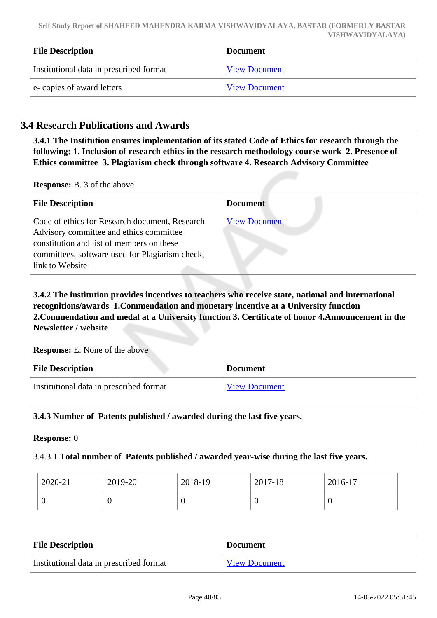| <b>File Description</b>                 | <b>Document</b>      |
|-----------------------------------------|----------------------|
| Institutional data in prescribed format | <b>View Document</b> |
| e-copies of award letters               | <b>View Document</b> |

# **3.4 Research Publications and Awards**

 **3.4.1 The Institution ensures implementation of its stated Code of Ethics for research through the following: 1. Inclusion of research ethics in the research methodology course work 2. Presence of Ethics committee 3. Plagiarism check through software 4. Research Advisory Committee**

**Response:** B. 3 of the above

| <b>File Description</b>                                                                                                                                                                                      | <b>Document</b>      |
|--------------------------------------------------------------------------------------------------------------------------------------------------------------------------------------------------------------|----------------------|
| Code of ethics for Research document, Research<br>Advisory committee and ethics committee<br>constitution and list of members on these<br>committees, software used for Plagiarism check,<br>link to Website | <b>View Document</b> |

 **3.4.2 The institution provides incentives to teachers who receive state, national and international recognitions/awards 1.Commendation and monetary incentive at a University function 2.Commendation and medal at a University function 3. Certificate of honor 4.Announcement in the Newsletter / website**

**Response:** E. None of the above

| <b>File Description</b>                 | <b>Document</b>      |
|-----------------------------------------|----------------------|
| Institutional data in prescribed format | <b>View Document</b> |

#### **3.4.3 Number of Patents published / awarded during the last five years.**

#### **Response:** 0

# 3.4.3.1 **Total number of Patents published / awarded year-wise during the last five years.**

| 2020-21 | 2019-20 | 2018-19 | 2017-18 | 2016-17 |
|---------|---------|---------|---------|---------|
|         | ິ       | υ       | U       | ິ       |

| <b>File Description</b>                 | <b>Document</b>      |
|-----------------------------------------|----------------------|
| Institutional data in prescribed format | <b>View Document</b> |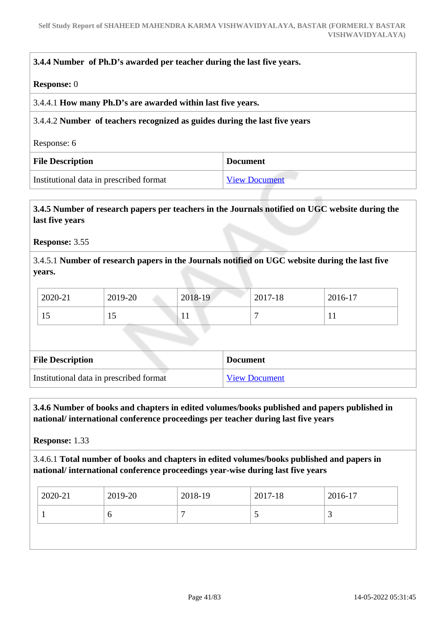# **3.4.4 Number of Ph.D's awarded per teacher during the last five years.**

#### **Response:** 0

#### 3.4.4.1 **How many Ph.D's are awarded within last five years.**

#### 3.4.4.2 **Number of teachers recognized as guides during the last five years**

Response: 6

| <b>File Description</b>                 | <b>Document</b>      |
|-----------------------------------------|----------------------|
| Institutional data in prescribed format | <b>View Document</b> |

# **3.4.5 Number of research papers per teachers in the Journals notified on UGC website during the last five years**

**Response:** 3.55

3.4.5.1 **Number of research papers in the Journals notified on UGC website during the last five years.**

| 2020-21 | 2019-20 | 2018-19 | 2017-18 | 2016-17 |  |
|---------|---------|---------|---------|---------|--|
|         | IJ      |         |         |         |  |
|         |         |         |         |         |  |
|         |         |         |         |         |  |

| <b>File Description</b>                 | <b>Document</b>      |  |
|-----------------------------------------|----------------------|--|
| Institutional data in prescribed format | <b>View Document</b> |  |

# **3.4.6 Number of books and chapters in edited volumes/books published and papers published in national/ international conference proceedings per teacher during last five years**

**Response:** 1.33

# 3.4.6.1 **Total number of books and chapters in edited volumes/books published and papers in national/ international conference proceedings year-wise during last five years**

| 2019-20<br>2020-21 | 2018-19 | 2017-18 | 2016-17 |
|--------------------|---------|---------|---------|
| O                  |         | ັ       |         |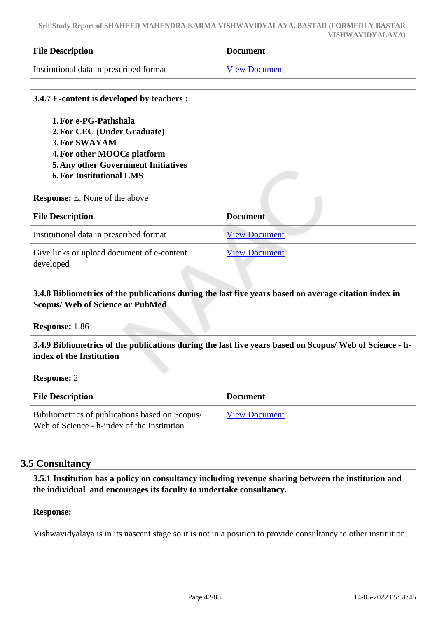| <b>File Description</b>                 | Document             |  |
|-----------------------------------------|----------------------|--|
| Institutional data in prescribed format | <b>View Document</b> |  |

| 3.4.7 E-content is developed by teachers :                                                                                                                                                                                            |                      |
|---------------------------------------------------------------------------------------------------------------------------------------------------------------------------------------------------------------------------------------|----------------------|
| 1. For e-PG-Pathshala<br>2. For CEC (Under Graduate)<br><b>3. For SWAYAM</b><br>4. For other MOOCs platform<br><b>5. Any other Government Initiatives</b><br><b>6. For Institutional LMS</b><br><b>Response:</b> E. None of the above |                      |
| <b>File Description</b>                                                                                                                                                                                                               | <b>Document</b>      |
| Institutional data in prescribed format                                                                                                                                                                                               | <b>View Document</b> |
| Give links or upload document of e-content<br>developed                                                                                                                                                                               | <b>View Document</b> |

## **3.4.8 Bibliometrics of the publications during the last five years based on average citation index in Scopus/ Web of Science or PubMed**

**Response:** 1.86

 **3.4.9 Bibliometrics of the publications during the last five years based on Scopus/ Web of Science - hindex of the Institution**

**Response:** 2

| <b>File Description</b>                                                                        | <b>Document</b>      |
|------------------------------------------------------------------------------------------------|----------------------|
| Bibiliometrics of publications based on Scopus/<br>Web of Science - h-index of the Institution | <b>View Document</b> |

# **3.5 Consultancy**

 **3.5.1 Institution has a policy on consultancy including revenue sharing between the institution and the individual and encourages its faculty to undertake consultancy.**

## **Response:**

Vishwavidyalaya is in its nascent stage so it is not in a position to provide consultancy to other institution.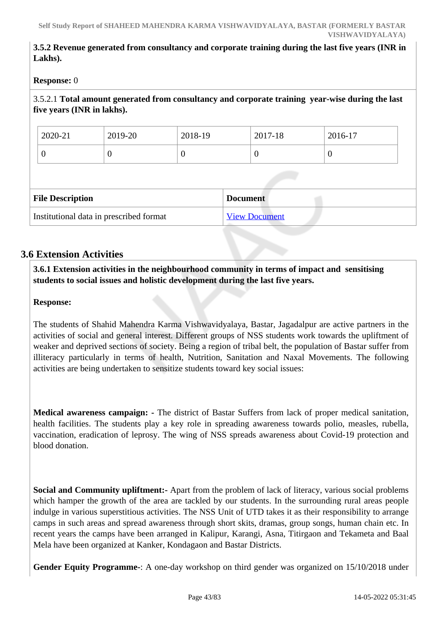# **3.5.2 Revenue generated from consultancy and corporate training during the last five years (INR in Lakhs).**

## **Response:** 0

# 3.5.2.1 **Total amount generated from consultancy and corporate training year-wise during the last five years (INR in lakhs).**

| 2020-21                                    |  | 2019-20  | 2018-19 |                      | 2017-18 | 2016-17 |
|--------------------------------------------|--|----------|---------|----------------------|---------|---------|
| O                                          |  | $\theta$ | U       |                      | 0       | U       |
|                                            |  |          |         |                      |         |         |
| <b>File Description</b><br><b>Document</b> |  |          |         |                      |         |         |
| Institutional data in prescribed format    |  |          |         | <b>View Document</b> |         |         |

# **3.6 Extension Activities**

 **3.6.1 Extension activities in the neighbourhood community in terms of impact and sensitising students to social issues and holistic development during the last five years.**

# **Response:**

The students of Shahid Mahendra Karma Vishwavidyalaya, Bastar, Jagadalpur are active partners in the activities of social and general interest. Different groups of NSS students work towards the upliftment of weaker and deprived sections of society. Being a region of tribal belt, the population of Bastar suffer from illiteracy particularly in terms of health, Nutrition, Sanitation and Naxal Movements. The following activities are being undertaken to sensitize students toward key social issues:

**Medical awareness campaign: -** The district of Bastar Suffers from lack of proper medical sanitation, health facilities. The students play a key role in spreading awareness towards polio, measles, rubella, vaccination, eradication of leprosy. The wing of NSS spreads awareness about Covid-19 protection and blood donation.

**Social and Community upliftment:-** Apart from the problem of lack of literacy, various social problems which hamper the growth of the area are tackled by our students. In the surrounding rural areas people indulge in various superstitious activities. The NSS Unit of UTD takes it as their responsibility to arrange camps in such areas and spread awareness through short skits, dramas, group songs, human chain etc. In recent years the camps have been arranged in Kalipur, Karangi, Asna, Titirgaon and Tekameta and Baal Mela have been organized at Kanker, Kondagaon and Bastar Districts.

**Gender Equity Programme-**: A one-day workshop on third gender was organized on 15/10/2018 under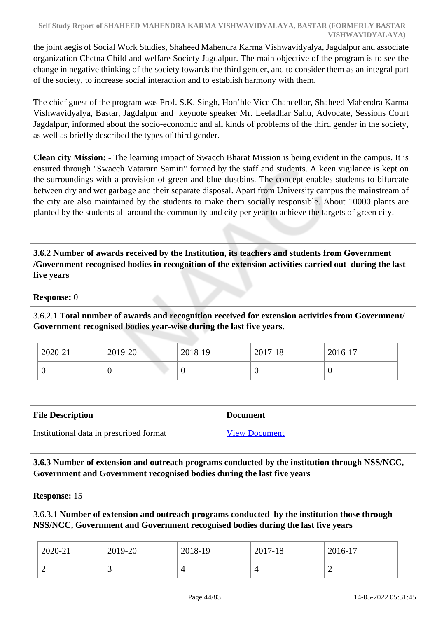the joint aegis of Social Work Studies, Shaheed Mahendra Karma Vishwavidyalya, Jagdalpur and associate organization Chetna Child and welfare Society Jagdalpur. The main objective of the program is to see the change in negative thinking of the society towards the third gender, and to consider them as an integral part of the society, to increase social interaction and to establish harmony with them.

The chief guest of the program was Prof. S.K. Singh, Hon'ble Vice Chancellor, Shaheed Mahendra Karma Vishwavidyalya, Bastar, Jagdalpur and keynote speaker Mr. Leeladhar Sahu, Advocate, Sessions Court Jagdalpur, informed about the socio-economic and all kinds of problems of the third gender in the society, as well as briefly described the types of third gender.

**Clean city Mission: -** The learning impact of Swacch Bharat Mission is being evident in the campus. It is ensured through "Swacch Vatararn Samiti" formed by the staff and students. A keen vigilance is kept on the surroundings with a provision of green and blue dustbins. The concept enables students to bifurcate between dry and wet garbage and their separate disposal. Apart from University campus the mainstream of the city are also maintained by the students to make them socially responsible. About 10000 plants are planted by the students all around the community and city per year to achieve the targets of green city.

 **3.6.2 Number of awards received by the Institution, its teachers and students from Government /Government recognised bodies in recognition of the extension activities carried out during the last five years**

**Response:** 0

3.6.2.1 **Total number of awards and recognition received for extension activities from Government/ Government recognised bodies year-wise during the last five years.**

| 2020-21 | 2019-20 | 2018-19 | 2017-18 | 2016-17 |
|---------|---------|---------|---------|---------|
| ິ       |         | v       |         | ◡       |

| <b>File Description</b>                 | <b>Document</b>      |  |
|-----------------------------------------|----------------------|--|
| Institutional data in prescribed format | <b>View Document</b> |  |

 **3.6.3 Number of extension and outreach programs conducted by the institution through NSS/NCC, Government and Government recognised bodies during the last five years**

**Response:** 15

3.6.3.1 **Number of extension and outreach programs conducted by the institution those through NSS/NCC, Government and Government recognised bodies during the last five years**

| 2020-21 | 2019-20 | 2018-19 | 2017-18 | $2016-17$ |
|---------|---------|---------|---------|-----------|
|         | ້       |         |         |           |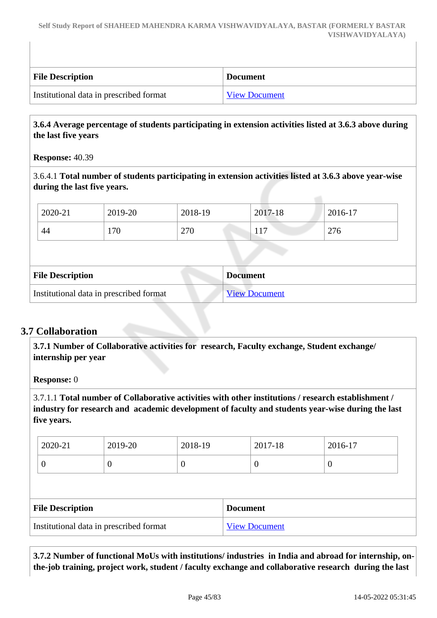| <b>File Description</b>                 | <b>Document</b>      |
|-----------------------------------------|----------------------|
| Institutional data in prescribed format | <b>View Document</b> |

# **3.6.4 Average percentage of students participating in extension activities listed at 3.6.3 above during the last five years**

**Response:** 40.39

3.6.4.1 **Total number of students participating in extension activities listed at 3.6.3 above year-wise during the last five years.**

|                                         | 2020-21                 | 2019-20 | 2018-19 |  | 2017-18              | 2016-17 |
|-----------------------------------------|-------------------------|---------|---------|--|----------------------|---------|
|                                         | 44                      | 170     | 270     |  | 117                  | 276     |
|                                         |                         |         |         |  |                      |         |
|                                         | <b>File Description</b> |         |         |  | <b>Document</b>      |         |
| Institutional data in prescribed format |                         |         |         |  | <b>View Document</b> |         |

# **3.7 Collaboration**

 **3.7.1 Number of Collaborative activities for research, Faculty exchange, Student exchange/ internship per year**

**Response:** 0

3.7.1.1 **Total number of Collaborative activities with other institutions / research establishment / industry for research and academic development of faculty and students year-wise during the last five years.**

| 2020-21                 | 2019-20          | 2018-19 |                 | 2017-18  | 2016-17  |
|-------------------------|------------------|---------|-----------------|----------|----------|
| 0                       | $\boldsymbol{0}$ |         |                 | $\theta$ | $\theta$ |
|                         |                  |         |                 |          |          |
|                         |                  |         |                 |          |          |
| <b>File Description</b> |                  |         | <b>Document</b> |          |          |

 **3.7.2 Number of functional MoUs with institutions/ industries in India and abroad for internship, onthe-job training, project work, student / faculty exchange and collaborative research during the last**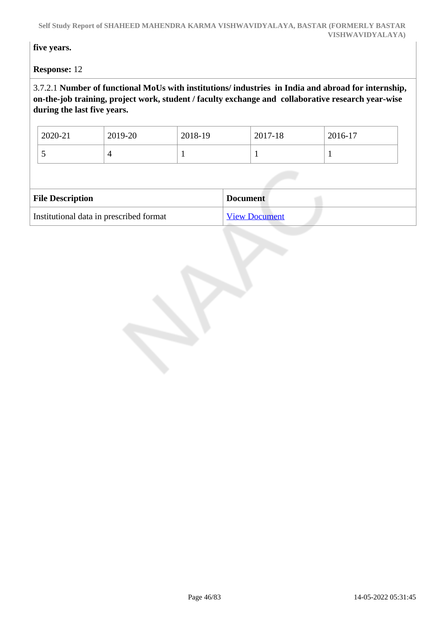**Self Study Report of SHAHEED MAHENDRA KARMA VISHWAVIDYALAYA, BASTAR (FORMERLY BASTAR VISHWAVIDYALAYA)**

**five years.**

**Response:** 12

# 3.7.2.1 **Number of functional MoUs with institutions/ industries in India and abroad for internship, on-the-job training, project work, student / faculty exchange and collaborative research year-wise during the last five years.**

| 2020-21                 | 2019-20 | 2018-19 | 2017-18         | 2016-17 |
|-------------------------|---------|---------|-----------------|---------|
|                         | 4       |         |                 |         |
|                         |         |         |                 |         |
|                         |         |         |                 |         |
| <b>File Description</b> |         |         | <b>Document</b> |         |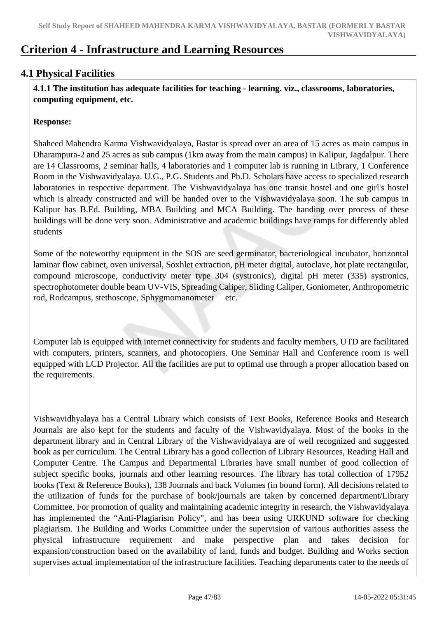# **Criterion 4 - Infrastructure and Learning Resources**

# **4.1 Physical Facilities**

 **4.1.1 The institution has adequate facilities for teaching - learning. viz., classrooms, laboratories, computing equipment, etc.**

## **Response:**

Shaheed Mahendra Karma Vishwavidyalaya, Bastar is spread over an area of 15 acres as main campus in Dharampura-2 and 25 acres as sub campus (1km away from the main campus) in Kalipur, Jagdalpur. There are 14 Classrooms, 2 seminar halls, 4 laboratories and 1 computer lab is running in Library, 1 Conference Room in the Vishwavidyalaya. U.G., P.G. Students and Ph.D. Scholars have access to specialized research laboratories in respective department. The Vishwavidyalaya has one transit hostel and one girl's hostel which is already constructed and will be handed over to the Vishwavidyalaya soon. The sub campus in Kalipur has B.Ed. Building, MBA Building and MCA Building. The handing over process of these buildings will be done very soon. Administrative and academic buildings have ramps for differently abled students

Some of the noteworthy equipment in the SOS are seed germinator, bacteriological incubator, horizontal laminar flow cabinet, oven universal, Soxhlet extraction, pH meter digital, autoclave, hot plate rectangular, compound microscope, conductivity meter type 304 (systronics), digital pH meter (335) systronics, spectrophotometer double beam UV-VIS, Spreading Caliper, Sliding Caliper, Goniometer, Anthropometric rod, Rodcampus, stethoscope, Sphygmomanometer etc.

Computer lab is equipped with internet connectivity for students and faculty members, UTD are facilitated with computers, printers, scanners, and photocopiers. One Seminar Hall and Conference room is well equipped with LCD Projector. All the facilities are put to optimal use through a proper allocation based on the requirements.

Vishwavidhyalaya has a Central Library which consists of Text Books, Reference Books and Research Journals are also kept for the students and faculty of the Vishwavidyalaya. Most of the books in the department library and in Central Library of the Vishwavidyalaya are of well recognized and suggested book as per curriculum. The Central Library has a good collection of Library Resources, Reading Hall and Computer Centre. The Campus and Departmental Libraries have small number of good collection of subject specific books, journals and other learning resources. The library has total collection of 17952 books (Text & Reference Books), 138 Journals and back Volumes (in bound form). All decisions related to the utilization of funds for the purchase of book/journals are taken by concerned department/Library Committee. For promotion of quality and maintaining academic integrity in research, the Vishwavidyalaya has implemented the "Anti-Plagiarism Policy", and has been using URKUND software for checking plagiarism. The Building and Works Committee under the supervision of various authorities assess the physical infrastructure requirement and make perspective plan and takes decision for expansion/construction based on the availability of land, funds and budget. Building and Works section supervises actual implementation of the infrastructure facilities. Teaching departments cater to the needs of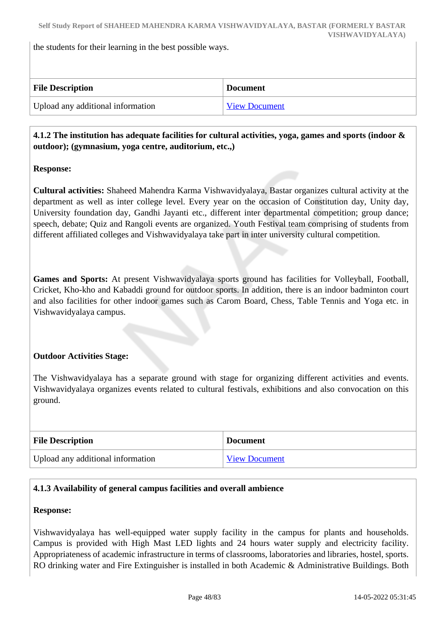the students for their learning in the best possible ways.

| <b>File Description</b>           | <b>Document</b>      |
|-----------------------------------|----------------------|
| Upload any additional information | <b>View Document</b> |

# **4.1.2 The institution has adequate facilities for cultural activities, yoga, games and sports (indoor & outdoor); (gymnasium, yoga centre, auditorium, etc.,)**

# **Response:**

**Cultural activities:** Shaheed Mahendra Karma Vishwavidyalaya, Bastar organizes cultural activity at the department as well as inter college level. Every year on the occasion of Constitution day, Unity day, University foundation day, Gandhi Jayanti etc., different inter departmental competition; group dance; speech, debate; Quiz and Rangoli events are organized. Youth Festival team comprising of students from different affiliated colleges and Vishwavidyalaya take part in inter university cultural competition.

**Games and Sports:** At present Vishwavidyalaya sports ground has facilities for Volleyball, Football, Cricket, Kho-kho and Kabaddi ground for outdoor sports. In addition, there is an indoor badminton court and also facilities for other indoor games such as Carom Board, Chess, Table Tennis and Yoga etc. in Vishwavidyalaya campus.

# **Outdoor Activities Stage:**

The Vishwavidyalaya has a separate ground with stage for organizing different activities and events. Vishwavidyalaya organizes events related to cultural festivals, exhibitions and also convocation on this ground.

| <b>File Description</b>           | <b>Document</b>      |
|-----------------------------------|----------------------|
| Upload any additional information | <b>View Document</b> |

#### **4.1.3 Availability of general campus facilities and overall ambience**

#### **Response:**

Vishwavidyalaya has well-equipped water supply facility in the campus for plants and households. Campus is provided with High Mast LED lights and 24 hours water supply and electricity facility. Appropriateness of academic infrastructure in terms of classrooms, laboratories and libraries, hostel, sports. RO drinking water and Fire Extinguisher is installed in both Academic & Administrative Buildings. Both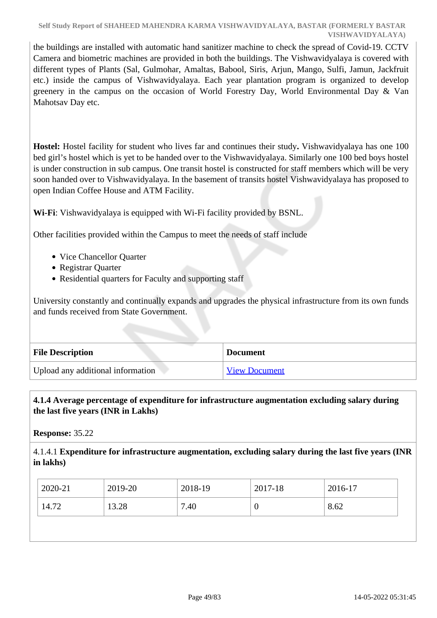the buildings are installed with automatic hand sanitizer machine to check the spread of Covid-19. CCTV Camera and biometric machines are provided in both the buildings. The Vishwavidyalaya is covered with different types of Plants (Sal, Gulmohar, Amaltas, Babool, Siris, Arjun, Mango, Sulfi, Jamun, Jackfruit etc.) inside the campus of Vishwavidyalaya. Each year plantation program is organized to develop greenery in the campus on the occasion of World Forestry Day, World Environmental Day & Van Mahotsav Day etc.

**Hostel:** Hostel facility for student who lives far and continues their study**.** Vishwavidyalaya has one 100 bed girl's hostel which is yet to be handed over to the Vishwavidyalaya. Similarly one 100 bed boys hostel is under construction in sub campus. One transit hostel is constructed for staff members which will be very soon handed over to Vishwavidyalaya. In the basement of transits hostel Vishwavidyalaya has proposed to open Indian Coffee House and ATM Facility.

**Wi-Fi**: Vishwavidyalaya is equipped with Wi-Fi facility provided by BSNL.

Other facilities provided within the Campus to meet the needs of staff include

- Vice Chancellor Quarter
- Registrar Quarter
- Residential quarters for Faculty and supporting staff

University constantly and continually expands and upgrades the physical infrastructure from its own funds and funds received from State Government.

| <b>File Description</b>           | <b>Document</b>      |
|-----------------------------------|----------------------|
| Upload any additional information | <b>View Document</b> |

# **4.1.4 Average percentage of expenditure for infrastructure augmentation excluding salary during the last five years (INR in Lakhs)**

**Response:** 35.22

4.1.4.1 **Expenditure for infrastructure augmentation, excluding salary during the last five years (INR in lakhs)** 

| $2020 - 21$ | 2019-20 | 2018-19 | 2017-18 | 2016-17 |
|-------------|---------|---------|---------|---------|
| 14.72       | 13.28   | 7.40    |         | 8.62    |
|             |         |         |         |         |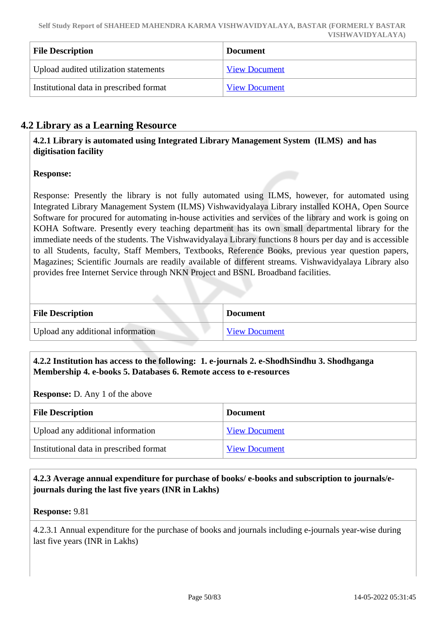| <b>File Description</b>                 | <b>Document</b>      |
|-----------------------------------------|----------------------|
| Upload audited utilization statements   | <b>View Document</b> |
| Institutional data in prescribed format | <b>View Document</b> |

# **4.2 Library as a Learning Resource**

 **4.2.1 Library is automated using Integrated Library Management System (ILMS) and has digitisation facility**

# **Response:**

Response: Presently the library is not fully automated using ILMS, however, for automated using Integrated Library Management System (ILMS) Vishwavidyalaya Library installed KOHA, Open Source Software for procured for automating in-house activities and services of the library and work is going on KOHA Software. Presently every teaching department has its own small departmental library for the immediate needs of the students. The Vishwavidyalaya Library functions 8 hours per day and is accessible to all Students, faculty, Staff Members, Textbooks, Reference Books, previous year question papers, Magazines; Scientific Journals are readily available of different streams. Vishwavidyalaya Library also provides free Internet Service through NKN Project and BSNL Broadband facilities.

| <b>File Description</b>           | <b>Document</b>      |
|-----------------------------------|----------------------|
| Upload any additional information | <b>View Document</b> |

# **4.2.2 Institution has access to the following: 1. e-journals 2. e-ShodhSindhu 3. Shodhganga Membership 4. e-books 5. Databases 6. Remote access to e-resources**

**Response:** D. Any 1 of the above

| <b>File Description</b>                 | <b>Document</b>      |
|-----------------------------------------|----------------------|
| Upload any additional information       | <b>View Document</b> |
| Institutional data in prescribed format | <b>View Document</b> |

# **4.2.3 Average annual expenditure for purchase of books/ e-books and subscription to journals/ejournals during the last five years (INR in Lakhs)**

**Response:** 9.81

4.2.3.1 Annual expenditure for the purchase of books and journals including e-journals year-wise during last five years (INR in Lakhs)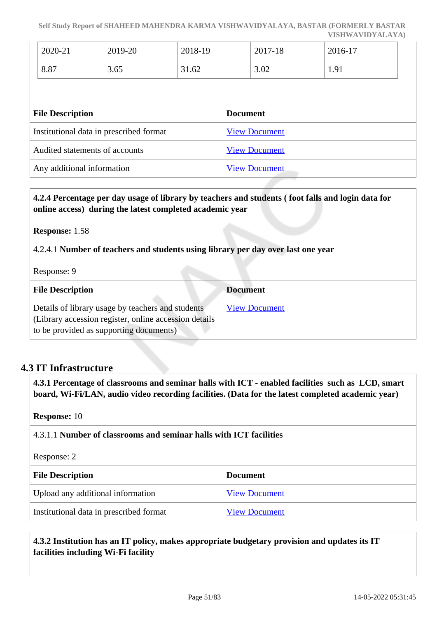**Self Study Report of SHAHEED MAHENDRA KARMA VISHWAVIDYALAYA, BASTAR (FORMERLY BASTAR VISHWAVIDYALAYA)**

| 2020-21 | 2019-20 | 2018-19 | 2017-18 | 2016-17           |
|---------|---------|---------|---------|-------------------|
| 8.87    | 3.65    | 31.62   | 3.02    | $\Omega$<br>1, 11 |

| <b>File Description</b>                 | <b>Document</b>      |
|-----------------------------------------|----------------------|
| Institutional data in prescribed format | <b>View Document</b> |
| Audited statements of accounts          | <b>View Document</b> |
| Any additional information              | <b>View Document</b> |

## **4.2.4 Percentage per day usage of library by teachers and students ( foot falls and login data for online access) during the latest completed academic year**

#### **Response:** 1.58

4.2.4.1 **Number of teachers and students using library per day over last one year**

Response: 9

| <b>File Description</b>                                                                                                                                | <b>Document</b>      |
|--------------------------------------------------------------------------------------------------------------------------------------------------------|----------------------|
| Details of library usage by teachers and students<br>(Library accession register, online accession details)<br>to be provided as supporting documents) | <b>View Document</b> |

# **4.3 IT Infrastructure**

 **4.3.1 Percentage of classrooms and seminar halls with ICT - enabled facilities such as LCD, smart board, Wi-Fi/LAN, audio video recording facilities. (Data for the latest completed academic year)**

#### **Response:** 10

4.3.1.1 **Number of classrooms and seminar halls with ICT facilities**

#### Response: 2

| <b>File Description</b>                 | <b>Document</b>      |
|-----------------------------------------|----------------------|
| Upload any additional information       | <b>View Document</b> |
| Institutional data in prescribed format | <b>View Document</b> |

 **4.3.2 Institution has an IT policy, makes appropriate budgetary provision and updates its IT facilities including Wi-Fi facility**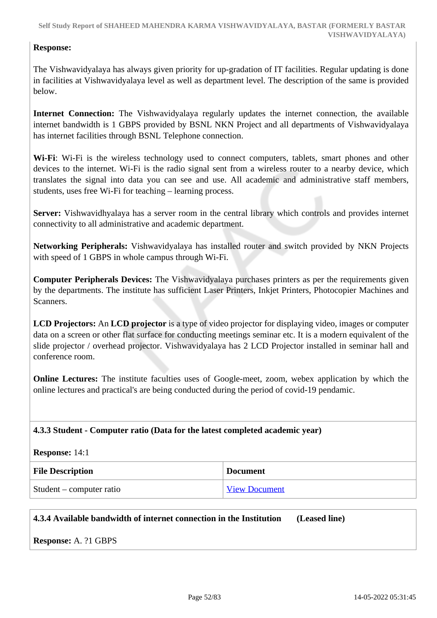## **Response:**

The Vishwavidyalaya has always given priority for up-gradation of IT facilities. Regular updating is done in facilities at Vishwavidyalaya level as well as department level. The description of the same is provided below.

**Internet Connection:** The Vishwavidyalaya regularly updates the internet connection, the available internet bandwidth is 1 GBPS provided by BSNL NKN Project and all departments of Vishwavidyalaya has internet facilities through BSNL Telephone connection.

**Wi-Fi**: Wi-Fi is the wireless technology used to connect computers, tablets, smart phones and other devices to the internet. Wi-Fi is the radio signal sent from a wireless router to a nearby device, which translates the signal into data you can see and use. All academic and administrative staff members, students, uses free Wi-Fi for teaching – learning process.

**Server:** Vishwavidhyalaya has a server room in the central library which controls and provides internet connectivity to all administrative and academic department.

**Networking Peripherals:** Vishwavidyalaya has installed router and switch provided by NKN Projects with speed of 1 GBPS in whole campus through Wi-Fi.

**Computer Peripherals Devices:** The Vishwavidyalaya purchases printers as per the requirements given by the departments. The institute has sufficient Laser Printers, Inkjet Printers, Photocopier Machines and Scanners.

**LCD Projectors:** An **LCD projector** is a type of video projector for displaying video, images or computer data on a screen or other flat surface for conducting meetings seminar etc. It is a modern equivalent of the slide projector / overhead projector. Vishwavidyalaya has 2 LCD Projector installed in seminar hall and conference room.

**Online Lectures:** The institute faculties uses of Google-meet, zoom, webex application by which the online lectures and practical's are being conducted during the period of covid-19 pendamic.

#### **4.3.3 Student - Computer ratio (Data for the latest completed academic year)**

| Response: $14:1$         |                      |
|--------------------------|----------------------|
| <b>File Description</b>  | <b>Document</b>      |
| Student – computer ratio | <b>View Document</b> |

#### **4.3.4 Available bandwidth of internet connection in the Institution (Leased line)**

**Response:** A. ?1 GBPS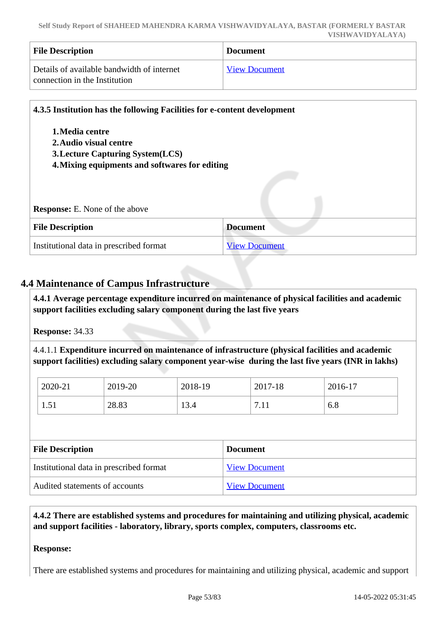| <b>File Description</b>                                                     | <b>Document</b>      |
|-----------------------------------------------------------------------------|----------------------|
| Details of available bandwidth of internet<br>connection in the Institution | <b>View Document</b> |

|                                                | 4.3.5 Institution has the following Facilities for e-content development |  |
|------------------------------------------------|--------------------------------------------------------------------------|--|
| 1. Media centre                                |                                                                          |  |
| 2. Audio visual centre                         |                                                                          |  |
| <b>3. Lecture Capturing System (LCS)</b>       |                                                                          |  |
|                                                |                                                                          |  |
|                                                |                                                                          |  |
| 4. Mixing equipments and softwares for editing |                                                                          |  |
|                                                |                                                                          |  |
|                                                |                                                                          |  |
| <b>Response:</b> E. None of the above          |                                                                          |  |
|                                                |                                                                          |  |
| <b>File Description</b>                        | <b>Document</b>                                                          |  |

# **4.4 Maintenance of Campus Infrastructure**

 **4.4.1 Average percentage expenditure incurred on maintenance of physical facilities and academic support facilities excluding salary component during the last five years**

**Response:** 34.33

4.4.1.1 **Expenditure incurred on maintenance of infrastructure (physical facilities and academic support facilities) excluding salary component year-wise during the last five years (INR in lakhs)**

| 2020-21               | 2019-20 | 2018-19             | 2017-18             | 2016-17 |
|-----------------------|---------|---------------------|---------------------|---------|
| $\epsilon$ 1<br>1.J 1 | 28.83   | $1^{\circ}$<br>13.4 | $\overline{ }$<br>. | 6.8     |

| <b>File Description</b>                 | <b>Document</b>      |
|-----------------------------------------|----------------------|
| Institutional data in prescribed format | <b>View Document</b> |
| Audited statements of accounts          | <b>View Document</b> |

 **4.4.2 There are established systems and procedures for maintaining and utilizing physical, academic and support facilities - laboratory, library, sports complex, computers, classrooms etc.**

#### **Response:**

There are established systems and procedures for maintaining and utilizing physical, academic and support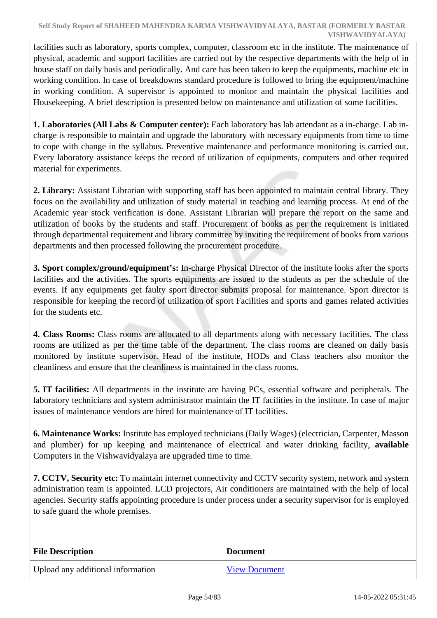facilities such as laboratory, sports complex, computer, classroom etc in the institute. The maintenance of physical, academic and support facilities are carried out by the respective departments with the help of in house staff on daily basis and periodically. And care has been taken to keep the equipments, machine etc in working condition. In case of breakdowns standard procedure is followed to bring the equipment/machine in working condition. A supervisor is appointed to monitor and maintain the physical facilities and Housekeeping. A brief description is presented below on maintenance and utilization of some facilities.

**1. Laboratories (All Labs & Computer center):** Each laboratory has lab attendant as a in-charge. Lab incharge is responsible to maintain and upgrade the laboratory with necessary equipments from time to time to cope with change in the syllabus. Preventive maintenance and performance monitoring is carried out. Every laboratory assistance keeps the record of utilization of equipments, computers and other required material for experiments.

**2. Library:** Assistant Librarian with supporting staff has been appointed to maintain central library. They focus on the availability and utilization of study material in teaching and learning process. At end of the Academic year stock verification is done. Assistant Librarian will prepare the report on the same and utilization of books by the students and staff. Procurement of books as per the requirement is initiated through departmental requirement and library committee by inviting the requirement of books from various departments and then processed following the procurement procedure.

**3. Sport complex/ground/equipment's:** In-charge Physical Director of the institute looks after the sports facilities and the activities. The sports equipments are issued to the students as per the schedule of the events. If any equipments get faulty sport director submits proposal for maintenance. Sport director is responsible for keeping the record of utilization of sport Facilities and sports and games related activities for the students etc.

**4. Class Rooms:** Class rooms are allocated to all departments along with necessary facilities. The class rooms are utilized as per the time table of the department. The class rooms are cleaned on daily basis monitored by institute supervisor. Head of the institute, HODs and Class teachers also monitor the cleanliness and ensure that the cleanliness is maintained in the class rooms.

**5. IT facilities:** All departments in the institute are having PCs, essential software and peripherals. The laboratory technicians and system administrator maintain the IT facilities in the institute. In case of major issues of maintenance vendors are hired for maintenance of IT facilities.

**6. Maintenance Works:** Institute has employed technicians (Daily Wages) (electrician, Carpenter, Masson and plumber) for up keeping and maintenance of electrical and water drinking facility, **available** Computers in the Vishwavidyalaya are upgraded time to time.

**7. CCTV, Security etc:** To maintain internet connectivity and CCTV security system, network and system administration team is appointed. LCD projectors, Air conditioners are maintained with the help of local agencies. Security staffs appointing procedure is under process under a security supervisor for is employed to safe guard the whole premises.

| <b>File Description</b>           | <b>Document</b>      |
|-----------------------------------|----------------------|
| Upload any additional information | <b>View Document</b> |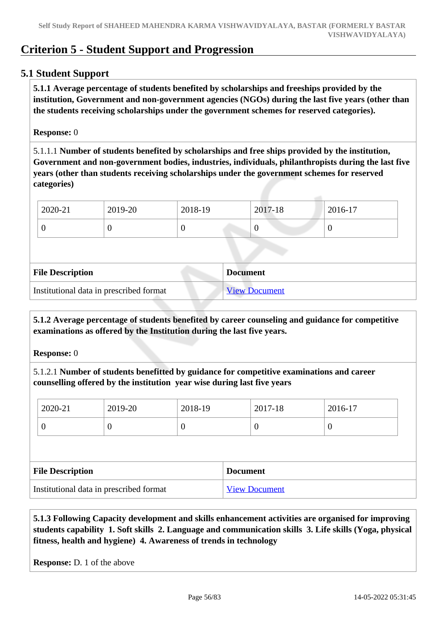# **Criterion 5 - Student Support and Progression**

# **5.1 Student Support**

 **5.1.1 Average percentage of students benefited by scholarships and freeships provided by the institution, Government and non-government agencies (NGOs) during the last five years (other than the students receiving scholarships under the government schemes for reserved categories).**

#### **Response:** 0

5.1.1.1 **Number of students benefited by scholarships and free ships provided by the institution, Government and non-government bodies, industries, individuals, philanthropists during the last five years (other than students receiving scholarships under the government schemes for reserved categories)** 

| 2020-21 | 2019-20 | 2018-19 | 2017-18 | 2016-17 |
|---------|---------|---------|---------|---------|
|         |         |         |         |         |

| <b>File Description</b>                 | <b>Document</b>      |
|-----------------------------------------|----------------------|
| Institutional data in prescribed format | <b>View Document</b> |

 **5.1.2 Average percentage of students benefited by career counseling and guidance for competitive examinations as offered by the Institution during the last five years.**

**Response:** 0

5.1.2.1 **Number of students benefitted by guidance for competitive examinations and career counselling offered by the institution year wise during last five years**

| 2020-21                 | 2019-20  | 2018-19 |                 | 2017-18  | 2016-17          |
|-------------------------|----------|---------|-----------------|----------|------------------|
| 0                       | $\theta$ | O       |                 | $\theta$ | $\boldsymbol{0}$ |
|                         |          |         |                 |          |                  |
|                         |          |         |                 |          |                  |
| <b>File Description</b> |          |         | <b>Document</b> |          |                  |

 **5.1.3 Following Capacity development and skills enhancement activities are organised for improving students capability 1. Soft skills 2. Language and communication skills 3. Life skills (Yoga, physical fitness, health and hygiene) 4. Awareness of trends in technology**

**Response:** D. 1 of the above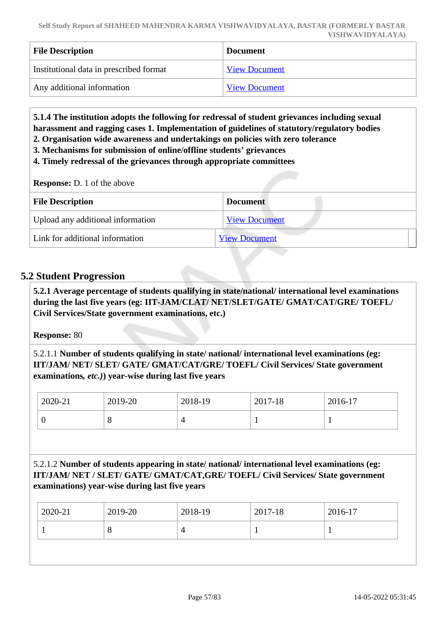| <b>File Description</b>                 | <b>Document</b>      |
|-----------------------------------------|----------------------|
| Institutional data in prescribed format | <b>View Document</b> |
| Any additional information              | <b>View Document</b> |

 **5.1.4 The institution adopts the following for redressal of student grievances including sexual harassment and ragging cases 1. Implementation of guidelines of statutory/regulatory bodies 2. Organisation wide awareness and undertakings on policies with zero tolerance**

- **3. Mechanisms for submission of online/offline students' grievances**
- **4. Timely redressal of the grievances through appropriate committees**

**Response:** D. 1 of the above

| <b>File Description</b>           | <b>Document</b>      |
|-----------------------------------|----------------------|
| Upload any additional information | <b>View Document</b> |
| Link for additional information   | <b>View Document</b> |

#### **5.2 Student Progression**

 **5.2.1 Average percentage of students qualifying in state/national/ international level examinations during the last five years (eg: IIT-JAM/CLAT/ NET/SLET/GATE/ GMAT/CAT/GRE/ TOEFL/ Civil Services/State government examinations, etc.)**

**Response:** 80

5.2.1.1 **Number of students qualifying in state/ national/ international level examinations (eg: IIT/JAM/ NET/ SLET/ GATE/ GMAT/CAT/GRE/ TOEFL/ Civil Services/ State government examinations***, etc.)***) year-wise during last five years**

| 2020-21 | 2019-20 | 2018-19 | 2017-18 | 2016-17 |
|---------|---------|---------|---------|---------|
|         | ◡       |         |         |         |

5.2.1.2 **Number of students appearing in state/ national/ international level examinations (eg: IIT/JAM/ NET / SLET/ GATE/ GMAT/CAT,GRE/ TOEFL/ Civil Services/ State government examinations) year-wise during last five years**

| $ 2020-21 $ | 2019-20 | 2018-19 | 2017-18 | 2016-17 |
|-------------|---------|---------|---------|---------|
|             | O       |         |         |         |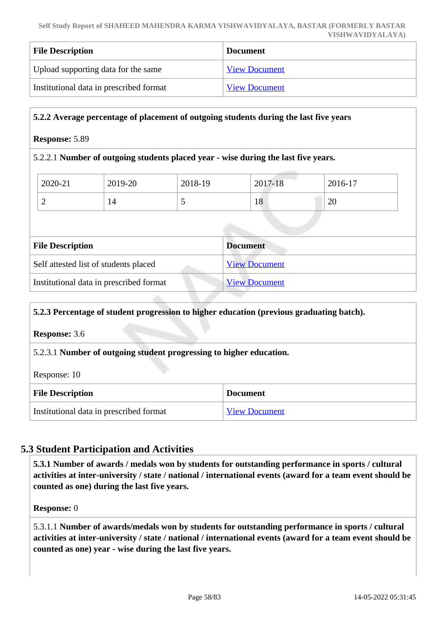| <b>File Description</b>                 | <b>Document</b>      |
|-----------------------------------------|----------------------|
| Upload supporting data for the same     | <b>View Document</b> |
| Institutional data in prescribed format | <b>View Document</b> |

#### **5.2.2 Average percentage of placement of outgoing students during the last five years**

#### **Response:** 5.89

#### 5.2.2.1 **Number of outgoing students placed year - wise during the last five years.**

| 2020-21 | 2019-20 | 2018-19 | 2017-18 | 2016-17      |
|---------|---------|---------|---------|--------------|
| ∽       | 14      | ັ       | 18      | $\cap$<br>∠∪ |

| <b>File Description</b>                 | Document             |
|-----------------------------------------|----------------------|
| Self attested list of students placed   | <b>View Document</b> |
| Institutional data in prescribed format | <b>View Document</b> |

# **5.2.3 Percentage of student progression to higher education (previous graduating batch). Response:** 3.6 5.2.3.1 **Number of outgoing student progressing to higher education.** Response: 10

| <b>File Description</b>                 | <b>Document</b>      |
|-----------------------------------------|----------------------|
| Institutional data in prescribed format | <b>View Document</b> |

# **5.3 Student Participation and Activities**

 **5.3.1 Number of awards / medals won by students for outstanding performance in sports / cultural activities at inter-university / state / national / international events (award for a team event should be counted as one) during the last five years.**

**Response:** 0

5.3.1.1 **Number of awards/medals won by students for outstanding performance in sports / cultural activities at inter-university / state / national / international events (award for a team event should be counted as one) year - wise during the last five years.**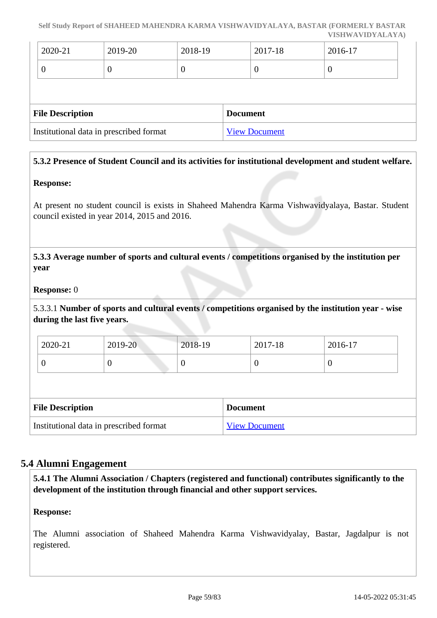| $2020 - 21$ | 2019-20 | 2018-19 | 2017-18 | 2016-17 |
|-------------|---------|---------|---------|---------|
|             | ◡       | ◡       | ν       | U       |

| <b>File Description</b>                 | <b>Document</b>      |
|-----------------------------------------|----------------------|
| Institutional data in prescribed format | <b>View Document</b> |

# **5.3.2 Presence of Student Council and its activities for institutional development and student welfare.**

#### **Response:**

At present no student council is exists in Shaheed Mahendra Karma Vishwavidyalaya, Bastar. Student council existed in year 2014, 2015 and 2016.

 **5.3.3 Average number of sports and cultural events / competitions organised by the institution per year**

#### **Response:** 0

5.3.3.1 **Number of sports and cultural events / competitions organised by the institution year - wise during the last five years.**

| 2020-21 | 2019-20 | 2018-19 | 2017-18 | 2016-17 |
|---------|---------|---------|---------|---------|
|         | U       | v       | ◡       |         |

| <b>File Description</b>                 | <b>Document</b>      |
|-----------------------------------------|----------------------|
| Institutional data in prescribed format | <b>View Document</b> |

#### **5.4 Alumni Engagement**

 **5.4.1 The Alumni Association / Chapters (registered and functional) contributes significantly to the development of the institution through financial and other support services.**

#### **Response:**

The Alumni association of Shaheed Mahendra Karma Vishwavidyalay, Bastar, Jagdalpur is not registered.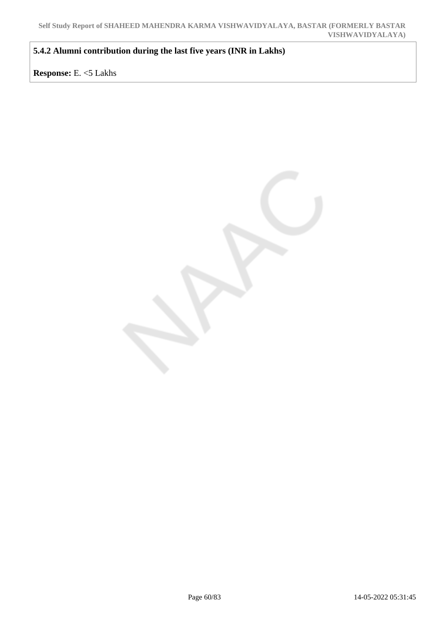**5.4.2 Alumni contribution during the last five years (INR in Lakhs)**

**Response:** E. <5 Lakhs

Page 60/83 14-05-2022 05:31:45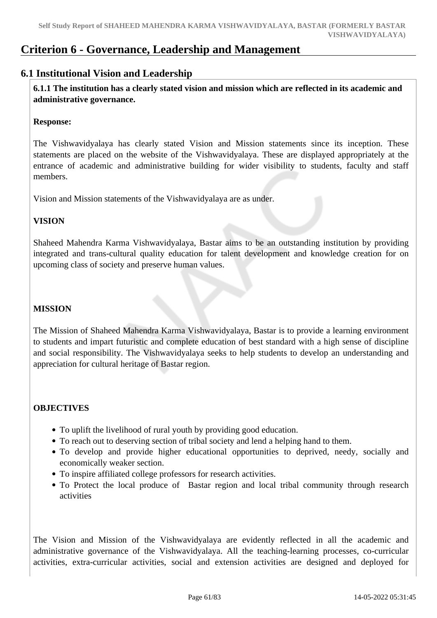# **Criterion 6 - Governance, Leadership and Management**

# **6.1 Institutional Vision and Leadership**

 **6.1.1 The institution has a clearly stated vision and mission which are reflected in its academic and administrative governance.**

#### **Response:**

The Vishwavidyalaya has clearly stated Vision and Mission statements since its inception. These statements are placed on the website of the Vishwavidyalaya. These are displayed appropriately at the entrance of academic and administrative building for wider visibility to students, faculty and staff members.

Vision and Mission statements of the Vishwavidyalaya are as under.

# **VISION**

Shaheed Mahendra Karma Vishwavidyalaya, Bastar aims to be an outstanding institution by providing integrated and trans-cultural quality education for talent development and knowledge creation for on upcoming class of society and preserve human values.

# **MISSION**

The Mission of Shaheed Mahendra Karma Vishwavidyalaya, Bastar is to provide a learning environment to students and impart futuristic and complete education of best standard with a high sense of discipline and social responsibility. The Vishwavidyalaya seeks to help students to develop an understanding and appreciation for cultural heritage of Bastar region.

# **OBJECTIVES**

- To uplift the livelihood of rural youth by providing good education.
- To reach out to deserving section of tribal society and lend a helping hand to them.
- To develop and provide higher educational opportunities to deprived, needy, socially and economically weaker section.
- To inspire affiliated college professors for research activities.
- To Protect the local produce of Bastar region and local tribal community through research activities

The Vision and Mission of the Vishwavidyalaya are evidently reflected in all the academic and administrative governance of the Vishwavidyalaya. All the teaching-learning processes, co-curricular activities, extra-curricular activities, social and extension activities are designed and deployed for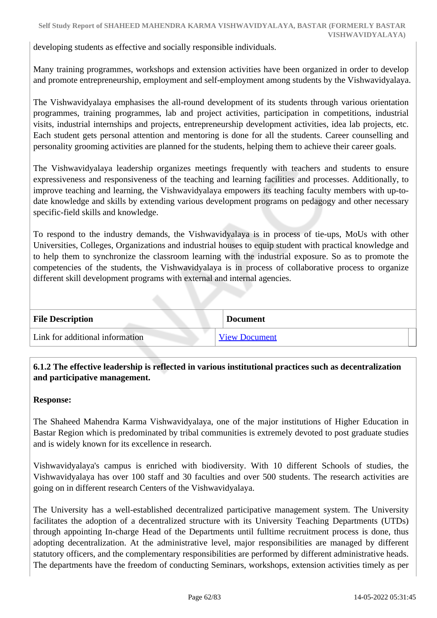developing students as effective and socially responsible individuals.

Many training programmes, workshops and extension activities have been organized in order to develop and promote entrepreneurship, employment and self-employment among students by the Vishwavidyalaya.

The Vishwavidyalaya emphasises the all-round development of its students through various orientation programmes, training programmes, lab and project activities, participation in competitions, industrial visits, industrial internships and projects, entrepreneurship development activities, idea lab projects, etc. Each student gets personal attention and mentoring is done for all the students. Career counselling and personality grooming activities are planned for the students, helping them to achieve their career goals.

The Vishwavidyalaya leadership organizes meetings frequently with teachers and students to ensure expressiveness and responsiveness of the teaching and learning facilities and processes. Additionally, to improve teaching and learning, the Vishwavidyalaya empowers its teaching faculty members with up-todate knowledge and skills by extending various development programs on pedagogy and other necessary specific-field skills and knowledge.

To respond to the industry demands, the Vishwavidyalaya is in process of tie-ups, MoUs with other Universities, Colleges, Organizations and industrial houses to equip student with practical knowledge and to help them to synchronize the classroom learning with the industrial exposure. So as to promote the competencies of the students, the Vishwavidyalaya is in process of collaborative process to organize different skill development programs with external and internal agencies.

| <b>File Description</b>         | <b>Document</b>      |
|---------------------------------|----------------------|
| Link for additional information | <b>View Document</b> |

# **6.1.2 The effective leadership is reflected in various institutional practices such as decentralization and participative management.**

#### **Response:**

The Shaheed Mahendra Karma Vishwavidyalaya, one of the major institutions of Higher Education in Bastar Region which is predominated by tribal communities is extremely devoted to post graduate studies and is widely known for its excellence in research.

Vishwavidyalaya's campus is enriched with biodiversity. With 10 different Schools of studies, the Vishwavidyalaya has over 100 staff and 30 faculties and over 500 students. The research activities are going on in different research Centers of the Vishwavidyalaya.

The University has a well-established decentralized participative management system. The University facilitates the adoption of a decentralized structure with its University Teaching Departments (UTDs) through appointing In-charge Head of the Departments until fulltime recruitment process is done, thus adopting decentralization. At the administrative level, major responsibilities are managed by different statutory officers, and the complementary responsibilities are performed by different administrative heads. The departments have the freedom of conducting Seminars, workshops, extension activities timely as per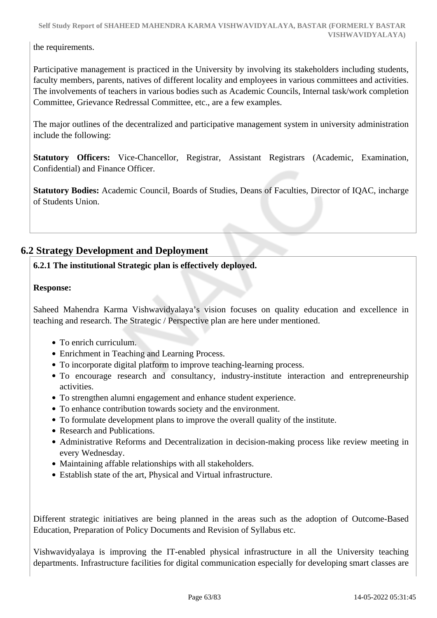the requirements.

Participative management is practiced in the University by involving its stakeholders including students, faculty members, parents, natives of different locality and employees in various committees and activities. The involvements of teachers in various bodies such as Academic Councils, Internal task/work completion Committee, Grievance Redressal Committee, etc., are a few examples.

The major outlines of the decentralized and participative management system in university administration include the following:

**Statutory Officers:** Vice-Chancellor, Registrar, Assistant Registrars (Academic, Examination, Confidential) and Finance Officer.

**Statutory Bodies:** Academic Council, Boards of Studies, Deans of Faculties, Director of IQAC, incharge of Students Union.

# **6.2 Strategy Development and Deployment**

# **6.2.1 The institutional Strategic plan is effectively deployed.**

#### **Response:**

Saheed Mahendra Karma Vishwavidyalaya's vision focuses on quality education and excellence in teaching and research. The Strategic / Perspective plan are here under mentioned.

- To enrich curriculum.
- Enrichment in Teaching and Learning Process.
- To incorporate digital platform to improve teaching-learning process.
- To encourage research and consultancy, industry-institute interaction and entrepreneurship activities.
- To strengthen alumni engagement and enhance student experience.
- To enhance contribution towards society and the environment.
- To formulate development plans to improve the overall quality of the institute.
- Research and Publications.
- Administrative Reforms and Decentralization in decision-making process like review meeting in every Wednesday.
- Maintaining affable relationships with all stakeholders.
- Establish state of the art, Physical and Virtual infrastructure.

Different strategic initiatives are being planned in the areas such as the adoption of Outcome-Based Education, Preparation of Policy Documents and Revision of Syllabus etc.

Vishwavidyalaya is improving the IT-enabled physical infrastructure in all the University teaching departments. Infrastructure facilities for digital communication especially for developing smart classes are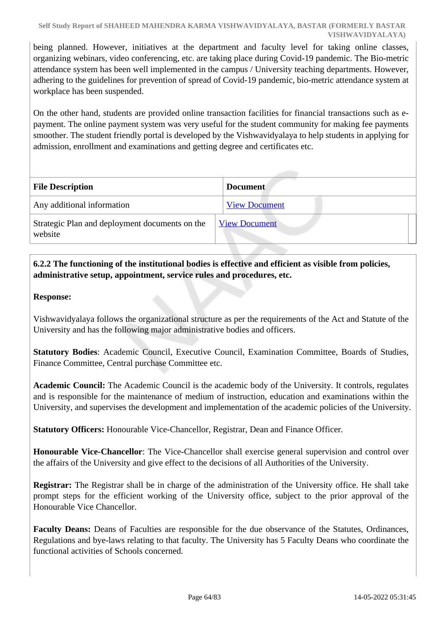being planned. However, initiatives at the department and faculty level for taking online classes, organizing webinars, video conferencing, etc. are taking place during Covid-19 pandemic. The Bio-metric attendance system has been well implemented in the campus / University teaching departments. However, adhering to the guidelines for prevention of spread of Covid-19 pandemic, bio-metric attendance system at workplace has been suspended.

On the other hand, students are provided online transaction facilities for financial transactions such as epayment. The online payment system was very useful for the student community for making fee payments smoother. The student friendly portal is developed by the Vishwavidyalaya to help students in applying for admission, enrollment and examinations and getting degree and certificates etc.

| <b>File Description</b>                                   | <b>Document</b>      |
|-----------------------------------------------------------|----------------------|
| Any additional information                                | <b>View Document</b> |
| Strategic Plan and deployment documents on the<br>website | <b>View Document</b> |

# **6.2.2 The functioning of the institutional bodies is effective and efficient as visible from policies, administrative setup, appointment, service rules and procedures, etc.**

# **Response:**

Vishwavidyalaya follows the organizational structure as per the requirements of the Act and Statute of the University and has the following major administrative bodies and officers.

**Statutory Bodies**: Academic Council, Executive Council, Examination Committee, Boards of Studies, Finance Committee, Central purchase Committee etc.

**Academic Council:** The Academic Council is the academic body of the University. It controls, regulates and is responsible for the maintenance of medium of instruction, education and examinations within the University, and supervises the development and implementation of the academic policies of the University.

**Statutory Officers:** Honourable Vice-Chancellor, Registrar, Dean and Finance Officer.

**Honourable Vice-Chancellor**: The Vice-Chancellor shall exercise general supervision and control over the affairs of the University and give effect to the decisions of all Authorities of the University.

**Registrar:** The Registrar shall be in charge of the administration of the University office. He shall take prompt steps for the efficient working of the University office, subject to the prior approval of the Honourable Vice Chancellor.

**Faculty Deans:** Deans of Faculties are responsible for the due observance of the Statutes, Ordinances, Regulations and bye-laws relating to that faculty. The University has 5 Faculty Deans who coordinate the functional activities of Schools concerned.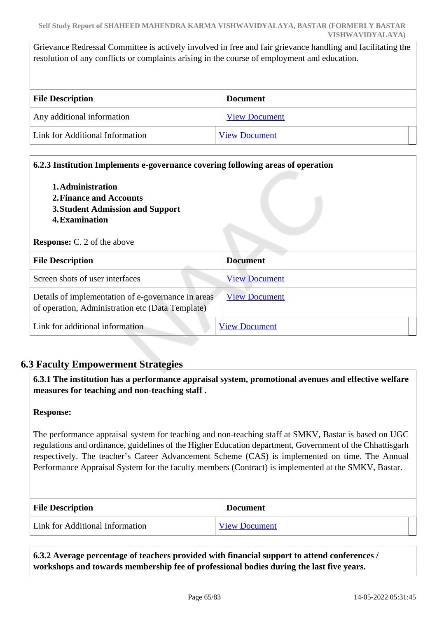Grievance Redressal Committee is actively involved in free and fair grievance handling and facilitating the resolution of any conflicts or complaints arising in the course of employment and education.

| <b>File Description</b>         | <b>Document</b>      |
|---------------------------------|----------------------|
| Any additional information      | <b>View Document</b> |
| Link for Additional Information | <b>View Document</b> |

| 1. Administration<br>2. Finance and Accounts<br><b>3. Student Admission and Support</b><br><b>4. Examination</b><br><b>Response:</b> C. 2 of the above |                      |
|--------------------------------------------------------------------------------------------------------------------------------------------------------|----------------------|
| <b>File Description</b>                                                                                                                                | <b>Document</b>      |
| Screen shots of user interfaces                                                                                                                        | <b>View Document</b> |
| Details of implementation of e-governance in areas<br>of operation, Administration etc (Data Template)                                                 | <b>View Document</b> |
| Link for additional information                                                                                                                        | <b>View Document</b> |

# **6.3 Faculty Empowerment Strategies**

 **6.3.1 The institution has a performance appraisal system, promotional avenues and effective welfare measures for teaching and non-teaching staff .**

#### **Response:**

The performance appraisal system for teaching and non-teaching staff at SMKV, Bastar is based on UGC regulations and ordinance, guidelines of the Higher Education department, Government of the Chhattisgarh respectively. The teacher's Career Advancement Scheme (CAS) is implemented on time. The Annual Performance Appraisal System for the faculty members (Contract) is implemented at the SMKV, Bastar.

| <b>File Description</b>                | <b>Document</b>      |
|----------------------------------------|----------------------|
| <b>Link for Additional Information</b> | <b>View Document</b> |

 **6.3.2 Average percentage of teachers provided with financial support to attend conferences / workshops and towards membership fee of professional bodies during the last five years.**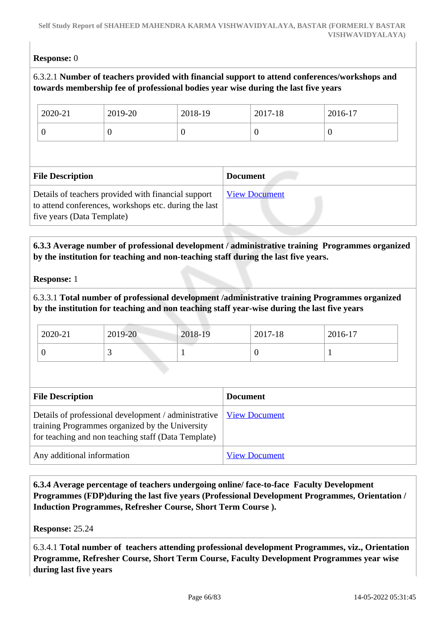# **Response:** 0

# 6.3.2.1 **Number of teachers provided with financial support to attend conferences/workshops and towards membership fee of professional bodies year wise during the last five years**

| 2020-21                 | 2019-20  | 2018-19  |                 | 2017-18  | 2016-17  |
|-------------------------|----------|----------|-----------------|----------|----------|
| $\overline{0}$          | $\Omega$ | $\theta$ |                 | $\theta$ | $\theta$ |
|                         |          |          |                 |          |          |
|                         |          |          |                 |          |          |
| <b>File Description</b> |          |          | <b>Document</b> |          |          |

# **6.3.3 Average number of professional development / administrative training Programmes organized by the institution for teaching and non-teaching staff during the last five years.**

#### **Response:** 1

# 6.3.3.1 **Total number of professional development /administrative training Programmes organized by the institution for teaching and non teaching staff year-wise during the last five years**

| 2020-21 | 2019-20 | 2018-19 | 2017-18 | 2016-17 |
|---------|---------|---------|---------|---------|
|         |         |         |         |         |

| <b>File Description</b>                                                                                                                                          | <b>Document</b>      |
|------------------------------------------------------------------------------------------------------------------------------------------------------------------|----------------------|
| Details of professional development / administrative  <br>training Programmes organized by the University<br>for teaching and non teaching staff (Data Template) | <b>View Document</b> |
| Any additional information                                                                                                                                       | <b>View Document</b> |

 **6.3.4 Average percentage of teachers undergoing online/ face-to-face Faculty Development Programmes (FDP)during the last five years (Professional Development Programmes, Orientation / Induction Programmes, Refresher Course, Short Term Course ).**

**Response:** 25.24

6.3.4.1 **Total number of teachers attending professional development Programmes, viz., Orientation Programme, Refresher Course, Short Term Course, Faculty Development Programmes year wise during last five years**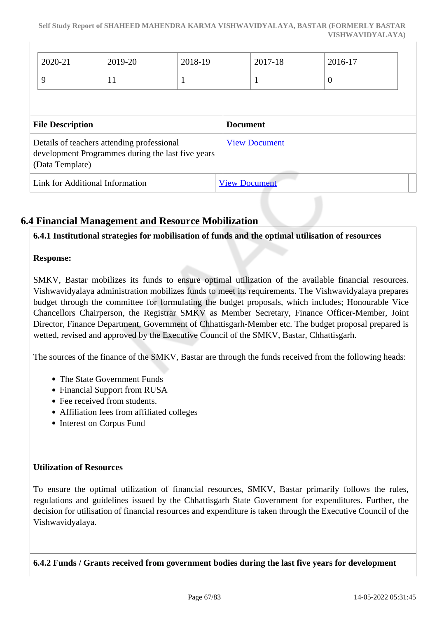|                                                                                                                    | 2020-21                         | 2019-20 | 2018-19 |                      | 2017-18 | 2016-17        |  |
|--------------------------------------------------------------------------------------------------------------------|---------------------------------|---------|---------|----------------------|---------|----------------|--|
|                                                                                                                    | 9                               | 11      | л       |                      | 1       | $\overline{0}$ |  |
|                                                                                                                    |                                 |         |         |                      |         |                |  |
| <b>File Description</b>                                                                                            |                                 |         |         | <b>Document</b>      |         |                |  |
| Details of teachers attending professional<br>development Programmes during the last five years<br>(Data Template) |                                 |         |         | <b>View Document</b> |         |                |  |
|                                                                                                                    | Link for Additional Information |         |         | <b>View Document</b> |         |                |  |

# **6.4 Financial Management and Resource Mobilization**

**6.4.1 Institutional strategies for mobilisation of funds and the optimal utilisation of resources**

#### **Response:**

SMKV, Bastar mobilizes its funds to ensure optimal utilization of the available financial resources. Vishwavidyalaya administration mobilizes funds to meet its requirements. The Vishwavidyalaya prepares budget through the committee for formulating the budget proposals, which includes; Honourable Vice Chancellors Chairperson, the Registrar SMKV as Member Secretary, Finance Officer-Member, Joint Director, Finance Department, Government of Chhattisgarh-Member etc. The budget proposal prepared is wetted, revised and approved by the Executive Council of the SMKV, Bastar, Chhattisgarh.

The sources of the finance of the SMKV, Bastar are through the funds received from the following heads:

- The State Government Funds
- Financial Support from RUSA
- Fee received from students.
- Affiliation fees from affiliated colleges
- Interest on Corpus Fund

#### **Utilization of Resources**

To ensure the optimal utilization of financial resources, SMKV, Bastar primarily follows the rules, regulations and guidelines issued by the Chhattisgarh State Government for expenditures. Further, the decision for utilisation of financial resources and expenditure is taken through the Executive Council of the Vishwavidyalaya.

**6.4.2 Funds / Grants received from government bodies during the last five years for development**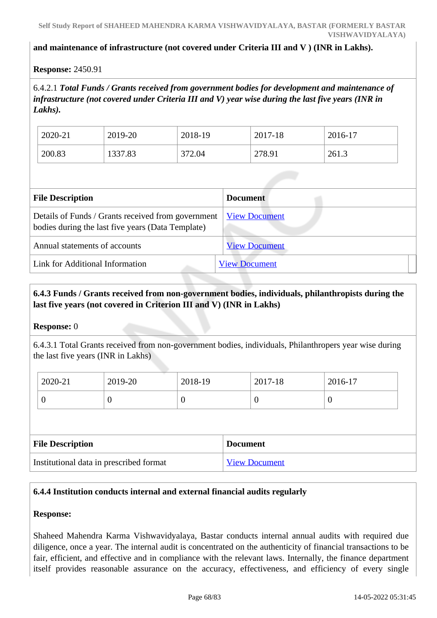#### **and maintenance of infrastructure (not covered under Criteria III and V ) (INR in Lakhs).**

#### **Response:** 2450.91

6.4.2.1 *Total Funds / Grants received from government bodies for development and maintenance of infrastructure (not covered under Criteria III and V) year wise during the last five years (INR in Lakhs).*

| 2020-21 | 2019-20 | 2018-19     | 2017<br>$7 - 18$<br>20 I | 2016-17 |
|---------|---------|-------------|--------------------------|---------|
| 200.83  | 1337.83 | 272<br>2.04 | 278.91                   | 261.3   |

| <b>File Description</b>                                                                                 | <b>Document</b>      |
|---------------------------------------------------------------------------------------------------------|----------------------|
| Details of Funds / Grants received from government<br>bodies during the last five years (Data Template) | <b>View Document</b> |
| Annual statements of accounts                                                                           | <b>View Document</b> |
| Link for Additional Information                                                                         | <b>View Document</b> |

# **6.4.3 Funds / Grants received from non-government bodies, individuals, philanthropists during the last five years (not covered in Criterion III and V) (INR in Lakhs)**

#### **Response:** 0

6.4.3.1 Total Grants received from non-government bodies, individuals, Philanthropers year wise during the last five years (INR in Lakhs)

| 2020-21 | 2019-20 | 2018-19 | 2017-18 | 2016-17 |
|---------|---------|---------|---------|---------|
| ◡       | ◡       |         | ◡       |         |

| <b>File Description</b>                 | <b>Document</b>      |
|-----------------------------------------|----------------------|
| Institutional data in prescribed format | <b>View Document</b> |

#### **6.4.4 Institution conducts internal and external financial audits regularly**

#### **Response:**

Shaheed Mahendra Karma Vishwavidyalaya, Bastar conducts internal annual audits with required due diligence, once a year. The internal audit is concentrated on the authenticity of financial transactions to be fair, efficient, and effective and in compliance with the relevant laws. Internally, the finance department itself provides reasonable assurance on the accuracy, effectiveness, and efficiency of every single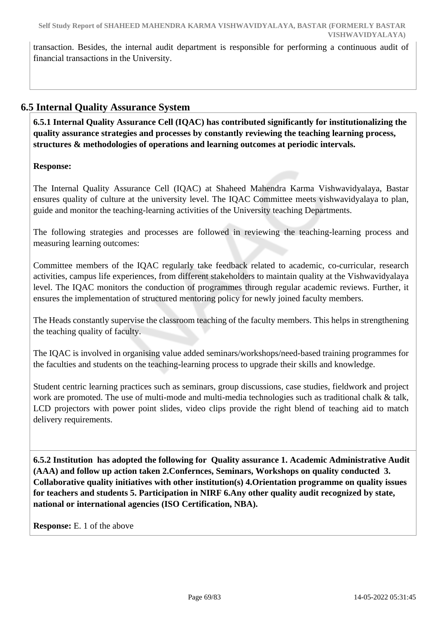transaction. Besides, the internal audit department is responsible for performing a continuous audit of financial transactions in the University.

# **6.5 Internal Quality Assurance System**

 **6.5.1 Internal Quality Assurance Cell (IQAC) has contributed significantly for institutionalizing the quality assurance strategies and processes by constantly reviewing the teaching learning process, structures & methodologies of operations and learning outcomes at periodic intervals.**

# **Response:**

The Internal Quality Assurance Cell (IQAC) at Shaheed Mahendra Karma Vishwavidyalaya, Bastar ensures quality of culture at the university level. The IQAC Committee meets vishwavidyalaya to plan, guide and monitor the teaching-learning activities of the University teaching Departments.

The following strategies and processes are followed in reviewing the teaching-learning process and measuring learning outcomes:

Committee members of the IQAC regularly take feedback related to academic, co-curricular, research activities, campus life experiences, from different stakeholders to maintain quality at the Vishwavidyalaya level. The IQAC monitors the conduction of programmes through regular academic reviews. Further, it ensures the implementation of structured mentoring policy for newly joined faculty members.

The Heads constantly supervise the classroom teaching of the faculty members. This helps in strengthening the teaching quality of faculty.

The IQAC is involved in organising value added seminars/workshops/need-based training programmes for the faculties and students on the teaching-learning process to upgrade their skills and knowledge.

Student centric learning practices such as seminars, group discussions, case studies, fieldwork and project work are promoted. The use of multi-mode and multi-media technologies such as traditional chalk & talk, LCD projectors with power point slides, video clips provide the right blend of teaching aid to match delivery requirements.

 **6.5.2 Institution has adopted the following for Quality assurance 1. Academic Administrative Audit (AAA) and follow up action taken 2.Confernces, Seminars, Workshops on quality conducted 3. Collaborative quality initiatives with other institution(s) 4.Orientation programme on quality issues for teachers and students 5. Participation in NIRF 6.Any other quality audit recognized by state, national or international agencies (ISO Certification, NBA).**

**Response:** E. 1 of the above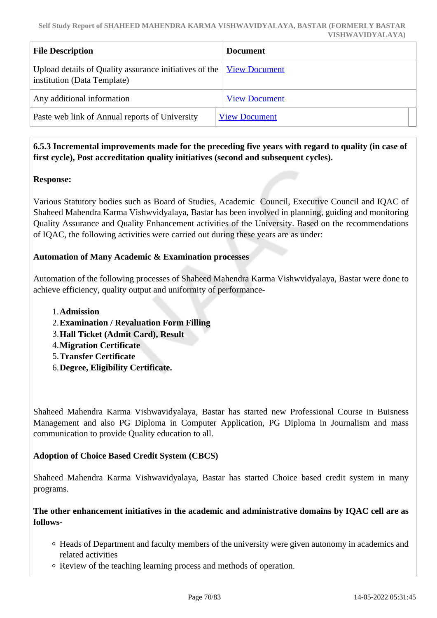| <b>File Description</b>                                                                                    | <b>Document</b>      |
|------------------------------------------------------------------------------------------------------------|----------------------|
| Upload details of Quality assurance initiatives of the <u>View Document</u><br>institution (Data Template) |                      |
| Any additional information                                                                                 | <b>View Document</b> |
| Paste web link of Annual reports of University                                                             | <b>View Document</b> |

# **6.5.3 Incremental improvements made for the preceding five years with regard to quality (in case of first cycle), Post accreditation quality initiatives (second and subsequent cycles).**

# **Response:**

Various Statutory bodies such as Board of Studies, Academic Council, Executive Council and IQAC of Shaheed Mahendra Karma Vishwvidyalaya, Bastar has been involved in planning, guiding and monitoring Quality Assurance and Quality Enhancement activities of the University. Based on the recommendations of IQAC, the following activities were carried out during these years are as under:

# **Automation of Many Academic & Examination processes**

Automation of the following processes of Shaheed Mahendra Karma Vishwvidyalaya, Bastar were done to achieve efficiency, quality output and uniformity of performance-

- 1.**Admission**
- 2.**Examination / Revaluation Form Filling**
- 3.**Hall Ticket (Admit Card), Result**
- 4.**Migration Certificate**
- 5.**Transfer Certificate**
- 6.**Degree, Eligibility Certificate.**

Shaheed Mahendra Karma Vishwavidyalaya, Bastar has started new Professional Course in Buisness Management and also PG Diploma in Computer Application, PG Diploma in Journalism and mass communication to provide Quality education to all.

#### **Adoption of Choice Based Credit System (CBCS)**

Shaheed Mahendra Karma Vishwavidyalaya, Bastar has started Choice based credit system in many programs.

**The other enhancement initiatives in the academic and administrative domains by IQAC cell are as follows-**

- Heads of Department and faculty members of the university were given autonomy in academics and related activities
- Review of the teaching learning process and methods of operation.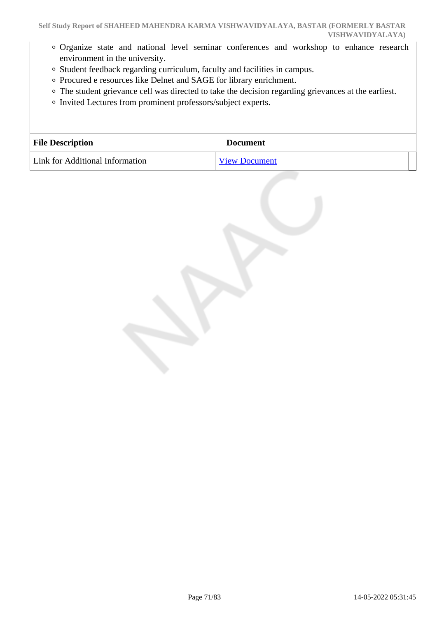- Organize state and national level seminar conferences and workshop to enhance research environment in the university.
- Student feedback regarding curriculum, faculty and facilities in campus.
- Procured e resources like Delnet and SAGE for library enrichment.
- The student grievance cell was directed to take the decision regarding grievances at the earliest.
- Invited Lectures from prominent professors/subject experts.

| <b>File Description</b>         | <b>Document</b>      |
|---------------------------------|----------------------|
| Link for Additional Information | <b>View Document</b> |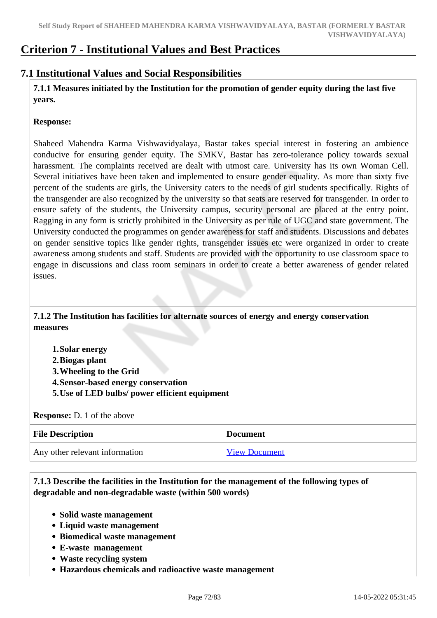# **Criterion 7 - Institutional Values and Best Practices**

# **7.1 Institutional Values and Social Responsibilities**

 **7.1.1 Measures initiated by the Institution for the promotion of gender equity during the last five years.**

#### **Response:**

Shaheed Mahendra Karma Vishwavidyalaya, Bastar takes special interest in fostering an ambience conducive for ensuring gender equity. The SMKV, Bastar has zero-tolerance policy towards sexual harassment. The complaints received are dealt with utmost care. University has its own Woman Cell. Several initiatives have been taken and implemented to ensure gender equality. As more than sixty five percent of the students are girls, the University caters to the needs of girl students specifically. Rights of the transgender are also recognized by the university so that seats are reserved for transgender. In order to ensure safety of the students, the University campus, security personal are placed at the entry point. Ragging in any form is strictly prohibited in the University as per rule of UGC and state government. The University conducted the programmes on gender awareness for staff and students. Discussions and debates on gender sensitive topics like gender rights, transgender issues etc were organized in order to create awareness among students and staff. Students are provided with the opportunity to use classroom space to engage in discussions and class room seminars in order to create a better awareness of gender related issues.

 **7.1.2 The Institution has facilities for alternate sources of energy and energy conservation measures** 

**1.Solar energy 2.Biogas plant 3.Wheeling to the Grid 4.Sensor-based energy conservation 5.Use of LED bulbs/ power efficient equipment** 

**Response:** D. 1 of the above

| <b>File Description</b>        | <b>Document</b>      |
|--------------------------------|----------------------|
| Any other relevant information | <b>View Document</b> |

 **7.1.3 Describe the facilities in the Institution for the management of the following types of degradable and non-degradable waste (within 500 words)**

- **Solid waste management**
- **Liquid waste management**
- **Biomedical waste management**
- **E-waste management**
- **Waste recycling system**
- **Hazardous chemicals and radioactive waste management**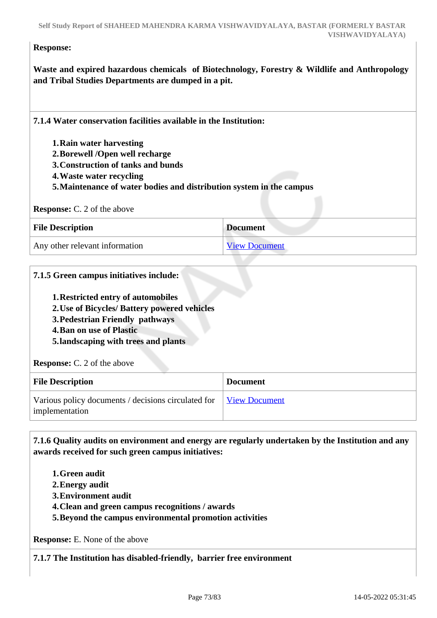#### **Response:**

**Waste and expired hazardous chemicals of Biotechnology, Forestry & Wildlife and Anthropology and Tribal Studies Departments are dumped in a pit.**

| 7.1.4 Water conservation facilities available in the Institution:    |                 |
|----------------------------------------------------------------------|-----------------|
| 1. Rain water harvesting                                             |                 |
| 2. Borewell /Open well recharge                                      |                 |
| 3. Construction of tanks and bunds                                   |                 |
| 4. Waste water recycling                                             |                 |
| 5. Maintenance of water bodies and distribution system in the campus |                 |
|                                                                      |                 |
|                                                                      |                 |
| <b>Response:</b> C. 2 of the above                                   |                 |
| <b>File Description</b>                                              | <b>Document</b> |

### **7.1.5 Green campus initiatives include:**

- **1.Restricted entry of automobiles**
- **2.Use of Bicycles/ Battery powered vehicles**
- **3.Pedestrian Friendly pathways**
- **4.Ban on use of Plastic**
- **5.landscaping with trees and plants**

| <b>Response:</b> C. 2 of the above |  |  |  |  |  |
|------------------------------------|--|--|--|--|--|
|------------------------------------|--|--|--|--|--|

| <b>File Description</b>                                               | <b>Document</b>      |
|-----------------------------------------------------------------------|----------------------|
| Various policy documents / decisions circulated for<br>implementation | <b>View Document</b> |

 **7.1.6 Quality audits on environment and energy are regularly undertaken by the Institution and any awards received for such green campus initiatives:**

- **1.Green audit**
- **2.Energy audit**
- **3.Environment audit**
- **4.Clean and green campus recognitions / awards**
- **5.Beyond the campus environmental promotion activities**

**Response:** E. None of the above

**7.1.7 The Institution has disabled-friendly, barrier free environment**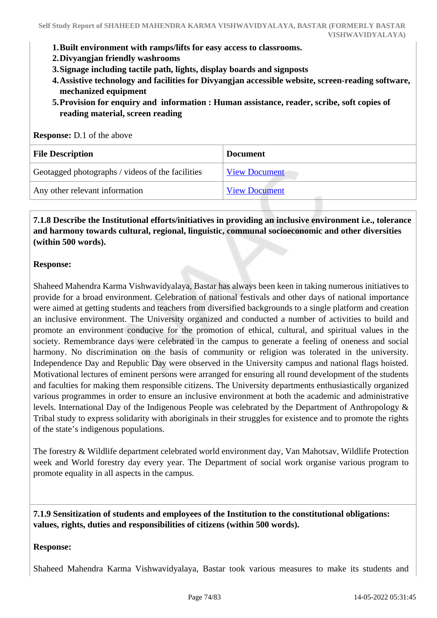- **1.Built environment with ramps/lifts for easy access to classrooms.**
- **2.Divyangjan friendly washrooms**
- **3.Signage including tactile path, lights, display boards and signposts**
- **4.Assistive technology and facilities for Divyangjan accessible website, screen-reading software, mechanized equipment**
- **5.Provision for enquiry and information : Human assistance, reader, scribe, soft copies of reading material, screen reading**

| <b>Response:</b> D.1 of the above                |                      |
|--------------------------------------------------|----------------------|
| <b>File Description</b>                          | <b>Document</b>      |
| Geotagged photographs / videos of the facilities | <b>View Document</b> |
| Any other relevant information                   | <b>View Document</b> |

### **7.1.8 Describe the Institutional efforts/initiatives in providing an inclusive environment i.e., tolerance and harmony towards cultural, regional, linguistic, communal socioeconomic and other diversities (within 500 words).**

### **Response:**

Shaheed Mahendra Karma Vishwavidyalaya, Bastar has always been keen in taking numerous initiatives to provide for a broad environment. Celebration of national festivals and other days of national importance were aimed at getting students and teachers from diversified backgrounds to a single platform and creation an inclusive environment. The University organized and conducted a number of activities to build and promote an environment conducive for the promotion of ethical, cultural, and spiritual values in the society. Remembrance days were celebrated in the campus to generate a feeling of oneness and social harmony. No discrimination on the basis of community or religion was tolerated in the university. Independence Day and Republic Day were observed in the University campus and national flags hoisted. Motivational lectures of eminent persons were arranged for ensuring all round development of the students and faculties for making them responsible citizens. The University departments enthusiastically organized various programmes in order to ensure an inclusive environment at both the academic and administrative levels. International Day of the Indigenous People was celebrated by the Department of Anthropology & Tribal study to express solidarity with aboriginals in their struggles for existence and to promote the rights of the state's indigenous populations.

The forestry & Wildlife department celebrated world environment day, Van Mahotsav, Wildlife Protection week and World forestry day every year. The Department of social work organise various program to promote equality in all aspects in the campus.

### **7.1.9 Sensitization of students and employees of the Institution to the constitutional obligations: values, rights, duties and responsibilities of citizens (within 500 words).**

### **Response:**

Shaheed Mahendra Karma Vishwavidyalaya, Bastar took various measures to make its students and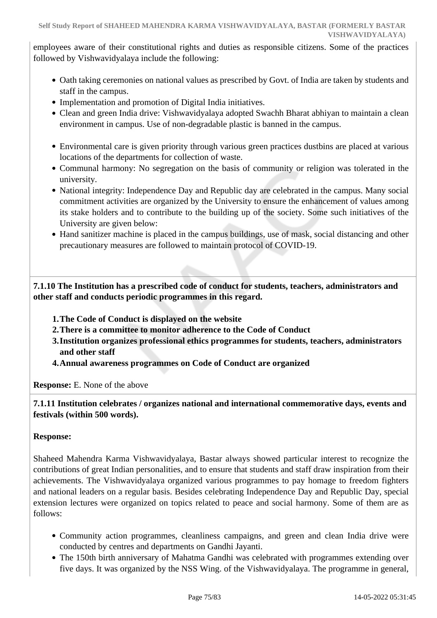employees aware of their constitutional rights and duties as responsible citizens. Some of the practices followed by Vishwavidyalaya include the following:

- Oath taking ceremonies on national values as prescribed by Govt. of India are taken by students and staff in the campus.
- Implementation and promotion of Digital India initiatives.
- Clean and green India drive: Vishwavidyalaya adopted Swachh Bharat abhiyan to maintain a clean environment in campus. Use of non-degradable plastic is banned in the campus.
- Environmental care is given priority through various green practices dustbins are placed at various locations of the departments for collection of waste.
- Communal harmony: No segregation on the basis of community or religion was tolerated in the university.
- National integrity: Independence Day and Republic day are celebrated in the campus. Many social commitment activities are organized by the University to ensure the enhancement of values among its stake holders and to contribute to the building up of the society. Some such initiatives of the University are given below:
- Hand sanitizer machine is placed in the campus buildings, use of mask, social distancing and other precautionary measures are followed to maintain protocol of COVID-19.

 **7.1.10 The Institution has a prescribed code of conduct for students, teachers, administrators and other staff and conducts periodic programmes in this regard.** 

- **1.The Code of Conduct is displayed on the website**
- **2.There is a committee to monitor adherence to the Code of Conduct**
- **3.Institution organizes professional ethics programmes for students, teachers, administrators and other staff**
- **4.Annual awareness programmes on Code of Conduct are organized**

**Response:** E. None of the above

 **7.1.11 Institution celebrates / organizes national and international commemorative days, events and festivals (within 500 words).**

### **Response:**

Shaheed Mahendra Karma Vishwavidyalaya, Bastar always showed particular interest to recognize the contributions of great Indian personalities, and to ensure that students and staff draw inspiration from their achievements. The Vishwavidyalaya organized various programmes to pay homage to freedom fighters and national leaders on a regular basis. Besides celebrating Independence Day and Republic Day, special extension lectures were organized on topics related to peace and social harmony. Some of them are as follows:

- Community action programmes, cleanliness campaigns, and green and clean India drive were conducted by centres and departments on Gandhi Jayanti.
- The 150th birth anniversary of Mahatma Gandhi was celebrated with programmes extending over five days. It was organized by the NSS Wing. of the Vishwavidyalaya. The programme in general,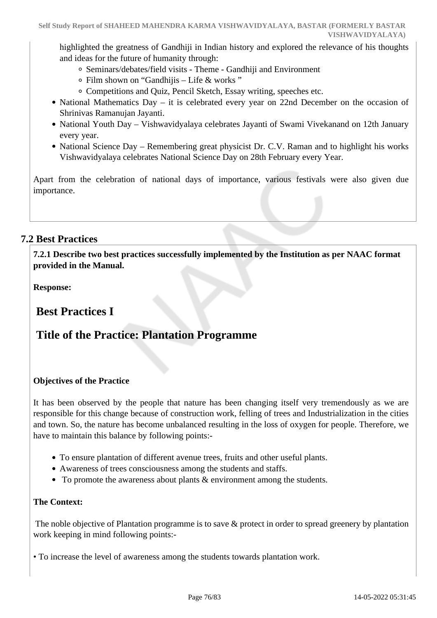highlighted the greatness of Gandhiji in Indian history and explored the relevance of his thoughts and ideas for the future of humanity through:

- Seminars/debates/field visits Theme Gandhiji and Environment
- Film shown on "Gandhijis Life & works "
- Competitions and Quiz, Pencil Sketch, Essay writing, speeches etc.
- National Mathematics Day it is celebrated every year on 22nd December on the occasion of Shrinivas Ramanujan Jayanti.
- National Youth Day Vishwavidyalaya celebrates Jayanti of Swami Vivekanand on 12th January every year.
- National Science Day Remembering great physicist Dr. C.V. Raman and to highlight his works Vishwavidyalaya celebrates National Science Day on 28th February every Year.

Apart from the celebration of national days of importance, various festivals were also given due importance.

### **7.2 Best Practices**

 **7.2.1 Describe two best practices successfully implemented by the Institution as per NAAC format provided in the Manual.**

**Response:** 

 **Best Practices I**

# **Title of the Practice: Plantation Programme**

### **Objectives of the Practice**

It has been observed by the people that nature has been changing itself very tremendously as we are responsible for this change because of construction work, felling of trees and Industrialization in the cities and town. So, the nature has become unbalanced resulting in the loss of oxygen for people. Therefore, we have to maintain this balance by following points:-

- To ensure plantation of different avenue trees, fruits and other useful plants.
- Awareness of trees consciousness among the students and staffs.
- To promote the awareness about plants & environment among the students.

### **The Context:**

The noble objective of Plantation programme is to save & protect in order to spread greenery by plantation work keeping in mind following points:-

• To increase the level of awareness among the students towards plantation work.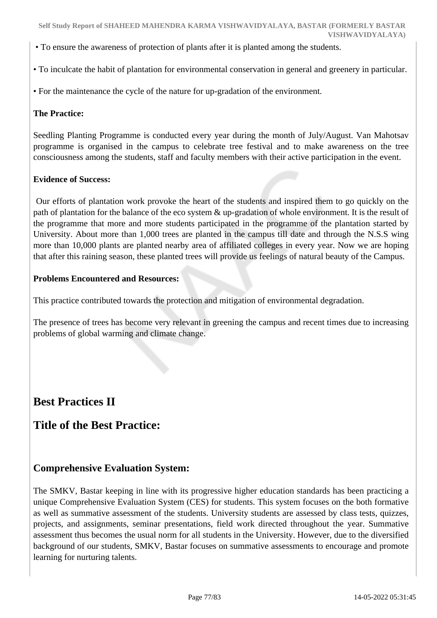- To ensure the awareness of protection of plants after it is planted among the students.
- To inculcate the habit of plantation for environmental conservation in general and greenery in particular.
- For the maintenance the cycle of the nature for up-gradation of the environment.

### **The Practice:**

Seedling Planting Programme is conducted every year during the month of July/August. Van Mahotsav programme is organised in the campus to celebrate tree festival and to make awareness on the tree consciousness among the students, staff and faculty members with their active participation in the event.

### **Evidence of Success:**

 Our efforts of plantation work provoke the heart of the students and inspired them to go quickly on the path of plantation for the balance of the eco system & up-gradation of whole environment. It is the result of the programme that more and more students participated in the programme of the plantation started by University. About more than 1,000 trees are planted in the campus till date and through the N.S.S wing more than 10,000 plants are planted nearby area of affiliated colleges in every year. Now we are hoping that after this raining season, these planted trees will provide us feelings of natural beauty of the Campus.

### **Problems Encountered and Resources:**

This practice contributed towards the protection and mitigation of environmental degradation.

The presence of trees has become very relevant in greening the campus and recent times due to increasing problems of global warming and climate change.

## **Best Practices II**

## **Title of the Best Practice:**

### **Comprehensive Evaluation System:**

The SMKV, Bastar keeping in line with its progressive higher education standards has been practicing a unique Comprehensive Evaluation System (CES) for students. This system focuses on the both formative as well as summative assessment of the students. University students are assessed by class tests, quizzes, projects, and assignments, seminar presentations, field work directed throughout the year. Summative assessment thus becomes the usual norm for all students in the University. However, due to the diversified background of our students, SMKV, Bastar focuses on summative assessments to encourage and promote learning for nurturing talents.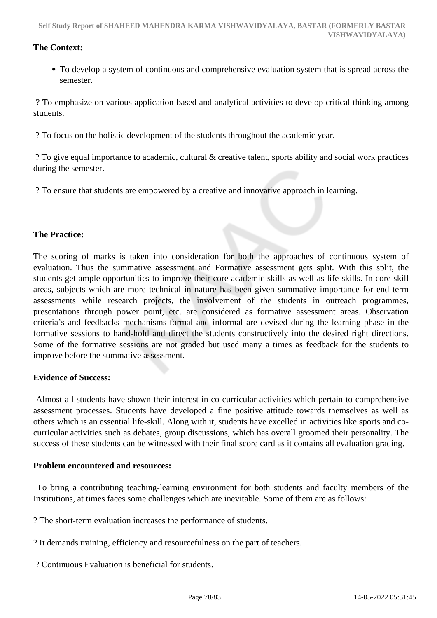### **The Context:**

To develop a system of continuous and comprehensive evaluation system that is spread across the semester.

 ? To emphasize on various application-based and analytical activities to develop critical thinking among students.

? To focus on the holistic development of the students throughout the academic year.

 ? To give equal importance to academic, cultural & creative talent, sports ability and social work practices during the semester.

? To ensure that students are empowered by a creative and innovative approach in learning.

### **The Practice:**

The scoring of marks is taken into consideration for both the approaches of continuous system of evaluation. Thus the summative assessment and Formative assessment gets split. With this split, the students get ample opportunities to improve their core academic skills as well as life-skills. In core skill areas, subjects which are more technical in nature has been given summative importance for end term assessments while research projects, the involvement of the students in outreach programmes, presentations through power point, etc. are considered as formative assessment areas. Observation criteria's and feedbacks mechanisms-formal and informal are devised during the learning phase in the formative sessions to hand-hold and direct the students constructively into the desired right directions. Some of the formative sessions are not graded but used many a times as feedback for the students to improve before the summative assessment.

### **Evidence of Success:**

 Almost all students have shown their interest in co-curricular activities which pertain to comprehensive assessment processes. Students have developed a fine positive attitude towards themselves as well as others which is an essential life-skill. Along with it, students have excelled in activities like sports and cocurricular activities such as debates, group discussions, which has overall groomed their personality. The success of these students can be witnessed with their final score card as it contains all evaluation grading.

### **Problem encountered and resources:**

 To bring a contributing teaching-learning environment for both students and faculty members of the Institutions, at times faces some challenges which are inevitable. Some of them are as follows:

? The short-term evaluation increases the performance of students.

? It demands training, efficiency and resourcefulness on the part of teachers.

? Continuous Evaluation is beneficial for students.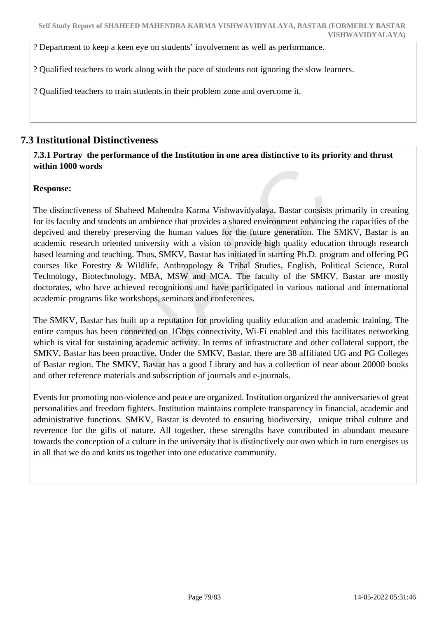? Department to keep a keen eye on students' involvement as well as performance.

? Qualified teachers to work along with the pace of students not ignoring the slow learners.

? Qualified teachers to train students in their problem zone and overcome it.

### **7.3 Institutional Distinctiveness**

 **7.3.1 Portray the performance of the Institution in one area distinctive to its priority and thrust within 1000 words**

### **Response:**

The distinctiveness of Shaheed Mahendra Karma Vishwavidyalaya, Bastar consists primarily in creating for its faculty and students an ambience that provides a shared environment enhancing the capacities of the deprived and thereby preserving the human values for the future generation. The SMKV, Bastar is an academic research oriented university with a vision to provide high quality education through research based learning and teaching. Thus, SMKV, Bastar has initiated in starting Ph.D. program and offering PG courses like Forestry & Wildlife, Anthropology & Tribal Studies, English, Political Science, Rural Technology, Biotechnology, MBA, MSW and MCA. The faculty of the SMKV, Bastar are mostly doctorates, who have achieved recognitions and have participated in various national and international academic programs like workshops, seminars and conferences.

The SMKV, Bastar has built up a reputation for providing quality education and academic training. The entire campus has been connected on 1Gbps connectivity, Wi-Fi enabled and this facilitates networking which is vital for sustaining academic activity. In terms of infrastructure and other collateral support, the SMKV, Bastar has been proactive. Under the SMKV, Bastar, there are 38 affiliated UG and PG Colleges of Bastar region. The SMKV, Bastar has a good Library and has a collection of near about 20000 books and other reference materials and subscription of journals and e-journals.

Events for promoting non-violence and peace are organized. Institution organized the anniversaries of great personalities and freedom fighters. Institution maintains complete transparency in financial, academic and administrative functions. SMKV, Bastar is devoted to ensuring biodiversity, unique tribal culture and reverence for the gifts of nature. All together, these strengths have contributed in abundant measure towards the conception of a culture in the university that is distinctively our own which in turn energises us in all that we do and knits us together into one educative community.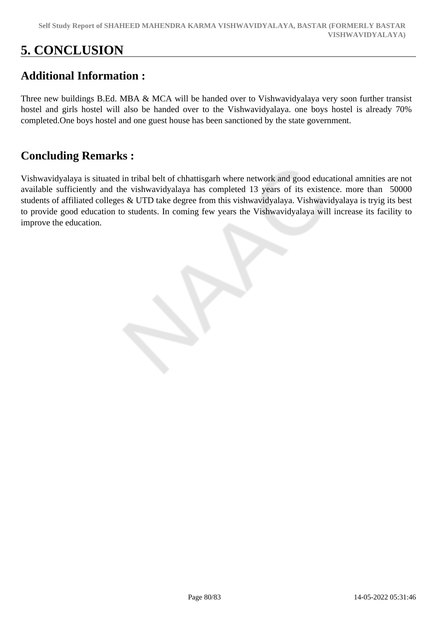# **5. CONCLUSION**

# **Additional Information :**

Three new buildings B.Ed. MBA & MCA will be handed over to Vishwavidyalaya very soon further transist hostel and girls hostel will also be handed over to the Vishwavidyalaya. one boys hostel is already 70% completed.One boys hostel and one guest house has been sanctioned by the state government.

# **Concluding Remarks :**

Vishwavidyalaya is situated in tribal belt of chhattisgarh where network and good educational amnities are not available sufficiently and the vishwavidyalaya has completed 13 years of its existence. more than 50000 students of affiliated colleges & UTD take degree from this vishwavidyalaya. Vishwavidyalaya is tryig its best to provide good education to students. In coming few years the Vishwavidyalaya will increase its facility to improve the education.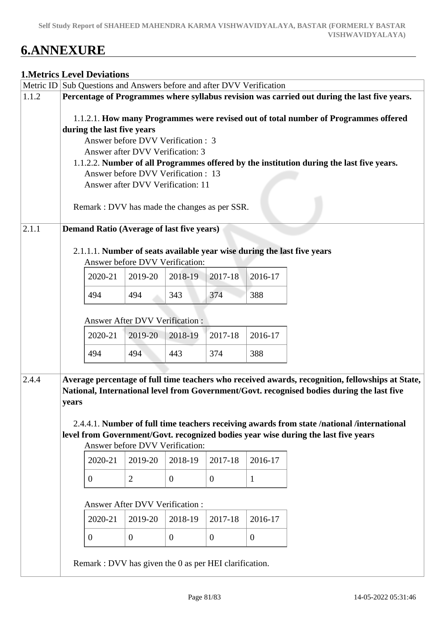# **6.ANNEXURE**

### **1.Metrics Level Deviations**

| Metric ID |       | Sub Questions and Answers before and after DVV Verification              |                                 |                |                |                |                                                                                                                                                                                                |
|-----------|-------|--------------------------------------------------------------------------|---------------------------------|----------------|----------------|----------------|------------------------------------------------------------------------------------------------------------------------------------------------------------------------------------------------|
| 1.1.2     |       |                                                                          |                                 |                |                |                | Percentage of Programmes where syllabus revision was carried out during the last five years.                                                                                                   |
|           |       |                                                                          |                                 |                |                |                | 1.1.2.1. How many Programmes were revised out of total number of Programmes offered                                                                                                            |
|           |       | during the last five years                                               |                                 |                |                |                |                                                                                                                                                                                                |
|           |       | Answer before DVV Verification : 3                                       |                                 |                |                |                |                                                                                                                                                                                                |
|           |       | Answer after DVV Verification: 3                                         |                                 |                |                |                |                                                                                                                                                                                                |
|           |       |                                                                          |                                 |                |                |                | 1.1.2.2. Number of all Programmes offered by the institution during the last five years.                                                                                                       |
|           |       | Answer before DVV Verification : 13<br>Answer after DVV Verification: 11 |                                 |                |                |                |                                                                                                                                                                                                |
|           |       |                                                                          |                                 |                |                |                |                                                                                                                                                                                                |
|           |       | Remark : DVV has made the changes as per SSR.                            |                                 |                |                |                |                                                                                                                                                                                                |
|           |       |                                                                          |                                 |                |                |                |                                                                                                                                                                                                |
| 2.1.1     |       | <b>Demand Ratio (Average of last five years)</b>                         |                                 |                |                |                |                                                                                                                                                                                                |
|           |       |                                                                          |                                 |                |                |                | 2.1.1.1. Number of seats available year wise during the last five years                                                                                                                        |
|           |       |                                                                          | Answer before DVV Verification: |                |                |                |                                                                                                                                                                                                |
|           |       | 2020-21                                                                  | 2019-20                         | 2018-19        | 2017-18        | 2016-17        |                                                                                                                                                                                                |
|           |       | 494                                                                      | 494                             | 343            | 374            | 388            |                                                                                                                                                                                                |
|           |       |                                                                          |                                 |                |                |                |                                                                                                                                                                                                |
|           |       |                                                                          | Answer After DVV Verification : |                |                |                |                                                                                                                                                                                                |
|           |       | 2020-21                                                                  | 2019-20                         | 2018-19        | 2017-18        | 2016-17        |                                                                                                                                                                                                |
|           |       | 494                                                                      | 494                             | 443            | 374            | 388            |                                                                                                                                                                                                |
|           |       |                                                                          |                                 |                |                |                |                                                                                                                                                                                                |
| 2.4.4     |       |                                                                          |                                 |                |                |                | Average percentage of full time teachers who received awards, recognition, fellowships at State,<br>National, International level from Government/Govt. recognised bodies during the last five |
|           | years |                                                                          |                                 |                |                |                |                                                                                                                                                                                                |
|           |       |                                                                          |                                 |                |                |                |                                                                                                                                                                                                |
|           |       |                                                                          |                                 |                |                |                | 2.4.4.1. Number of full time teachers receiving awards from state /national /international                                                                                                     |
|           |       |                                                                          | Answer before DVV Verification: |                |                |                | level from Government/Govt. recognized bodies year wise during the last five years                                                                                                             |
|           |       | 2020-21                                                                  | 2019-20                         | 2018-19        | 2017-18        | 2016-17        |                                                                                                                                                                                                |
|           |       |                                                                          |                                 |                |                |                |                                                                                                                                                                                                |
|           |       | $\overline{0}$                                                           | $\overline{2}$                  | $\overline{0}$ | $\mathbf{0}$   | $\mathbf{1}$   |                                                                                                                                                                                                |
|           |       |                                                                          | Answer After DVV Verification:  |                |                |                |                                                                                                                                                                                                |
|           |       | 2020-21                                                                  | 2019-20                         | 2018-19        | 2017-18        | 2016-17        |                                                                                                                                                                                                |
|           |       |                                                                          |                                 |                |                |                |                                                                                                                                                                                                |
|           |       | $\overline{0}$                                                           | $\mathbf{0}$                    | $\mathbf{0}$   | $\overline{0}$ | $\overline{0}$ |                                                                                                                                                                                                |
|           |       | Remark : DVV has given the 0 as per HEI clarification.                   |                                 |                |                |                |                                                                                                                                                                                                |
|           |       |                                                                          |                                 |                |                |                |                                                                                                                                                                                                |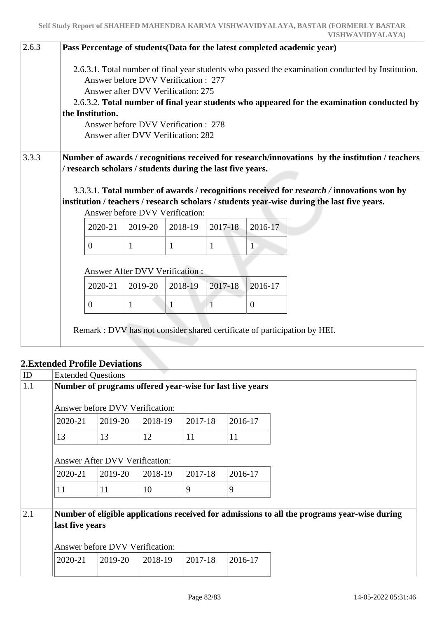| 2.6.3 |                  |                                                                                                                                                        |              |              |                | Pass Percentage of students (Data for the latest completed academic year)                                                                                                                                                                                                                   |
|-------|------------------|--------------------------------------------------------------------------------------------------------------------------------------------------------|--------------|--------------|----------------|---------------------------------------------------------------------------------------------------------------------------------------------------------------------------------------------------------------------------------------------------------------------------------------------|
|       | the Institution. | Answer before DVV Verification: 277<br>Answer after DVV Verification: 275<br>Answer before DVV Verification: 278<br>Answer after DVV Verification: 282 |              |              |                | 2.6.3.1. Total number of final year students who passed the examination conducted by Institution.<br>2.6.3.2. Total number of final year students who appeared for the examination conducted by                                                                                             |
| 3.3.3 |                  | / research scholars / students during the last five years.<br>Answer before DVV Verification:                                                          |              |              |                | Number of awards / recognitions received for research/innovations by the institution / teachers<br>3.3.3.1. Total number of awards / recognitions received for research / innovations won by<br>institution / teachers / research scholars / students year-wise during the last five years. |
|       | 2020-21          | 2019-20                                                                                                                                                | 2018-19      | 2017-18      | 2016-17        |                                                                                                                                                                                                                                                                                             |
|       | $\overline{0}$   | $\mathbf{1}$                                                                                                                                           | $\mathbf{1}$ | $\mathbf{1}$ | $\mathbf{1}$   |                                                                                                                                                                                                                                                                                             |
|       |                  | Answer After DVV Verification:                                                                                                                         |              |              |                |                                                                                                                                                                                                                                                                                             |
|       | 2020-21          | 2019-20                                                                                                                                                | 2018-19      | 2017-18      | 2016-17        |                                                                                                                                                                                                                                                                                             |
|       | $\Omega$         | $\mathbf{1}$                                                                                                                                           | 1            | $\mathbf{1}$ | $\overline{0}$ |                                                                                                                                                                                                                                                                                             |
|       |                  |                                                                                                                                                        |              |              |                | Remark : DVV has not consider shared certificate of participation by HEI.                                                                                                                                                                                                                   |

### **2.Extended Profile Deviations**

| ID  | <b>Extended Questions</b> |                                       |         |         |                                                          |                                                                                              |
|-----|---------------------------|---------------------------------------|---------|---------|----------------------------------------------------------|----------------------------------------------------------------------------------------------|
| 1.1 |                           |                                       |         |         | Number of programs offered year-wise for last five years |                                                                                              |
|     |                           | Answer before DVV Verification:       |         |         |                                                          |                                                                                              |
|     | 2020-21                   | 2019-20                               | 2018-19 | 2017-18 | 2016-17                                                  |                                                                                              |
|     | 13                        | 13                                    | 12      | 11      | 11                                                       |                                                                                              |
|     |                           | <b>Answer After DVV Verification:</b> |         |         |                                                          |                                                                                              |
|     | 2020-21                   | 2019-20                               | 2018-19 | 2017-18 | 2016-17                                                  |                                                                                              |
|     | 11                        | 11                                    | 10      | 9       | 9                                                        |                                                                                              |
| 2.1 | last five years           | Answer before DVV Verification:       |         |         |                                                          | Number of eligible applications received for admissions to all the programs year-wise during |
|     | 2020-21                   | 2019-20                               | 2018-19 | 2017-18 | 2016-17                                                  |                                                                                              |